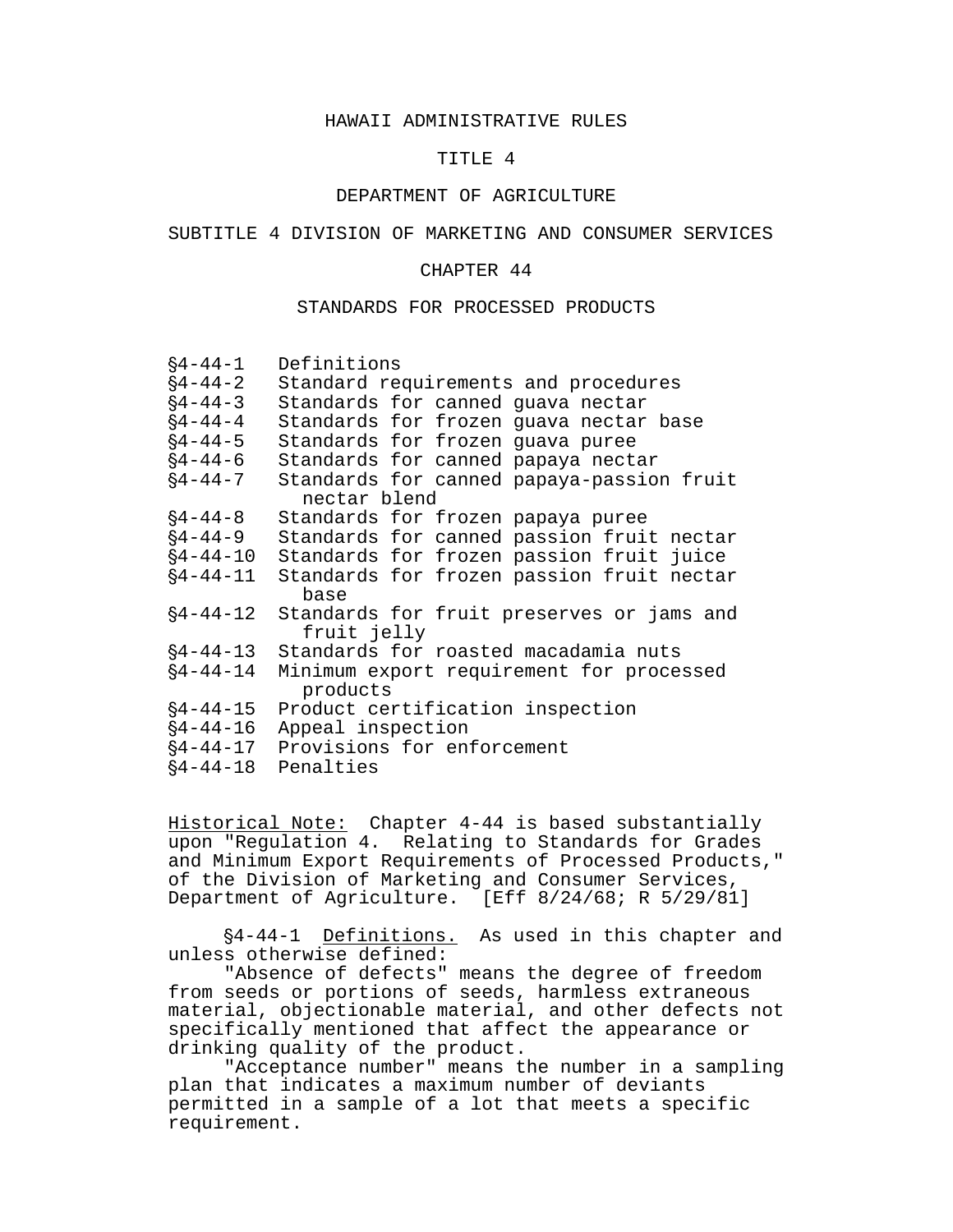## HAWAII ADMINISTRATIVE RULES

#### TITLE 4

## DEPARTMENT OF AGRICULTURE

#### SUBTITLE 4 DIVISION OF MARKETING AND CONSUMER SERVICES

#### CHAPTER 44

#### STANDARDS FOR PROCESSED PRODUCTS

| $§4 - 44 - 1$  | Definitions                                              |  |  |  |
|----------------|----------------------------------------------------------|--|--|--|
| $§4 - 44 - 2$  | Standard requirements and procedures                     |  |  |  |
| $§4 - 44 - 3$  | Standards for canned guava nectar                        |  |  |  |
| $§4 - 44 - 4$  | Standards for frozen guava nectar base                   |  |  |  |
| $§4 - 44 - 5$  | Standards for frozen guava puree                         |  |  |  |
| $§4 - 44 - 6$  | Standards for canned papaya nectar                       |  |  |  |
| $§4 - 44 - 7$  | Standards for canned papaya-passion fruit                |  |  |  |
| nectar blend   |                                                          |  |  |  |
| $§4 - 44 - 8$  | Standards for frozen papaya puree                        |  |  |  |
| $§4 - 44 - 9$  | Standards for canned passion fruit nectar                |  |  |  |
| $§4 - 44 - 10$ | Standards for frozen passion fruit juice                 |  |  |  |
| $§4 - 44 - 11$ | Standards for frozen passion fruit nectar<br>base        |  |  |  |
| $§4 - 44 - 12$ | Standards for fruit preserves or jams and<br>fruit jelly |  |  |  |
| $§4 - 44 - 13$ | Standards for roasted macadamia nuts                     |  |  |  |
| $§4 - 44 - 14$ | Minimum export requirement for processed<br>products     |  |  |  |
| $§4 - 44 - 15$ | Product certification inspection                         |  |  |  |
| $§4 - 44 - 16$ | Appeal inspection                                        |  |  |  |
| $§4 - 44 - 17$ | Provisions for enforcement                               |  |  |  |
| $§4 - 44 - 18$ | Penalties                                                |  |  |  |

Historical Note: Chapter 4-44 is based substantially upon "Regulation 4. Relating to Standards for Grades and Minimum Export Requirements of Processed Products," of the Division of Marketing and Consumer Services, Department of Agriculture. [Eff 8/24/68; R 5/29/81]

§4-44-1 Definitions. As used in this chapter and unless otherwise defined:

"Absence of defects" means the degree of freedom from seeds or portions of seeds, harmless extraneous material, objectionable material, and other defects not specifically mentioned that affect the appearance or drinking quality of the product.

"Acceptance number" means the number in a sampling plan that indicates a maximum number of deviants permitted in a sample of a lot that meets a specific requirement.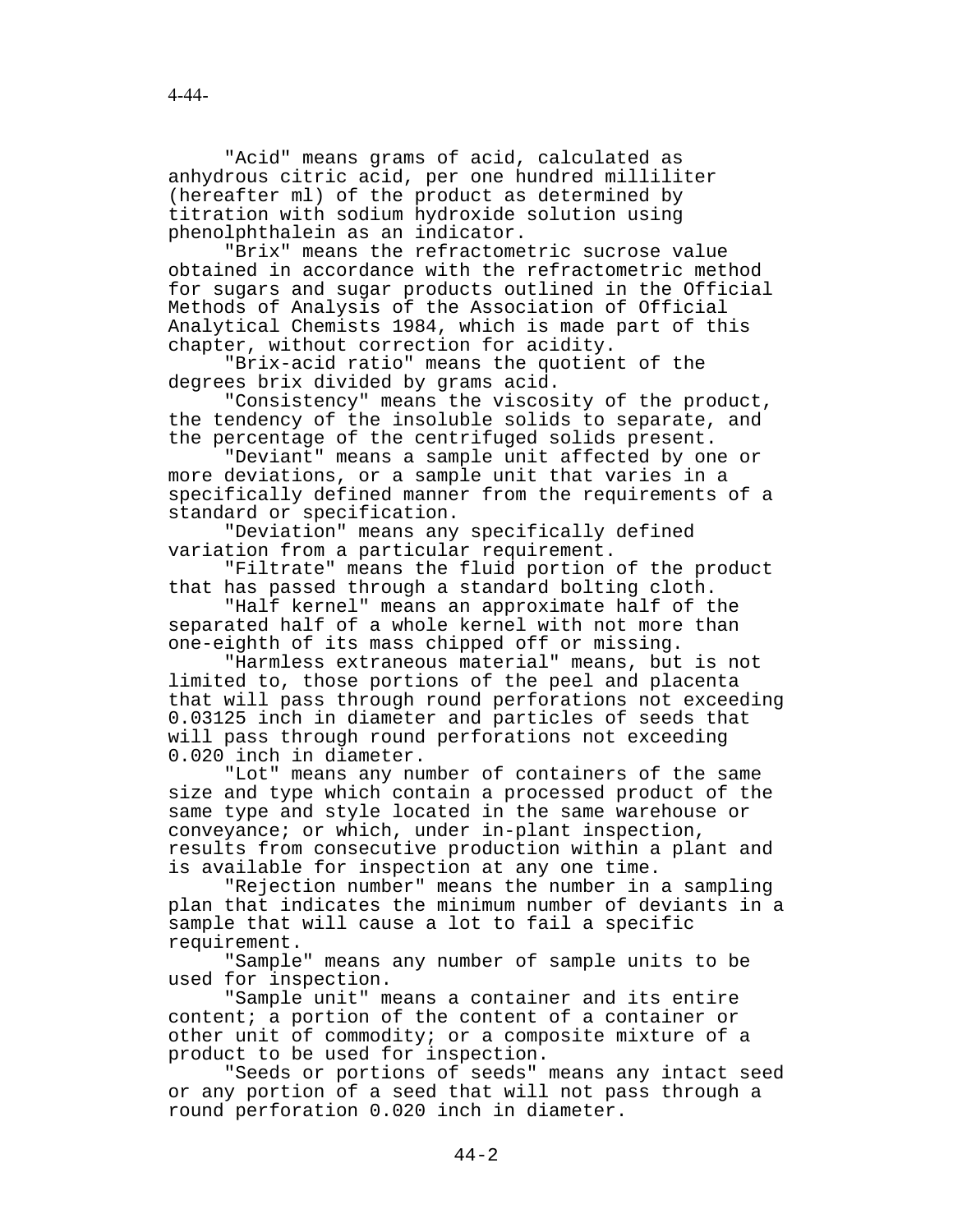"Acid" means grams of acid, calculated as anhydrous citric acid, per one hundred milliliter (hereafter ml) of the product as determined by titration with sodium hydroxide solution using phenolphthalein as an indicator.

"Brix" means the refractometric sucrose value obtained in accordance with the refractometric method for sugars and sugar products outlined in the Official Methods of Analysis of the Association of Official Analytical Chemists 1984, which is made part of this chapter, without correction for acidity.

"Brix-acid ratio" means the quotient of the degrees brix divided by grams acid.

"Consistency" means the viscosity of the product, the tendency of the insoluble solids to separate, and the percentage of the centrifuged solids present.

"Deviant" means a sample unit affected by one or more deviations, or a sample unit that varies in a specifically defined manner from the requirements of a standard or specification.

"Deviation" means any specifically defined variation from a particular requirement.

"Filtrate" means the fluid portion of the product that has passed through a standard bolting cloth.

"Half kernel" means an approximate half of the separated half of a whole kernel with not more than one-eighth of its mass chipped off or missing.

"Harmless extraneous material" means, but is not limited to, those portions of the peel and placenta that will pass through round perforations not exceeding 0.03125 inch in diameter and particles of seeds that will pass through round perforations not exceeding 0.020 inch in diameter.

"Lot" means any number of containers of the same size and type which contain a processed product of the same type and style located in the same warehouse or conveyance; or which, under in-plant inspection, results from consecutive production within a plant and is available for inspection at any one time.

"Rejection number" means the number in a sampling plan that indicates the minimum number of deviants in a sample that will cause a lot to fail a specific requirement.

"Sample" means any number of sample units to be used for inspection.

"Sample unit" means a container and its entire content; a portion of the content of a container or other unit of commodity; or a composite mixture of a product to be used for inspection.

"Seeds or portions of seeds" means any intact seed or any portion of a seed that will not pass through a round perforation 0.020 inch in diameter.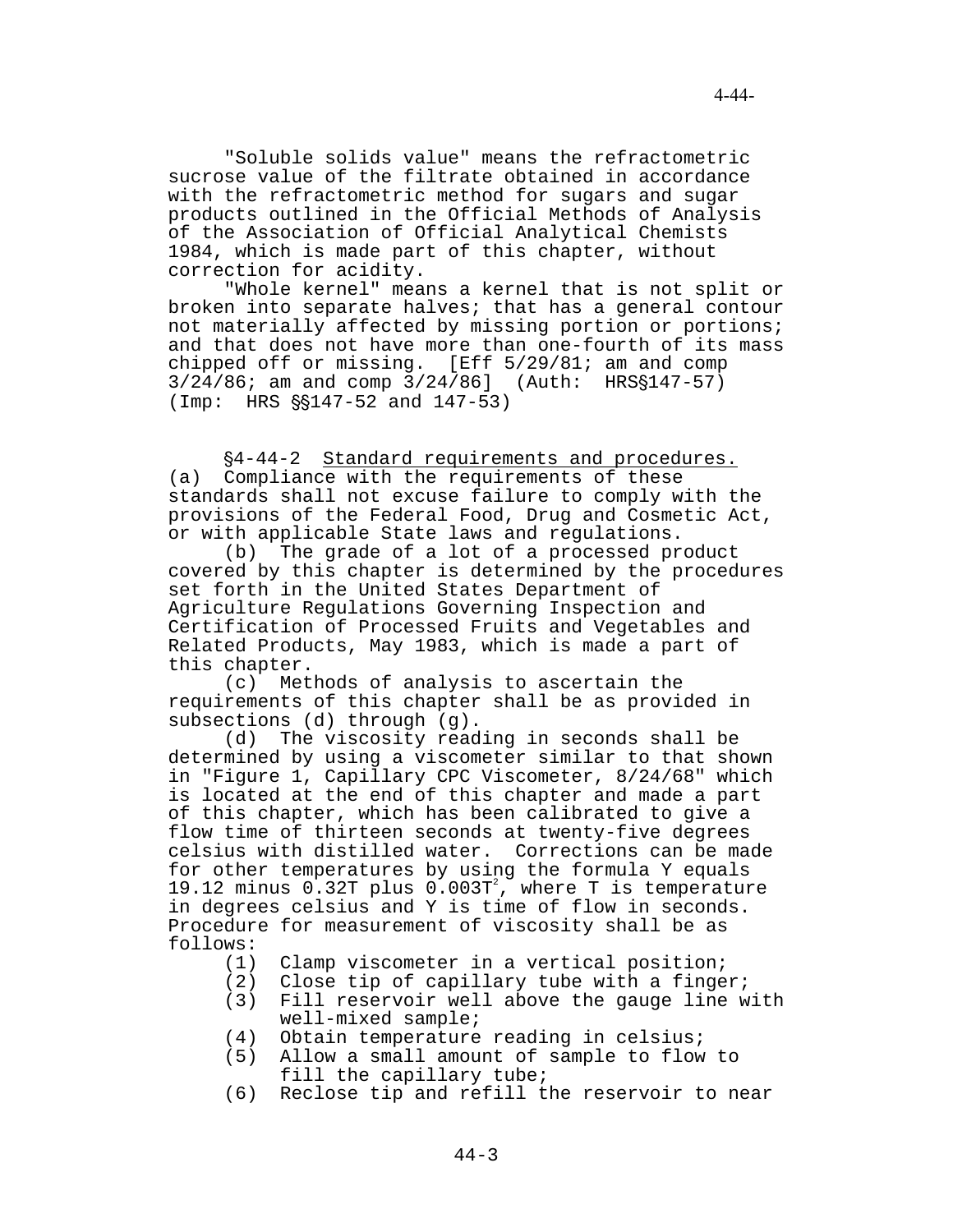"Soluble solids value" means the refractometric sucrose value of the filtrate obtained in accordance with the refractometric method for sugars and sugar products outlined in the Official Methods of Analysis of the Association of Official Analytical Chemists 1984, which is made part of this chapter, without correction for acidity.

"Whole kernel" means a kernel that is not split or broken into separate halves; that has a general contour not materially affected by missing portion or portions; and that does not have more than one-fourth of its mass chipped off or missing. [Eff 5/29/81; am and comp  $3/24/86$ ; am and comp  $3/24/86$ ] (Auth: HRS§147-57)  $(Imp: HRS \S$147-52 and 147-53)$ 

'4-44-2 Standard requirements and procedures. (a) Compliance with the requirements of these standards shall not excuse failure to comply with the provisions of the Federal Food, Drug and Cosmetic Act, or with applicable State laws and regulations.

(b) The grade of a lot of a processed product covered by this chapter is determined by the procedures set forth in the United States Department of Agriculture Regulations Governing Inspection and Certification of Processed Fruits and Vegetables and Related Products, May 1983, which is made a part of this chapter.<br>(c) Met

Methods of analysis to ascertain the requirements of this chapter shall be as provided in subsections (d) through (g).

(d) The viscosity reading in seconds shall be determined by using a viscometer similar to that shown in "Figure 1, Capillary CPC Viscometer, 8/24/68" which is located at the end of this chapter and made a part of this chapter, which has been calibrated to give a flow time of thirteen seconds at twenty-five degrees celsius with distilled water. Corrections can be made for other temperatures by using the formula Y equals 19.12 minus  $0.32T$  plus  $0.003T^2$ , where T is temperature in degrees celsius and Y is time of flow in seconds. Procedure for measurement of viscosity shall be as follows:

- (1) Clamp viscometer in a vertical position;
- (2) Close tip of capillary tube with a finger;<br>(3) Fill reservoir well above the gauge line w
- Fill reservoir well above the gauge line with well-mixed sample;
- (4) Obtain temperature reading in celsius;
- (5) Allow a small amount of sample to flow to fill the capillary tube;
- (6) Reclose tip and refill the reservoir to near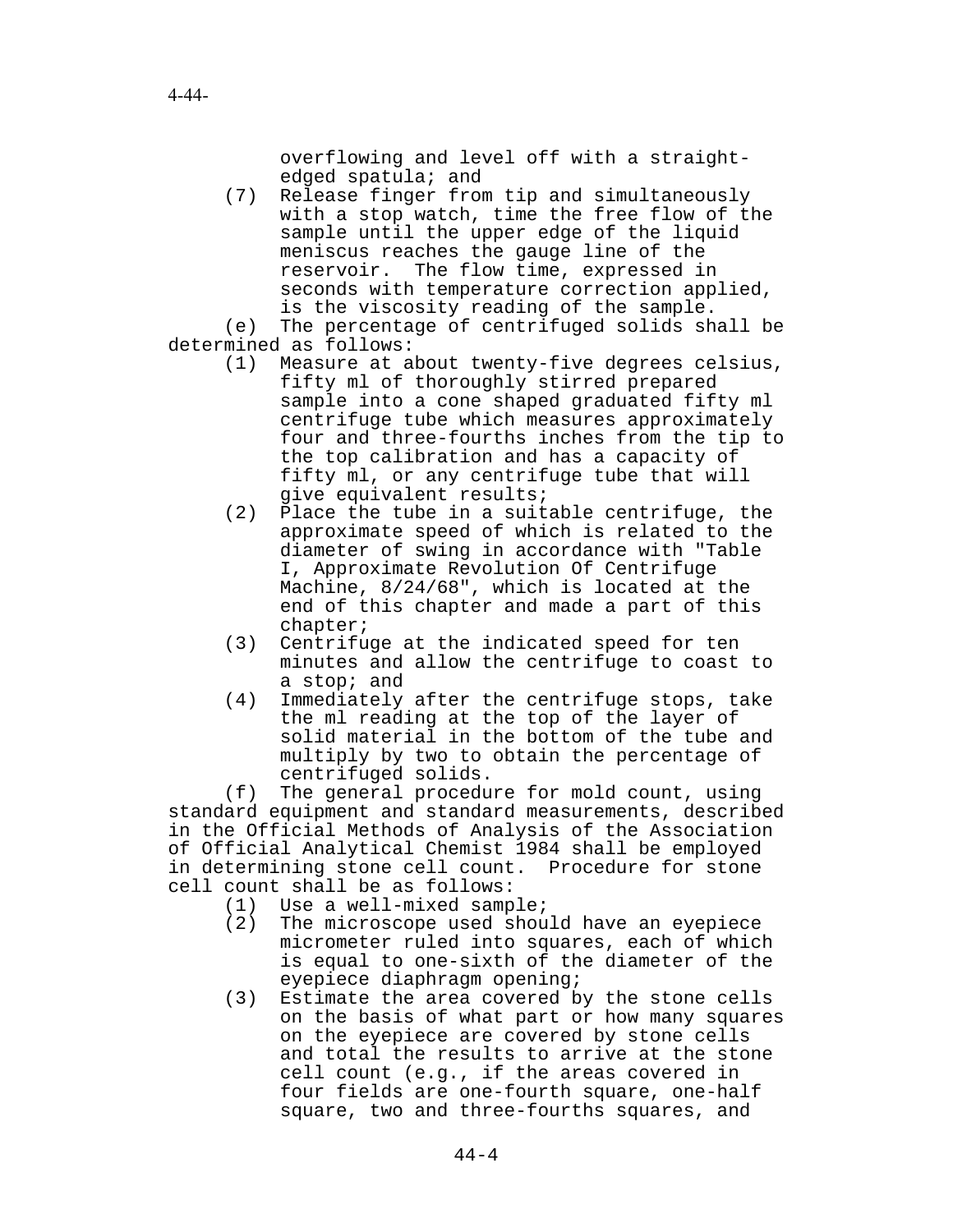overflowing and level off with a straightedged spatula; and

(7) Release finger from tip and simultaneously with a stop watch, time the free flow of the sample until the upper edge of the liquid meniscus reaches the gauge line of the reservoir. The flow time, expressed in seconds with temperature correction applied, is the viscosity reading of the sample.

(e) The percentage of centrifuged solids shall be determined as follows:

- (1) Measure at about twenty-five degrees celsius, fifty ml of thoroughly stirred prepared sample into a cone shaped graduated fifty ml centrifuge tube which measures approximately four and three-fourths inches from the tip to the top calibration and has a capacity of fifty ml, or any centrifuge tube that will give equivalent results;
- (2) Place the tube in a suitable centrifuge, the approximate speed of which is related to the diameter of swing in accordance with "Table I, Approximate Revolution Of Centrifuge Machine, 8/24/68", which is located at the end of this chapter and made a part of this chapter;
- (3) Centrifuge at the indicated speed for ten minutes and allow the centrifuge to coast to a stop; and
- (4) Immediately after the centrifuge stops, take the ml reading at the top of the layer of solid material in the bottom of the tube and multiply by two to obtain the percentage of centrifuged solids.

(f) The general procedure for mold count, using standard equipment and standard measurements, described in the Official Methods of Analysis of the Association of Official Analytical Chemist 1984 shall be employed in determining stone cell count. Procedure for stone cell count shall be as follows:

- (1) Use a well-mixed sample;<br>(2) The microscope used shou
- The microscope used should have an eyepiece micrometer ruled into squares, each of which is equal to one-sixth of the diameter of the eyepiece diaphragm opening;
- (3) Estimate the area covered by the stone cells on the basis of what part or how many squares on the eyepiece are covered by stone cells and total the results to arrive at the stone cell count (e.g., if the areas covered in four fields are one-fourth square, one-half square, two and three-fourths squares, and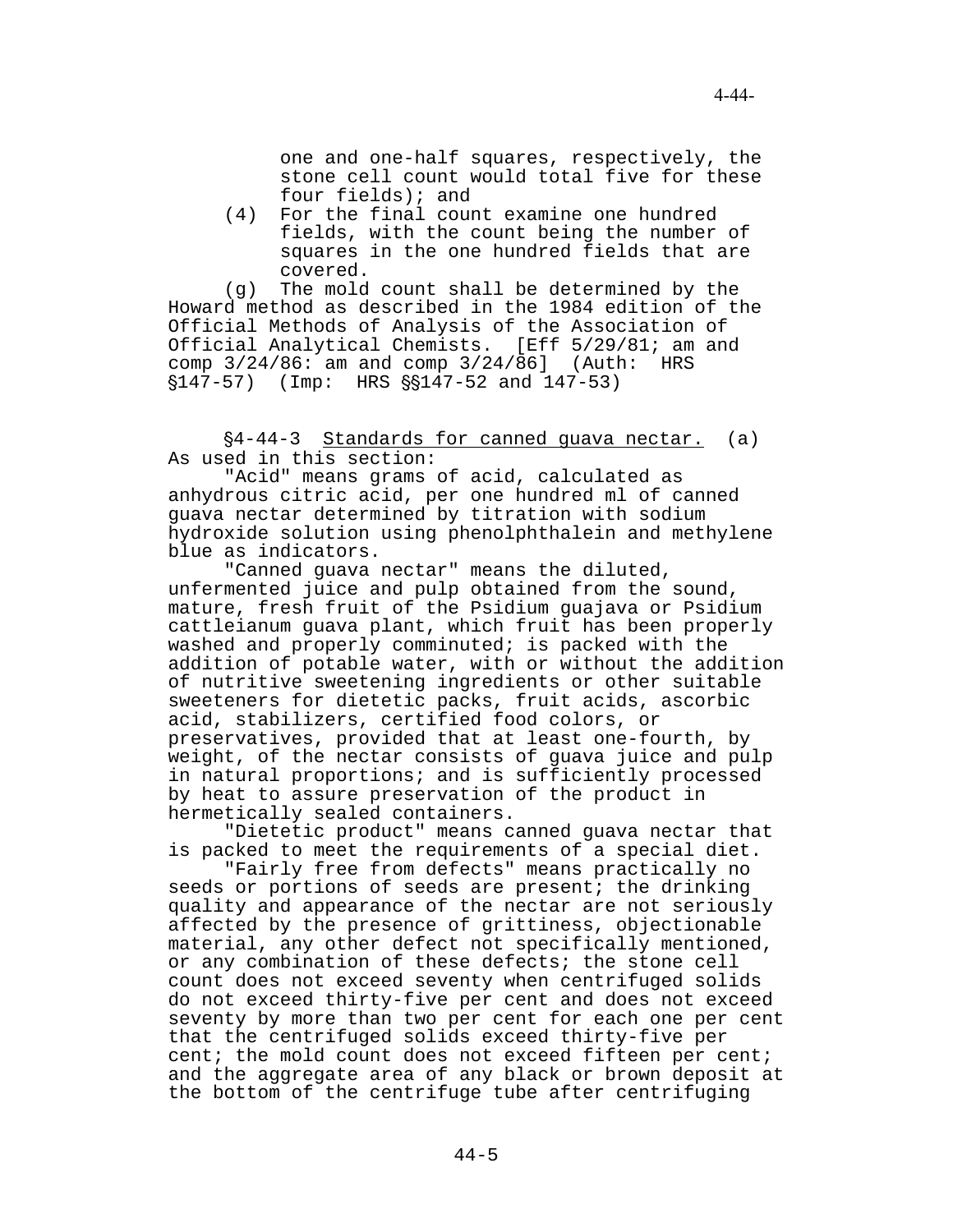one and one-half squares, respectively, the stone cell count would total five for these four fields); and

(4) For the final count examine one hundred fields, with the count being the number of squares in the one hundred fields that are covered.

(g) The mold count shall be determined by the Howard method as described in the 1984 edition of the Official Methods of Analysis of the Association of Official Analytical Chemists. [Eff 5/29/81; am and comp 3/24/86: am and comp 3/24/86] (Auth: HRS  $$147-57$ ) (Imp: HRS  $$$147-52$  and  $147-53$ )

'4-44-3 Standards for canned guava nectar. (a) As used in this section:

"Acid" means grams of acid, calculated as anhydrous citric acid, per one hundred ml of canned guava nectar determined by titration with sodium hydroxide solution using phenolphthalein and methylene blue as indicators.

"Canned guava nectar" means the diluted, unfermented juice and pulp obtained from the sound, mature, fresh fruit of the Psidium guajava or Psidium cattleianum guava plant, which fruit has been properly washed and properly comminuted; is packed with the addition of potable water, with or without the addition of nutritive sweetening ingredients or other suitable sweeteners for dietetic packs, fruit acids, ascorbic acid, stabilizers, certified food colors, or preservatives, provided that at least one-fourth, by weight, of the nectar consists of guava juice and pulp in natural proportions; and is sufficiently processed by heat to assure preservation of the product in hermetically sealed containers.

"Dietetic product" means canned guava nectar that is packed to meet the requirements of a special diet.

"Fairly free from defects" means practically no seeds or portions of seeds are present; the drinking quality and appearance of the nectar are not seriously affected by the presence of grittiness, objectionable material, any other defect not specifically mentioned, or any combination of these defects; the stone cell count does not exceed seventy when centrifuged solids do not exceed thirty-five per cent and does not exceed seventy by more than two per cent for each one per cent that the centrifuged solids exceed thirty-five per cent; the mold count does not exceed fifteen per cent; and the aggregate area of any black or brown deposit at the bottom of the centrifuge tube after centrifuging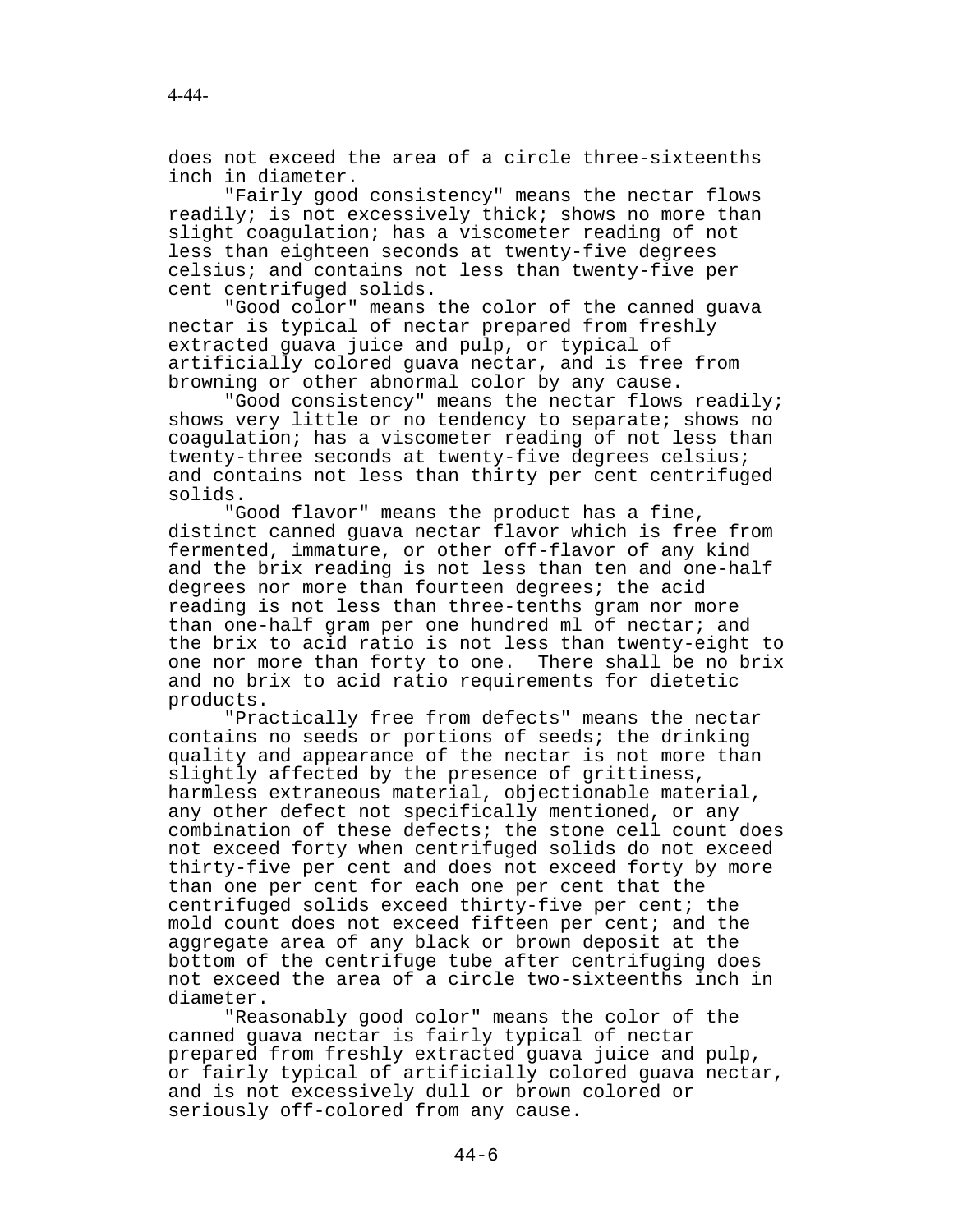does not exceed the area of a circle three-sixteenths inch in diameter.

"Fairly good consistency" means the nectar flows readily; is not excessively thick; shows no more than slight coagulation; has a viscometer reading of not less than eighteen seconds at twenty-five degrees celsius; and contains not less than twenty-five per cent centrifuged solids.

"Good color" means the color of the canned guava nectar is typical of nectar prepared from freshly extracted guava juice and pulp, or typical of artificially colored guava nectar, and is free from browning or other abnormal color by any cause.

"Good consistency" means the nectar flows readily; shows very little or no tendency to separate; shows no coagulation; has a viscometer reading of not less than twenty-three seconds at twenty-five degrees celsius; and contains not less than thirty per cent centrifuged solids.

"Good flavor" means the product has a fine, distinct canned guava nectar flavor which is free from fermented, immature, or other off-flavor of any kind and the brix reading is not less than ten and one-half degrees nor more than fourteen degrees; the acid reading is not less than three-tenths gram nor more than one-half gram per one hundred ml of nectar; and the brix to acid ratio is not less than twenty-eight to one nor more than forty to one. There shall be no brix and no brix to acid ratio requirements for dietetic products.

"Practically free from defects" means the nectar contains no seeds or portions of seeds; the drinking quality and appearance of the nectar is not more than slightly affected by the presence of grittiness, harmless extraneous material, objectionable material, any other defect not specifically mentioned, or any combination of these defects; the stone cell count does not exceed forty when centrifuged solids do not exceed thirty-five per cent and does not exceed forty by more than one per cent for each one per cent that the centrifuged solids exceed thirty-five per cent; the mold count does not exceed fifteen per cent; and the aggregate area of any black or brown deposit at the bottom of the centrifuge tube after centrifuging does not exceed the area of a circle two-sixteenths inch in diameter.

"Reasonably good color" means the color of the canned guava nectar is fairly typical of nectar prepared from freshly extracted guava juice and pulp, or fairly typical of artificially colored guava nectar, and is not excessively dull or brown colored or seriously off-colored from any cause.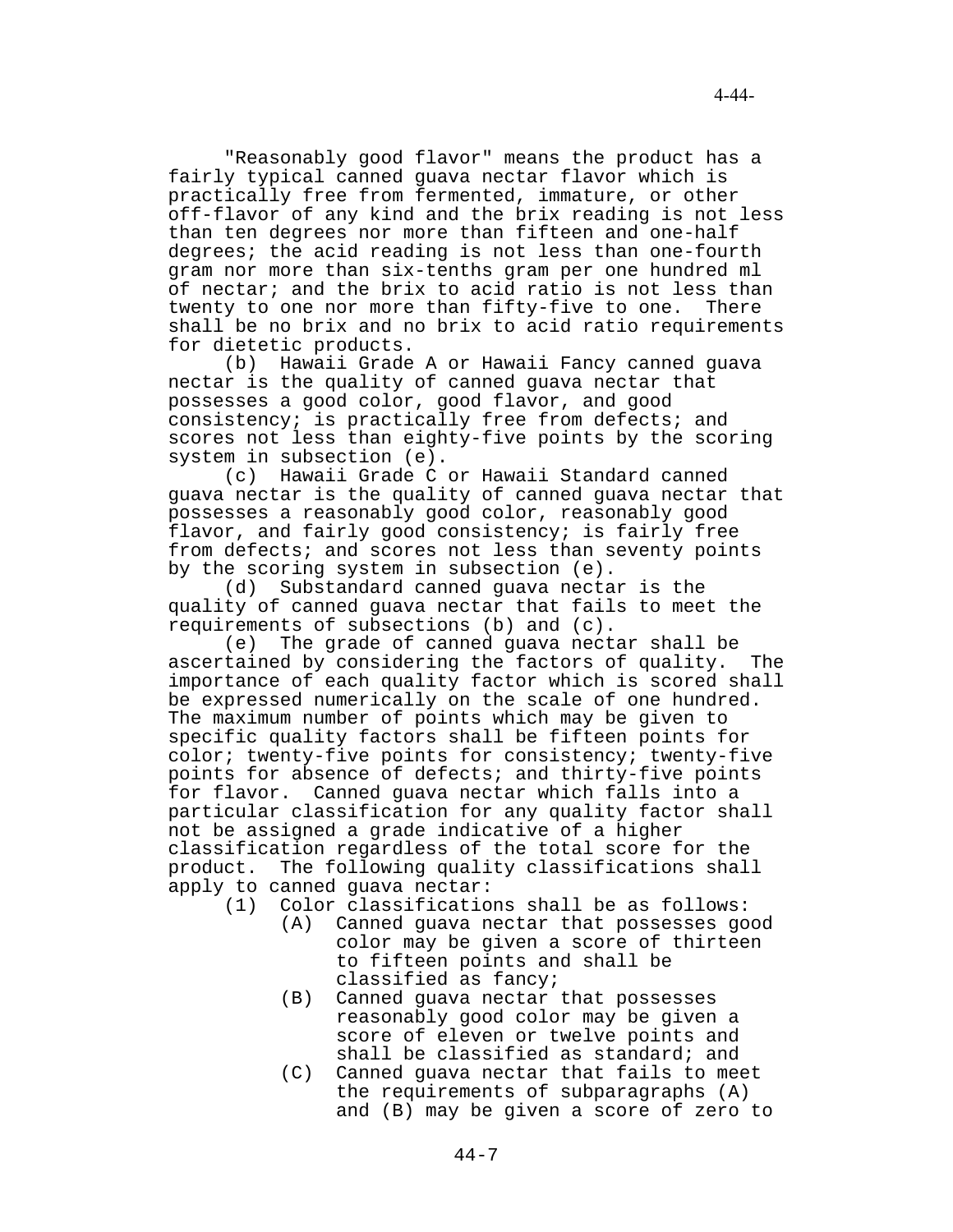"Reasonably good flavor" means the product has a fairly typical canned guava nectar flavor which is practically free from fermented, immature, or other off-flavor of any kind and the brix reading is not less than ten degrees nor more than fifteen and one-half degrees; the acid reading is not less than one-fourth gram nor more than six-tenths gram per one hundred ml of nectar; and the brix to acid ratio is not less than twenty to one nor more than fifty-five to one. There shall be no brix and no brix to acid ratio requirements for dietetic products.

(b) Hawaii Grade A or Hawaii Fancy canned guava nectar is the quality of canned guava nectar that possesses a good color, good flavor, and good consistency; is practically free from defects; and scores not less than eighty-five points by the scoring system in subsection (e).

(c) Hawaii Grade C or Hawaii Standard canned guava nectar is the quality of canned guava nectar that possesses a reasonably good color, reasonably good flavor, and fairly good consistency; is fairly free from defects; and scores not less than seventy points by the scoring system in subsection (e).

(d) Substandard canned guava nectar is the quality of canned guava nectar that fails to meet the requirements of subsections (b) and (c).

(e) The grade of canned guava nectar shall be ascertained by considering the factors of quality. The importance of each quality factor which is scored shall be expressed numerically on the scale of one hundred. The maximum number of points which may be given to specific quality factors shall be fifteen points for color; twenty-five points for consistency; twenty-five points for absence of defects; and thirty-five points for flavor. Canned guava nectar which falls into a particular classification for any quality factor shall not be assigned a grade indicative of a higher classification regardless of the total score for the product. The following quality classifications shall apply to canned guava nectar:

- (1) Color classifications shall be as follows:
	- (A) Canned guava nectar that possesses good color may be given a score of thirteen to fifteen points and shall be classified as fancy;
	- (B) Canned guava nectar that possesses reasonably good color may be given a score of eleven or twelve points and shall be classified as standard; and
	- (C) Canned guava nectar that fails to meet the requirements of subparagraphs (A) and (B) may be given a score of zero to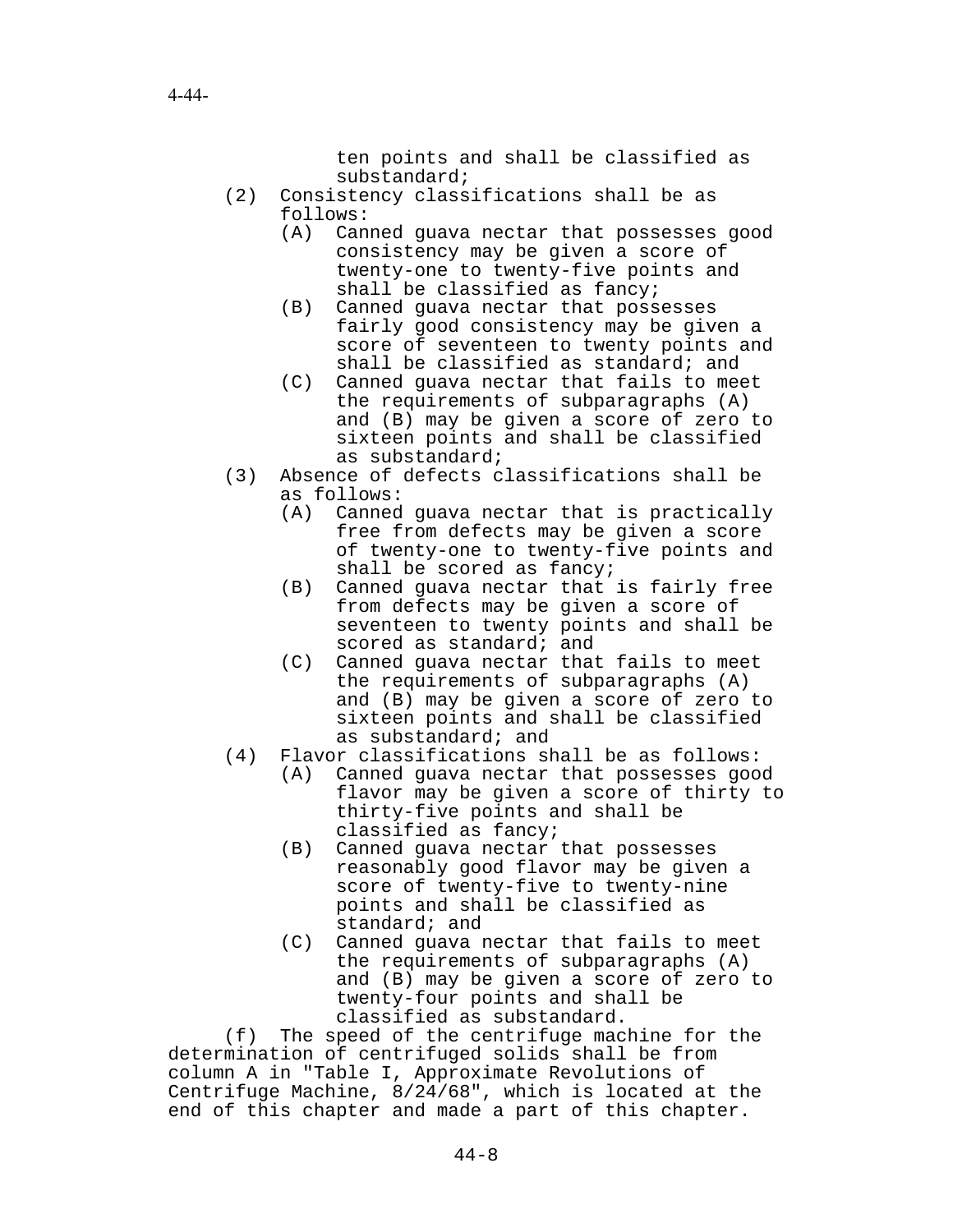ten points and shall be classified as substandard;

- (2) Consistency classifications shall be as follows:
	- (A) Canned guava nectar that possesses good consistency may be given a score of twenty-one to twenty-five points and shall be classified as fancy;
	- (B) Canned guava nectar that possesses fairly good consistency may be given a score of seventeen to twenty points and shall be classified as standard; and
	- (C) Canned guava nectar that fails to meet the requirements of subparagraphs (A) and (B) may be given a score of zero to sixteen points and shall be classified as substandard;
- (3) Absence of defects classifications shall be as follows:
	- (A) Canned guava nectar that is practically free from defects may be given a score of twenty-one to twenty-five points and shall be scored as fancy;
	- (B) Canned guava nectar that is fairly free from defects may be given a score of seventeen to twenty points and shall be scored as standard; and
	- (C) Canned guava nectar that fails to meet the requirements of subparagraphs (A) and (B) may be given a score of zero to sixteen points and shall be classified as substandard; and
- (4) Flavor classifications shall be as follows:
	- (A) Canned guava nectar that possesses good flavor may be given a score of thirty to thirty-five points and shall be classified as fancy;
	- (B) Canned guava nectar that possesses reasonably good flavor may be given a score of twenty-five to twenty-nine points and shall be classified as standard; and
	- (C) Canned guava nectar that fails to meet the requirements of subparagraphs (A) and (B) may be given a score of zero to twenty-four points and shall be classified as substandard.

(f) The speed of the centrifuge machine for the determination of centrifuged solids shall be from column A in "Table I, Approximate Revolutions of Centrifuge Machine, 8/24/68", which is located at the end of this chapter and made a part of this chapter.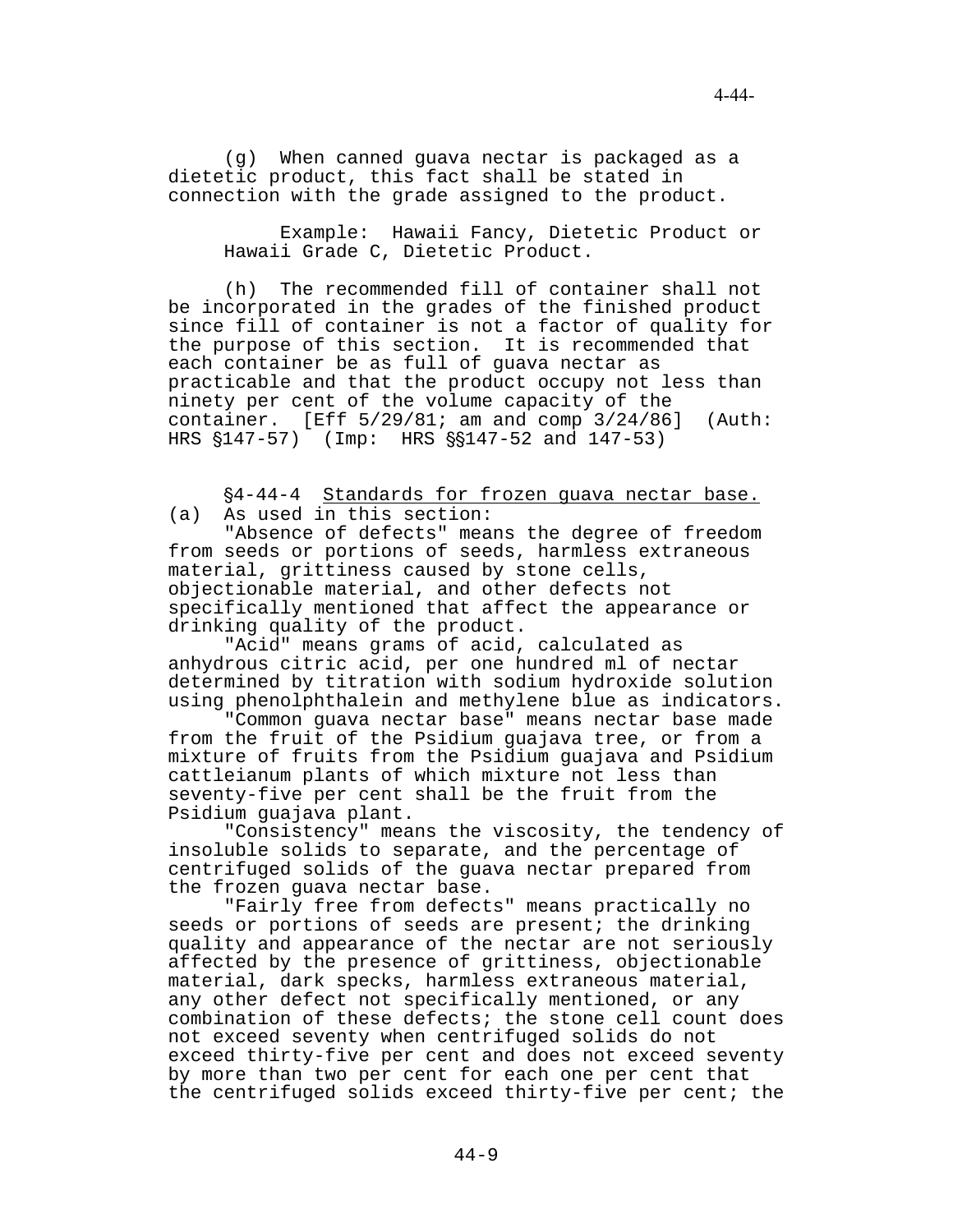(g) When canned guava nectar is packaged as a dietetic product, this fact shall be stated in connection with the grade assigned to the product.

Example: Hawaii Fancy, Dietetic Product or Hawaii Grade C, Dietetic Product.

(h) The recommended fill of container shall not be incorporated in the grades of the finished product since fill of container is not a factor of quality for the purpose of this section. It is recommended that each container be as full of guava nectar as practicable and that the product occupy not less than ninety per cent of the volume capacity of the container. [Eff  $5/29/81$ ; am and comp  $3/24/86$ ] (Auth: HRS  $$147-57$  (Imp: HRS  $$$147-52$  and  $147-53$ )

'4-44-4 Standards for frozen guava nectar base. (a) As used in this section:

"Absence of defects" means the degree of freedom from seeds or portions of seeds, harmless extraneous material, grittiness caused by stone cells, objectionable material, and other defects not specifically mentioned that affect the appearance or drinking quality of the product.

"Acid" means grams of acid, calculated as anhydrous citric acid, per one hundred ml of nectar determined by titration with sodium hydroxide solution using phenolphthalein and methylene blue as indicators.

"Common guava nectar base" means nectar base made from the fruit of the Psidium guajava tree, or from a mixture of fruits from the Psidium guajava and Psidium cattleianum plants of which mixture not less than seventy-five per cent shall be the fruit from the Psidium guajava plant.

"Consistency" means the viscosity, the tendency of insoluble solids to separate, and the percentage of centrifuged solids of the guava nectar prepared from the frozen guava nectar base.

"Fairly free from defects" means practically no seeds or portions of seeds are present; the drinking quality and appearance of the nectar are not seriously affected by the presence of grittiness, objectionable material, dark specks, harmless extraneous material, any other defect not specifically mentioned, or any combination of these defects; the stone cell count does not exceed seventy when centrifuged solids do not exceed thirty-five per cent and does not exceed seventy by more than two per cent for each one per cent that the centrifuged solids exceed thirty-five per cent; the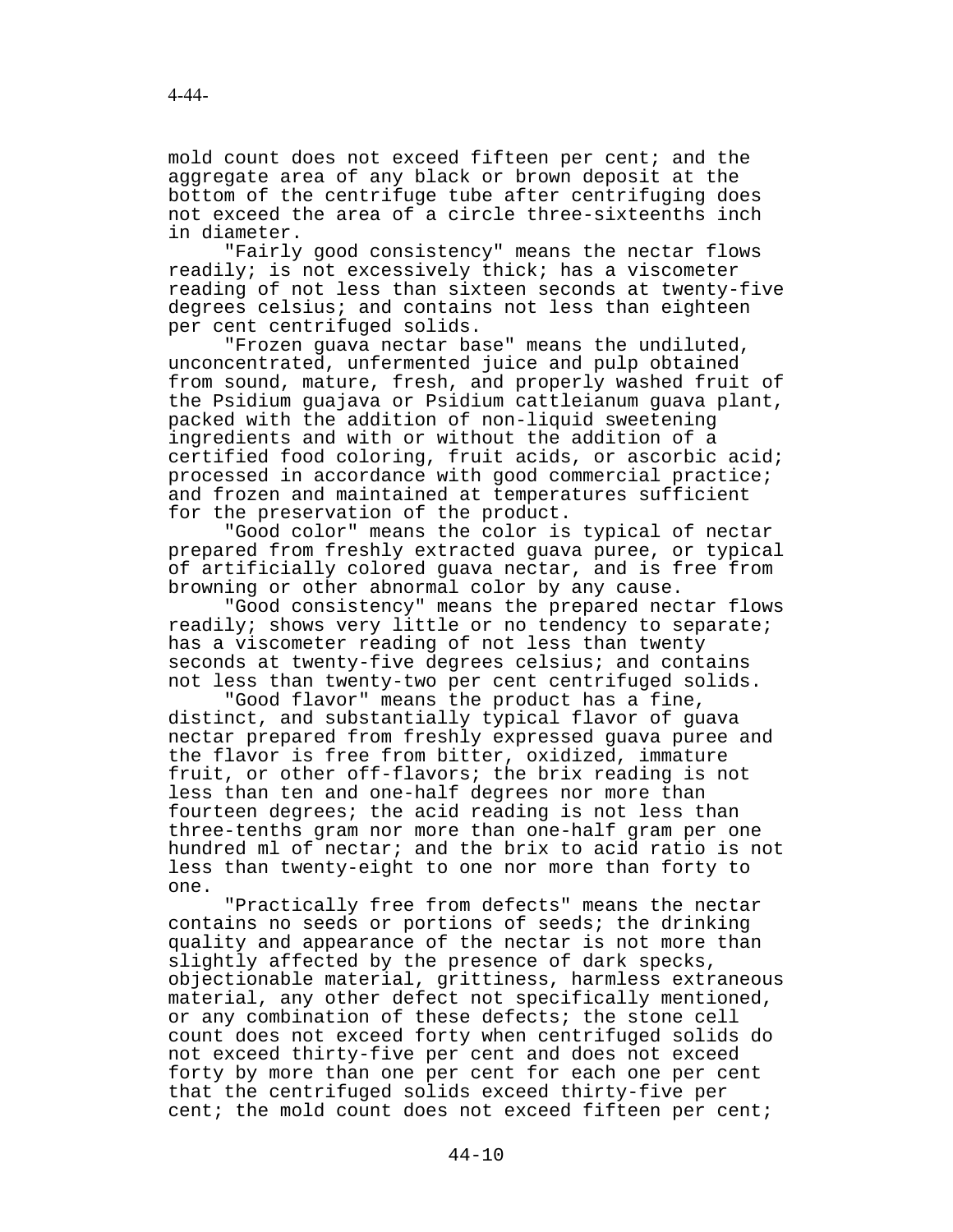mold count does not exceed fifteen per cent; and the aggregate area of any black or brown deposit at the bottom of the centrifuge tube after centrifuging does not exceed the area of a circle three-sixteenths inch in diameter.

"Fairly good consistency" means the nectar flows readily; is not excessively thick; has a viscometer reading of not less than sixteen seconds at twenty-five degrees celsius; and contains not less than eighteen per cent centrifuged solids.

"Frozen guava nectar base" means the undiluted, unconcentrated, unfermented juice and pulp obtained from sound, mature, fresh, and properly washed fruit of the Psidium guajava or Psidium cattleianum guava plant, packed with the addition of non-liquid sweetening ingredients and with or without the addition of a certified food coloring, fruit acids, or ascorbic acid; processed in accordance with good commercial practice; and frozen and maintained at temperatures sufficient for the preservation of the product.

"Good color" means the color is typical of nectar prepared from freshly extracted guava puree, or typical of artificially colored guava nectar, and is free from browning or other abnormal color by any cause.

"Good consistency" means the prepared nectar flows readily; shows very little or no tendency to separate; has a viscometer reading of not less than twenty seconds at twenty-five degrees celsius; and contains not less than twenty-two per cent centrifuged solids.

"Good flavor" means the product has a fine, distinct, and substantially typical flavor of guava nectar prepared from freshly expressed guava puree and the flavor is free from bitter, oxidized, immature fruit, or other off-flavors; the brix reading is not less than ten and one-half degrees nor more than fourteen degrees; the acid reading is not less than three-tenths gram nor more than one-half gram per one hundred ml of nectar; and the brix to acid ratio is not less than twenty-eight to one nor more than forty to one.

"Practically free from defects" means the nectar contains no seeds or portions of seeds; the drinking quality and appearance of the nectar is not more than slightly affected by the presence of dark specks, objectionable material, grittiness, harmless extraneous material, any other defect not specifically mentioned, or any combination of these defects; the stone cell count does not exceed forty when centrifuged solids do not exceed thirty-five per cent and does not exceed forty by more than one per cent for each one per cent that the centrifuged solids exceed thirty-five per cent; the mold count does not exceed fifteen per cent;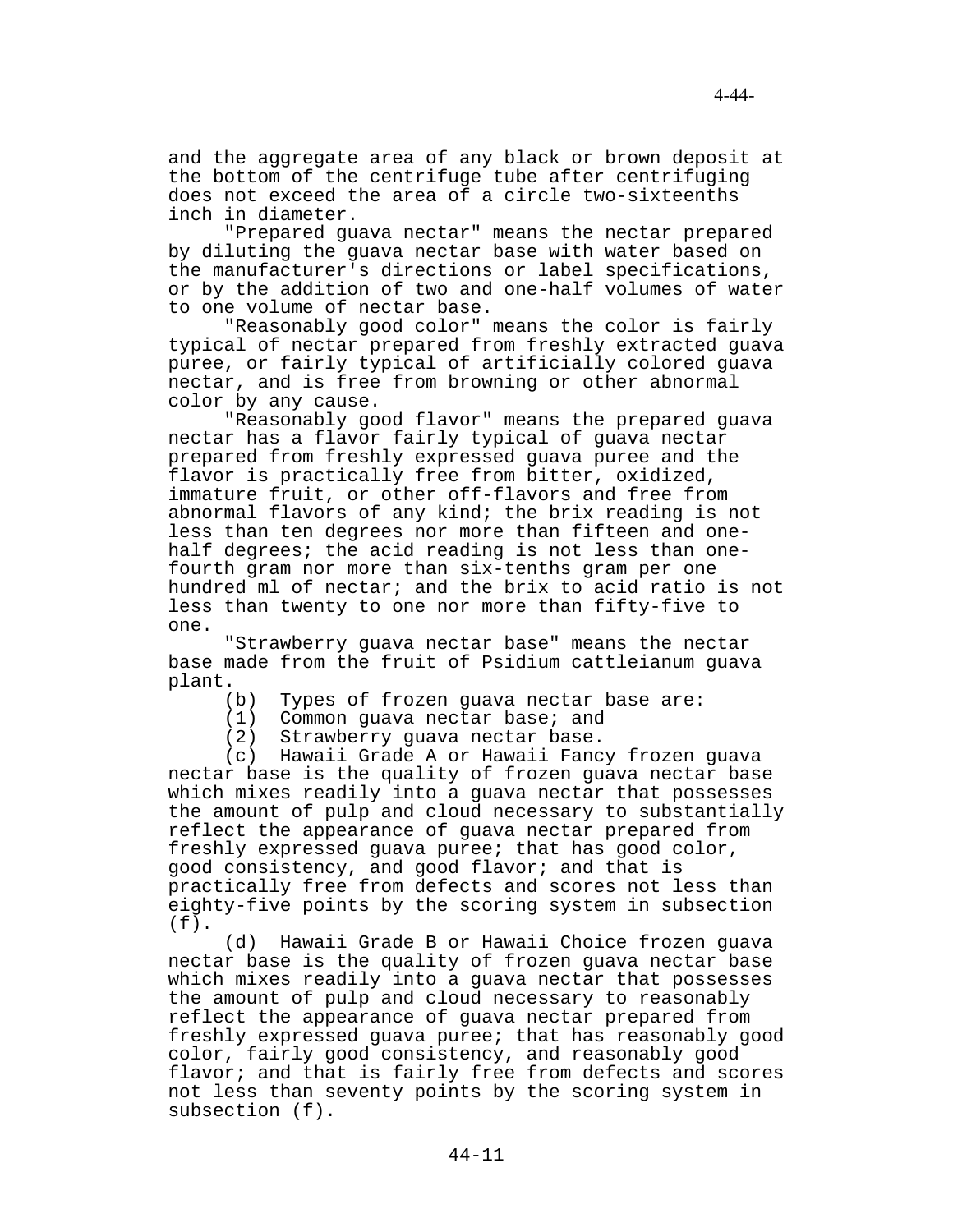"Prepared guava nectar" means the nectar prepared by diluting the guava nectar base with water based on the manufacturer's directions or label specifications, or by the addition of two and one-half volumes of water to one volume of nectar base.

"Reasonably good color" means the color is fairly typical of nectar prepared from freshly extracted guava puree, or fairly typical of artificially colored guava nectar, and is free from browning or other abnormal color by any cause.

"Reasonably good flavor" means the prepared guava nectar has a flavor fairly typical of guava nectar prepared from freshly expressed guava puree and the flavor is practically free from bitter, oxidized, immature fruit, or other off-flavors and free from abnormal flavors of any kind; the brix reading is not less than ten degrees nor more than fifteen and onehalf degrees; the acid reading is not less than onefourth gram nor more than six-tenths gram per one hundred ml of nectar; and the brix to acid ratio is not less than twenty to one nor more than fifty-five to one.

"Strawberry guava nectar base" means the nectar base made from the fruit of Psidium cattleianum guava plant.

- (b) Types of frozen guava nectar base are:
- (1) Common guava nectar base; and
- (2) Strawberry guava nectar base.

(c) Hawaii Grade A or Hawaii Fancy frozen guava nectar base is the quality of frozen guava nectar base which mixes readily into a guava nectar that possesses the amount of pulp and cloud necessary to substantially reflect the appearance of guava nectar prepared from freshly expressed guava puree; that has good color, good consistency, and good flavor; and that is practically free from defects and scores not less than eighty-five points by the scoring system in subsection (f).

(d) Hawaii Grade B or Hawaii Choice frozen guava nectar base is the quality of frozen guava nectar base which mixes readily into a guava nectar that possesses the amount of pulp and cloud necessary to reasonably reflect the appearance of guava nectar prepared from freshly expressed guava puree; that has reasonably good color, fairly good consistency, and reasonably good flavor; and that is fairly free from defects and scores not less than seventy points by the scoring system in subsection (f).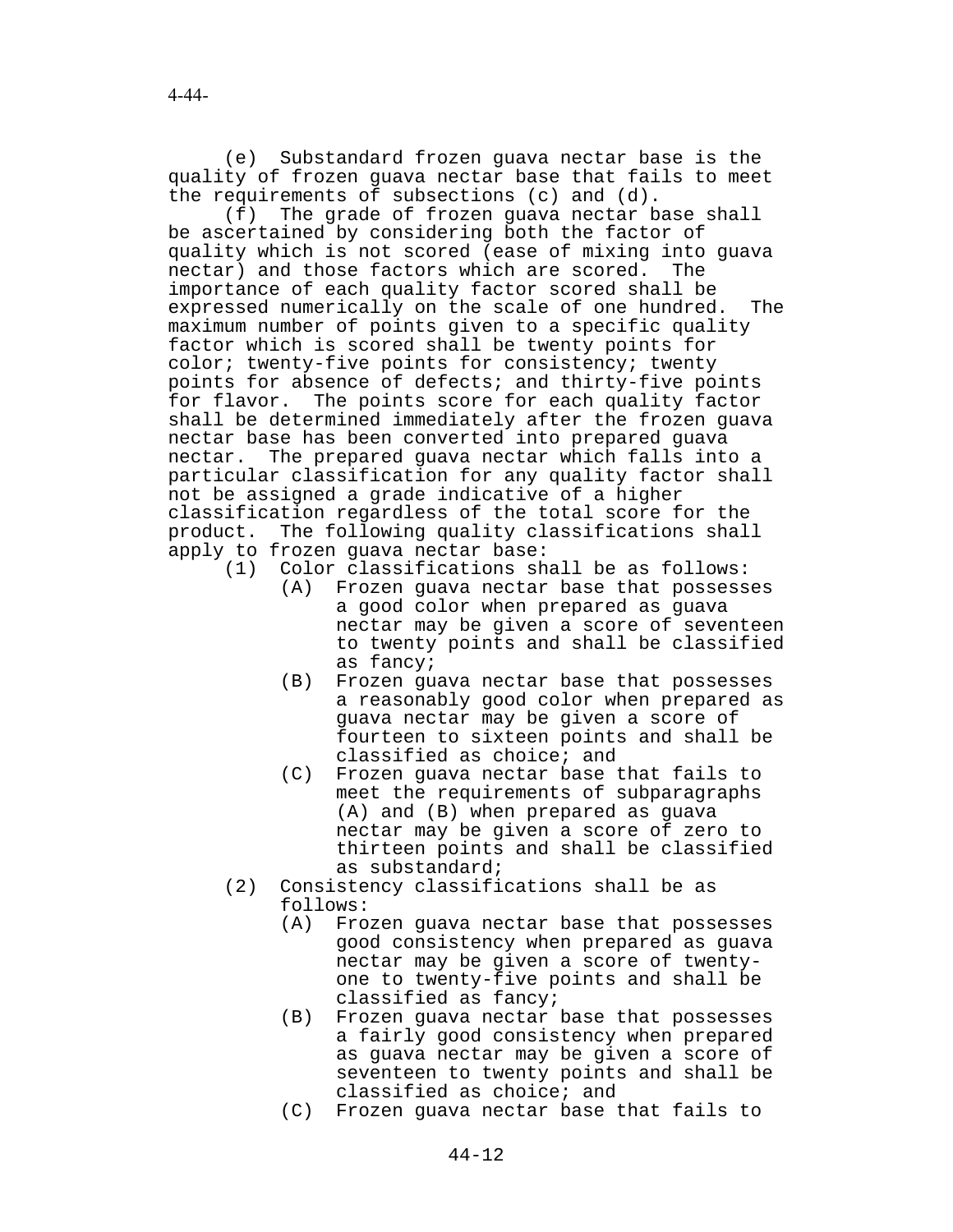(e) Substandard frozen guava nectar base is the quality of frozen guava nectar base that fails to meet the requirements of subsections (c) and (d).

(f) The grade of frozen guava nectar base shall be ascertained by considering both the factor of quality which is not scored (ease of mixing into guava nectar) and those factors which are scored. The importance of each quality factor scored shall be expressed numerically on the scale of one hundred. The maximum number of points given to a specific quality factor which is scored shall be twenty points for color; twenty-five points for consistency; twenty points for absence of defects; and thirty-five points for flavor. The points score for each quality factor shall be determined immediately after the frozen guava nectar base has been converted into prepared guava nectar. The prepared guava nectar which falls into a particular classification for any quality factor shall not be assigned a grade indicative of a higher classification regardless of the total score for the product. The following quality classifications shall apply to frozen guava nectar base:

- (1) Color classifications shall be as follows:
	- (A) Frozen guava nectar base that possesses a good color when prepared as guava nectar may be given a score of seventeen to twenty points and shall be classified as fancy;
	- (B) Frozen guava nectar base that possesses a reasonably good color when prepared as guava nectar may be given a score of fourteen to sixteen points and shall be classified as choice; and
	- (C) Frozen guava nectar base that fails to meet the requirements of subparagraphs (A) and (B) when prepared as guava nectar may be given a score of zero to thirteen points and shall be classified as substandard;
- (2) Consistency classifications shall be as follows:
	- (A) Frozen guava nectar base that possesses good consistency when prepared as guava nectar may be given a score of twentyone to twenty-five points and shall be classified as fancy;
	- (B) Frozen guava nectar base that possesses a fairly good consistency when prepared as guava nectar may be given a score of seventeen to twenty points and shall be classified as choice; and
	- (C) Frozen guava nectar base that fails to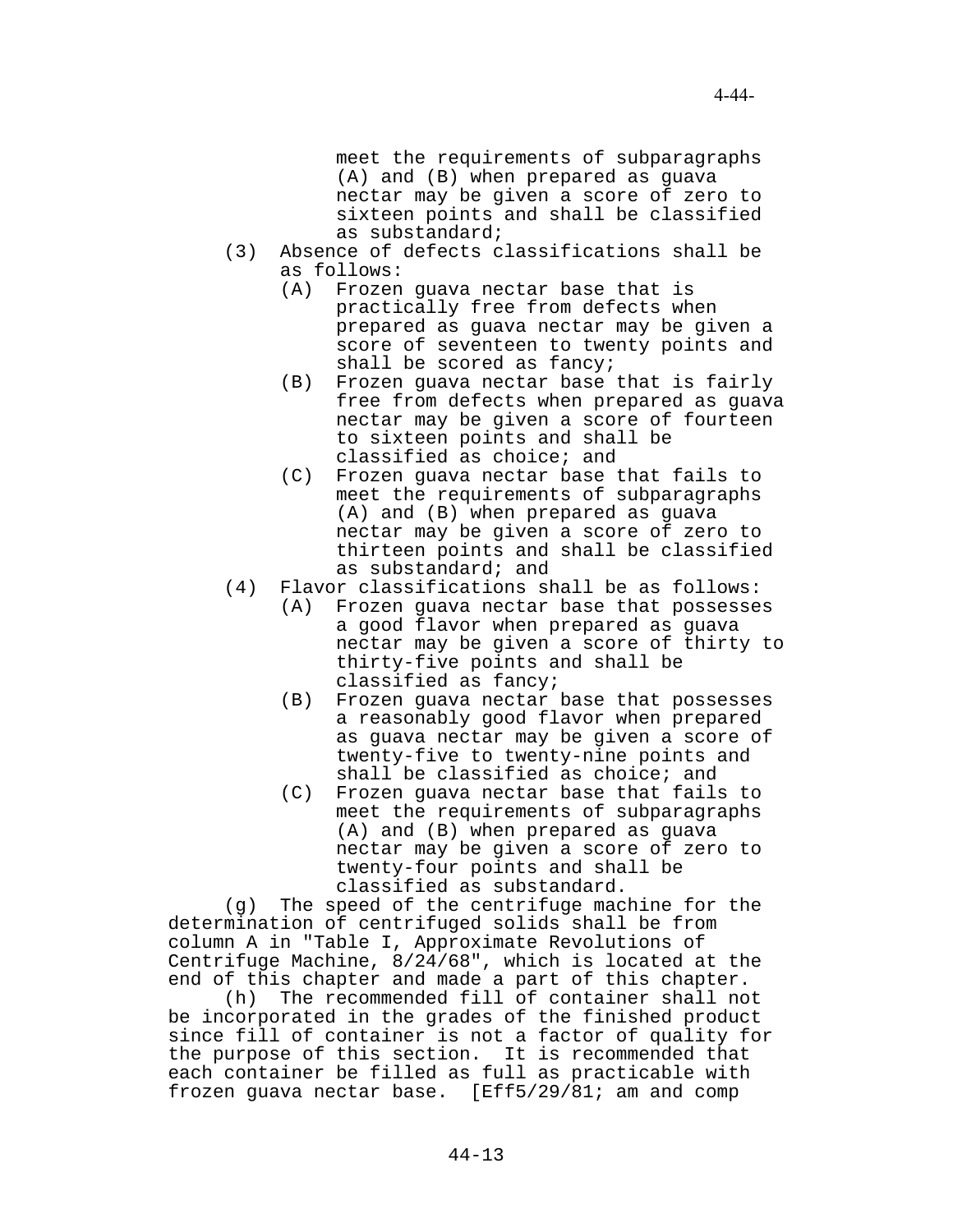meet the requirements of subparagraphs (A) and (B) when prepared as guava nectar may be given a score of zero to sixteen points and shall be classified as substandard;

- (3) Absence of defects classifications shall be as follows:
	- (A) Frozen guava nectar base that is practically free from defects when prepared as guava nectar may be given a score of seventeen to twenty points and shall be scored as fancy;
	- (B) Frozen guava nectar base that is fairly free from defects when prepared as guava nectar may be given a score of fourteen to sixteen points and shall be classified as choice; and
	- (C) Frozen guava nectar base that fails to meet the requirements of subparagraphs (A) and (B) when prepared as guava nectar may be given a score of zero to thirteen points and shall be classified as substandard; and
- (4) Flavor classifications shall be as follows:
	- (A) Frozen guava nectar base that possesses a good flavor when prepared as guava nectar may be given a score of thirty to thirty-five points and shall be classified as fancy;
	- (B) Frozen guava nectar base that possesses a reasonably good flavor when prepared as guava nectar may be given a score of twenty-five to twenty-nine points and shall be classified as choice; and
	- (C) Frozen guava nectar base that fails to meet the requirements of subparagraphs (A) and (B) when prepared as guava nectar may be given a score of zero to twenty-four points and shall be classified as substandard.

(g) The speed of the centrifuge machine for the determination of centrifuged solids shall be from column A in "Table I, Approximate Revolutions of Centrifuge Machine, 8/24/68", which is located at the end of this chapter and made a part of this chapter.

(h) The recommended fill of container shall not be incorporated in the grades of the finished product since fill of container is not a factor of quality for the purpose of this section. It is recommended that each container be filled as full as practicable with frozen guava nectar base. [Eff5/29/81; am and comp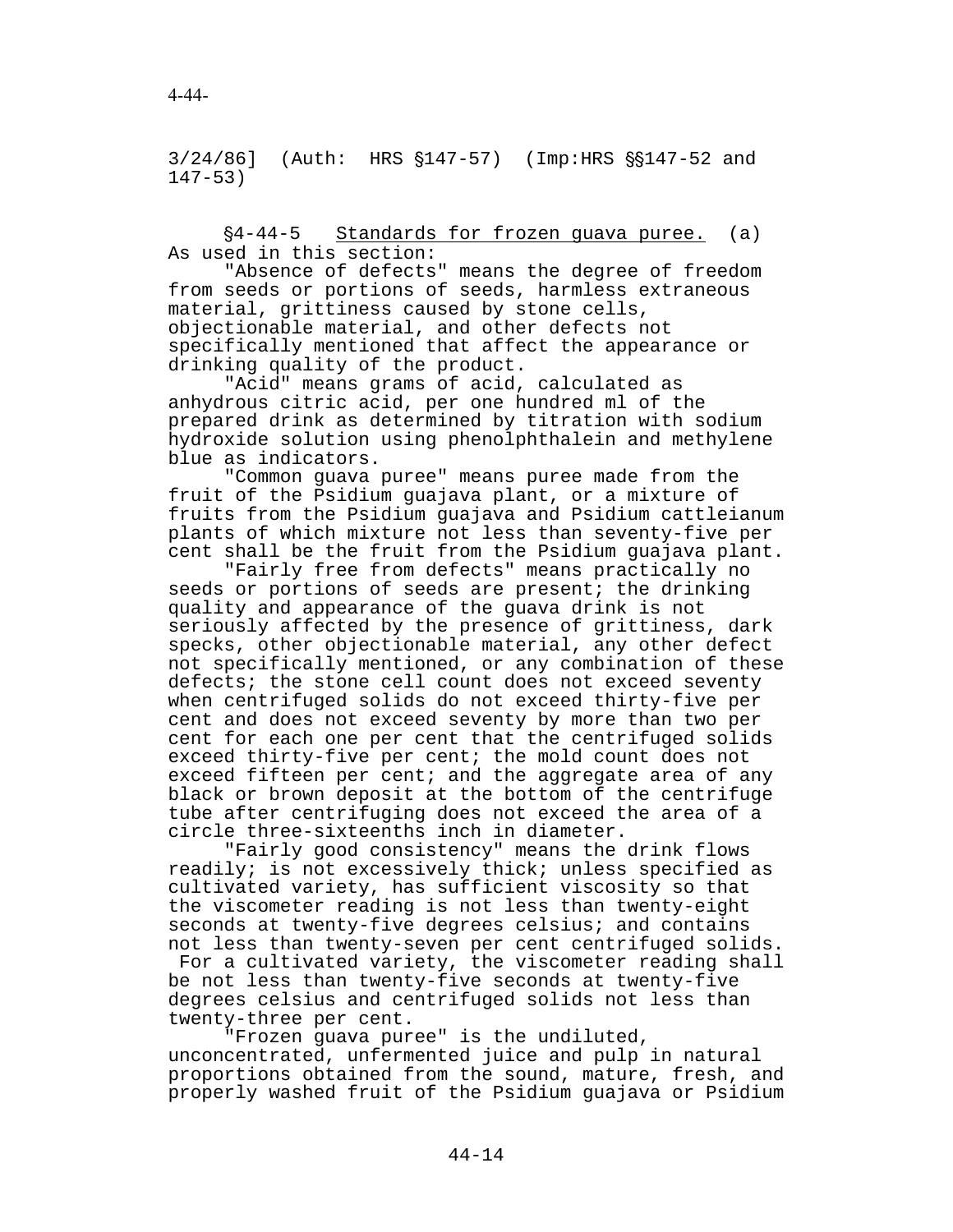3/24/86] (Auth: HRS  $$147-57$ ) (Imp:HRS  $$$147-52$  and 147-53)

'4-44-5 Standards for frozen guava puree. (a) As used in this section:

"Absence of defects" means the degree of freedom from seeds or portions of seeds, harmless extraneous material, grittiness caused by stone cells, objectionable material, and other defects not specifically mentioned that affect the appearance or drinking quality of the product.

"Acid" means grams of acid, calculated as anhydrous citric acid, per one hundred ml of the prepared drink as determined by titration with sodium hydroxide solution using phenolphthalein and methylene blue as indicators.

"Common guava puree" means puree made from the fruit of the Psidium guajava plant, or a mixture of fruits from the Psidium guajava and Psidium cattleianum plants of which mixture not less than seventy-five per cent shall be the fruit from the Psidium guajava plant.

"Fairly free from defects" means practically no seeds or portions of seeds are present; the drinking quality and appearance of the guava drink is not seriously affected by the presence of grittiness, dark specks, other objectionable material, any other defect not specifically mentioned, or any combination of these defects; the stone cell count does not exceed seventy when centrifuged solids do not exceed thirty-five per cent and does not exceed seventy by more than two per cent for each one per cent that the centrifuged solids exceed thirty-five per cent; the mold count does not exceed fifteen per cent; and the aggregate area of any black or brown deposit at the bottom of the centrifuge tube after centrifuging does not exceed the area of a circle three-sixteenths inch in diameter.

"Fairly good consistency" means the drink flows readily; is not excessively thick; unless specified as cultivated variety, has sufficient viscosity so that the viscometer reading is not less than twenty-eight seconds at twenty-five degrees celsius; and contains not less than twenty-seven per cent centrifuged solids.

 For a cultivated variety, the viscometer reading shall be not less than twenty-five seconds at twenty-five degrees celsius and centrifuged solids not less than twenty-three per cent.

"Frozen guava puree" is the undiluted, unconcentrated, unfermented juice and pulp in natural proportions obtained from the sound, mature, fresh, and properly washed fruit of the Psidium guajava or Psidium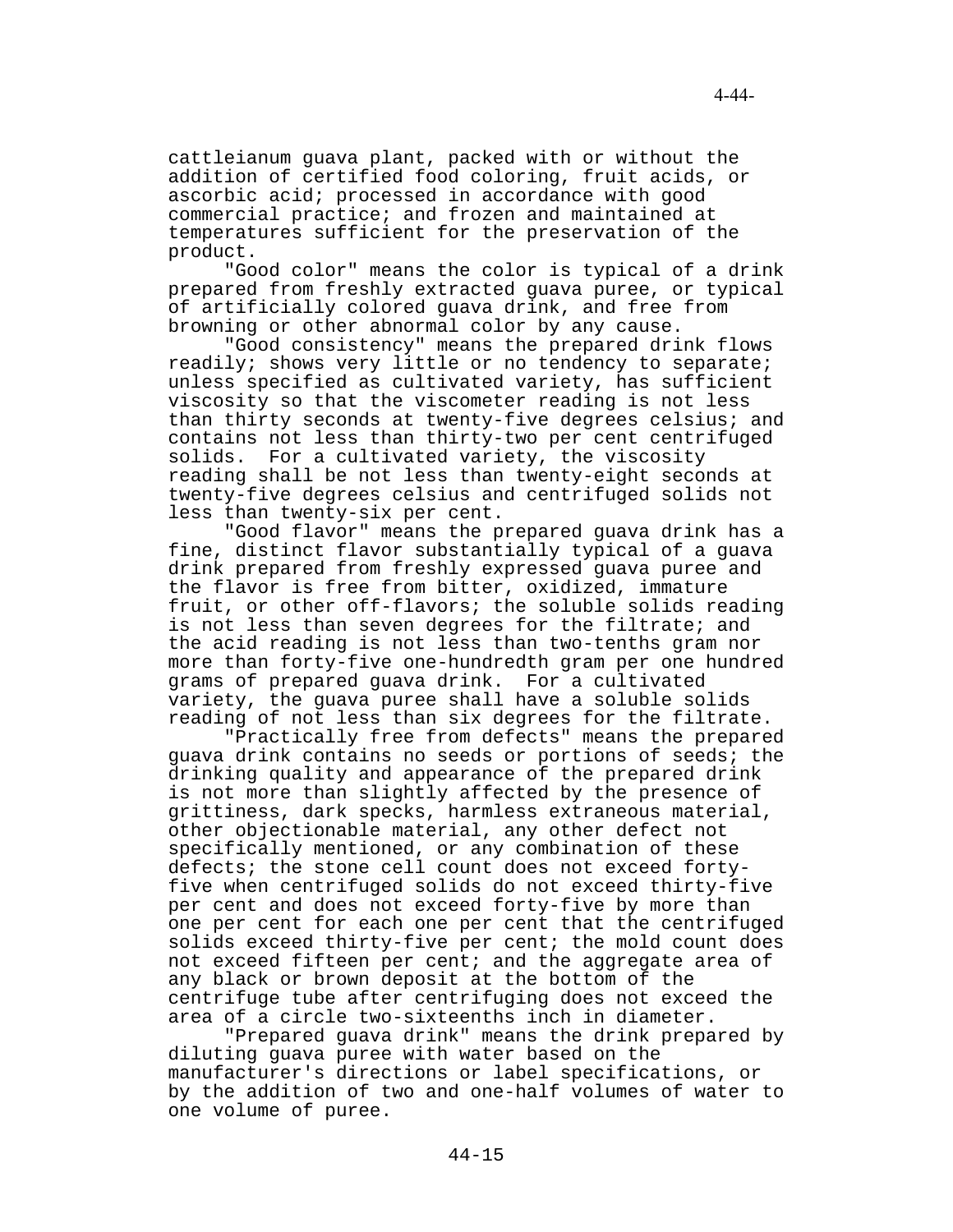cattleianum guava plant, packed with or without the addition of certified food coloring, fruit acids, or ascorbic acid; processed in accordance with good commercial practice; and frozen and maintained at temperatures sufficient for the preservation of the product.

"Good color" means the color is typical of a drink prepared from freshly extracted guava puree, or typical of artificially colored guava drink, and free from browning or other abnormal color by any cause.

"Good consistency" means the prepared drink flows readily; shows very little or no tendency to separate; unless specified as cultivated variety, has sufficient viscosity so that the viscometer reading is not less than thirty seconds at twenty-five degrees celsius; and contains not less than thirty-two per cent centrifuged solids. For a cultivated variety, the viscosity reading shall be not less than twenty-eight seconds at twenty-five degrees celsius and centrifuged solids not less than twenty-six per cent.

"Good flavor" means the prepared guava drink has a fine, distinct flavor substantially typical of a guava drink prepared from freshly expressed guava puree and the flavor is free from bitter, oxidized, immature fruit, or other off-flavors; the soluble solids reading is not less than seven degrees for the filtrate; and the acid reading is not less than two-tenths gram nor more than forty-five one-hundredth gram per one hundred grams of prepared guava drink. For a cultivated variety, the guava puree shall have a soluble solids reading of not less than six degrees for the filtrate.

"Practically free from defects" means the prepared guava drink contains no seeds or portions of seeds; the drinking quality and appearance of the prepared drink is not more than slightly affected by the presence of grittiness, dark specks, harmless extraneous material, other objectionable material, any other defect not specifically mentioned, or any combination of these defects; the stone cell count does not exceed fortyfive when centrifuged solids do not exceed thirty-five per cent and does not exceed forty-five by more than one per cent for each one per cent that the centrifuged solids exceed thirty-five per cent; the mold count does not exceed fifteen per cent; and the aggregate area of any black or brown deposit at the bottom of the centrifuge tube after centrifuging does not exceed the area of a circle two-sixteenths inch in diameter.

"Prepared guava drink" means the drink prepared by diluting guava puree with water based on the manufacturer's directions or label specifications, or by the addition of two and one-half volumes of water to one volume of puree.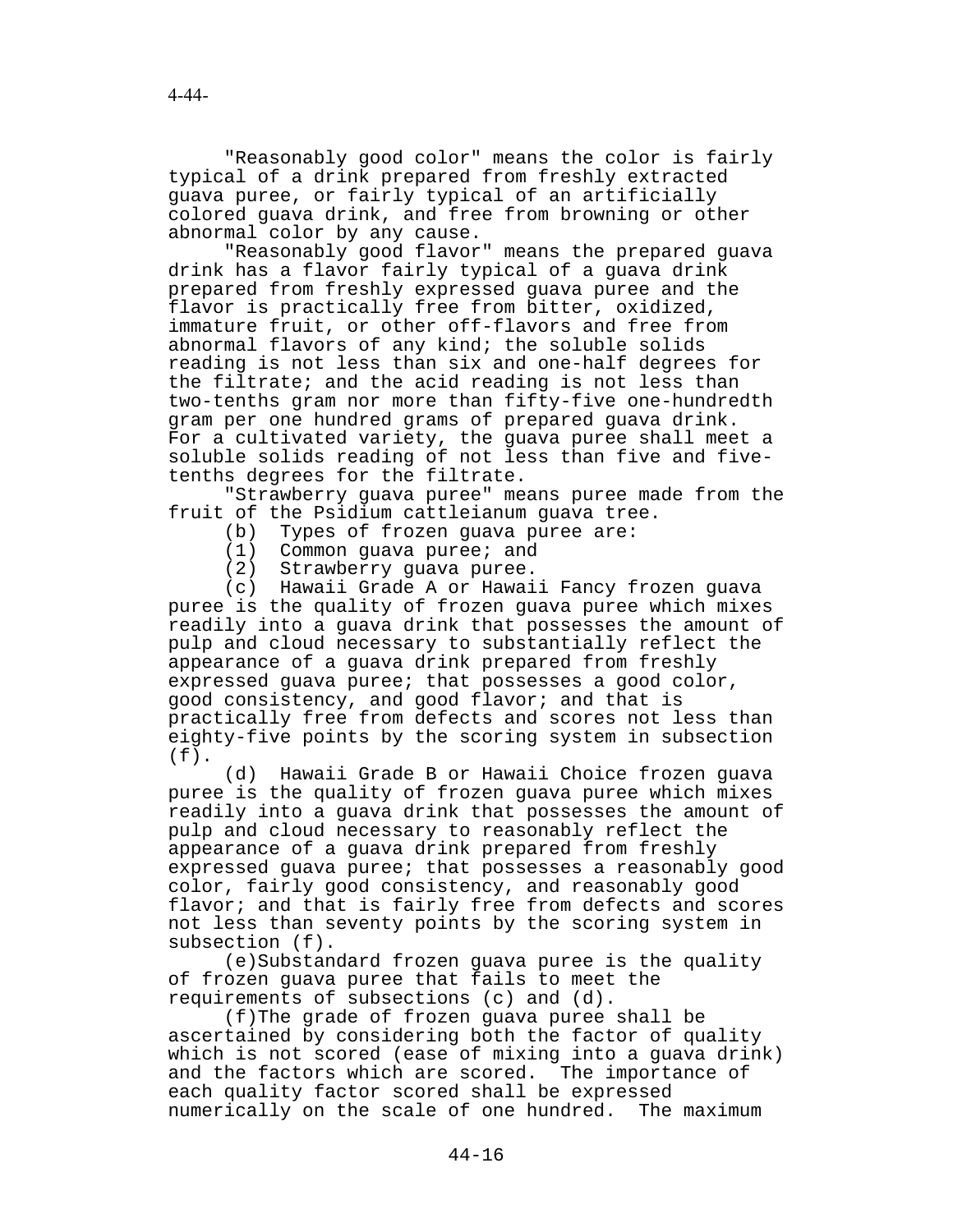"Reasonably good color" means the color is fairly typical of a drink prepared from freshly extracted guava puree, or fairly typical of an artificially colored guava drink, and free from browning or other abnormal color by any cause.

"Reasonably good flavor" means the prepared guava drink has a flavor fairly typical of a guava drink prepared from freshly expressed guava puree and the flavor is practically free from bitter, oxidized, immature fruit, or other off-flavors and free from abnormal flavors of any kind; the soluble solids reading is not less than six and one-half degrees for the filtrate; and the acid reading is not less than two-tenths gram nor more than fifty-five one-hundredth gram per one hundred grams of prepared guava drink. For a cultivated variety, the guava puree shall meet a soluble solids reading of not less than five and fivetenths degrees for the filtrate.

"Strawberry guava puree" means puree made from the fruit of the Psidium cattleianum guava tree.

- (b) Types of frozen guava puree are:
- (1) Common guava puree; and
- (2) Strawberry guava puree.

(c) Hawaii Grade A or Hawaii Fancy frozen guava puree is the quality of frozen guava puree which mixes readily into a guava drink that possesses the amount of pulp and cloud necessary to substantially reflect the appearance of a guava drink prepared from freshly expressed guava puree; that possesses a good color, good consistency, and good flavor; and that is practically free from defects and scores not less than eighty-five points by the scoring system in subsection  $(f)$ .

(d) Hawaii Grade B or Hawaii Choice frozen guava puree is the quality of frozen guava puree which mixes readily into a guava drink that possesses the amount of pulp and cloud necessary to reasonably reflect the appearance of a guava drink prepared from freshly expressed guava puree; that possesses a reasonably good color, fairly good consistency, and reasonably good flavor; and that is fairly free from defects and scores not less than seventy points by the scoring system in subsection (f).

(e)Substandard frozen guava puree is the quality of frozen guava puree that fails to meet the requirements of subsections (c) and (d).

(f)The grade of frozen guava puree shall be ascertained by considering both the factor of quality which is not scored (ease of mixing into a guava drink) and the factors which are scored. The importance of each quality factor scored shall be expressed numerically on the scale of one hundred. The maximum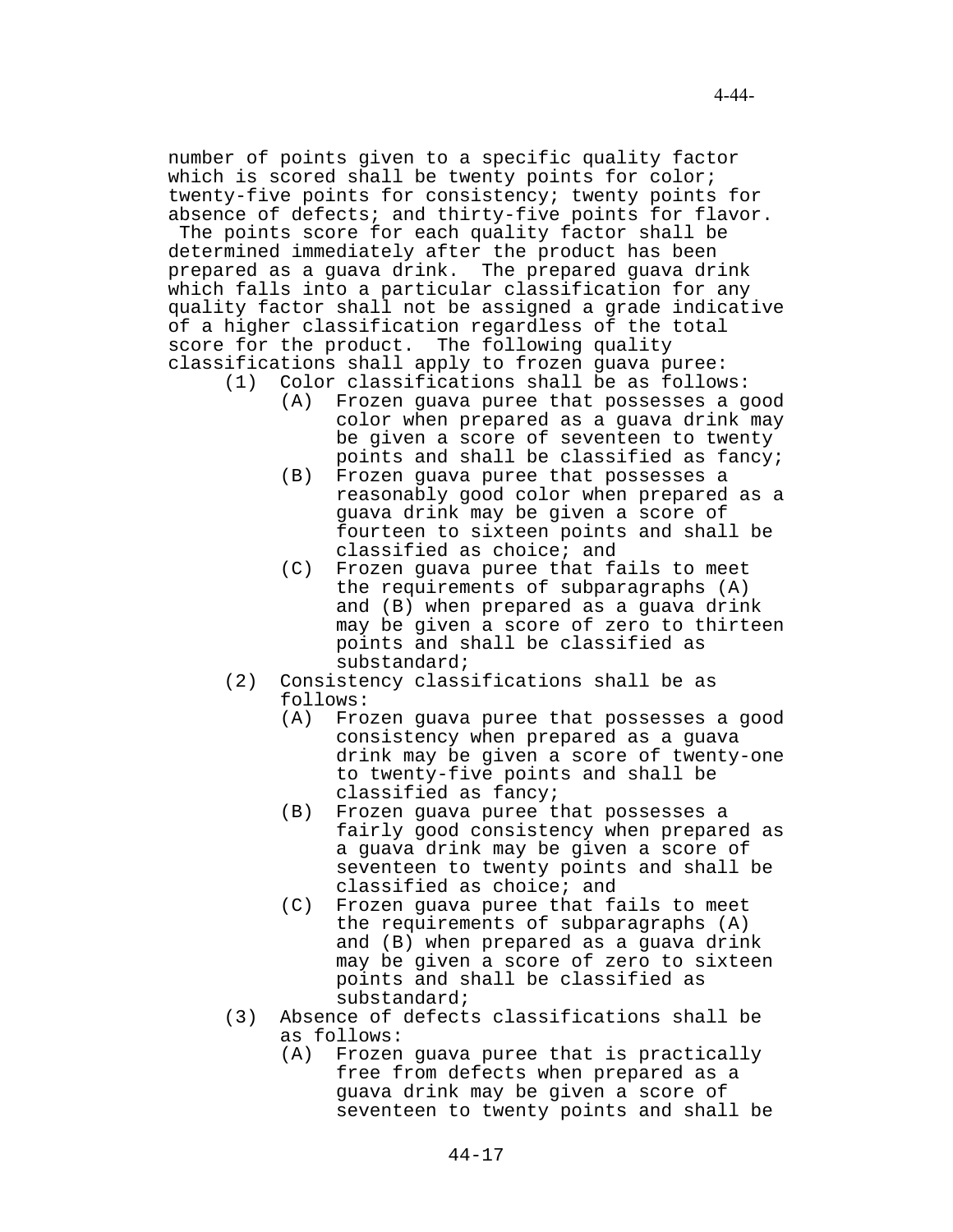number of points given to a specific quality factor which is scored shall be twenty points for color; twenty-five points for consistency; twenty points for absence of defects; and thirty-five points for flavor.

 The points score for each quality factor shall be determined immediately after the product has been prepared as a guava drink. The prepared guava drink which falls into a particular classification for any quality factor shall not be assigned a grade indicative of a higher classification regardless of the total score for the product. The following quality classifications shall apply to frozen guava puree:

- (1) Color classifications shall be as follows: (A) Frozen guava puree that possesses a good color when prepared as a guava drink may be given a score of seventeen to twenty points and shall be classified as fancy;
	- (B) Frozen guava puree that possesses a reasonably good color when prepared as a guava drink may be given a score of fourteen to sixteen points and shall be classified as choice; and
	- (C) Frozen guava puree that fails to meet the requirements of subparagraphs (A) and (B) when prepared as a guava drink may be given a score of zero to thirteen points and shall be classified as substandard;
- (2) Consistency classifications shall be as follows:
	- (A) Frozen guava puree that possesses a good consistency when prepared as a guava drink may be given a score of twenty-one to twenty-five points and shall be classified as fancy;
	- (B) Frozen guava puree that possesses a fairly good consistency when prepared as a guava drink may be given a score of seventeen to twenty points and shall be classified as choice; and
	- (C) Frozen guava puree that fails to meet the requirements of subparagraphs (A) and (B) when prepared as a guava drink may be given a score of zero to sixteen points and shall be classified as substandard;
- (3) Absence of defects classifications shall be as follows:
	- (A) Frozen guava puree that is practically free from defects when prepared as a guava drink may be given a score of seventeen to twenty points and shall be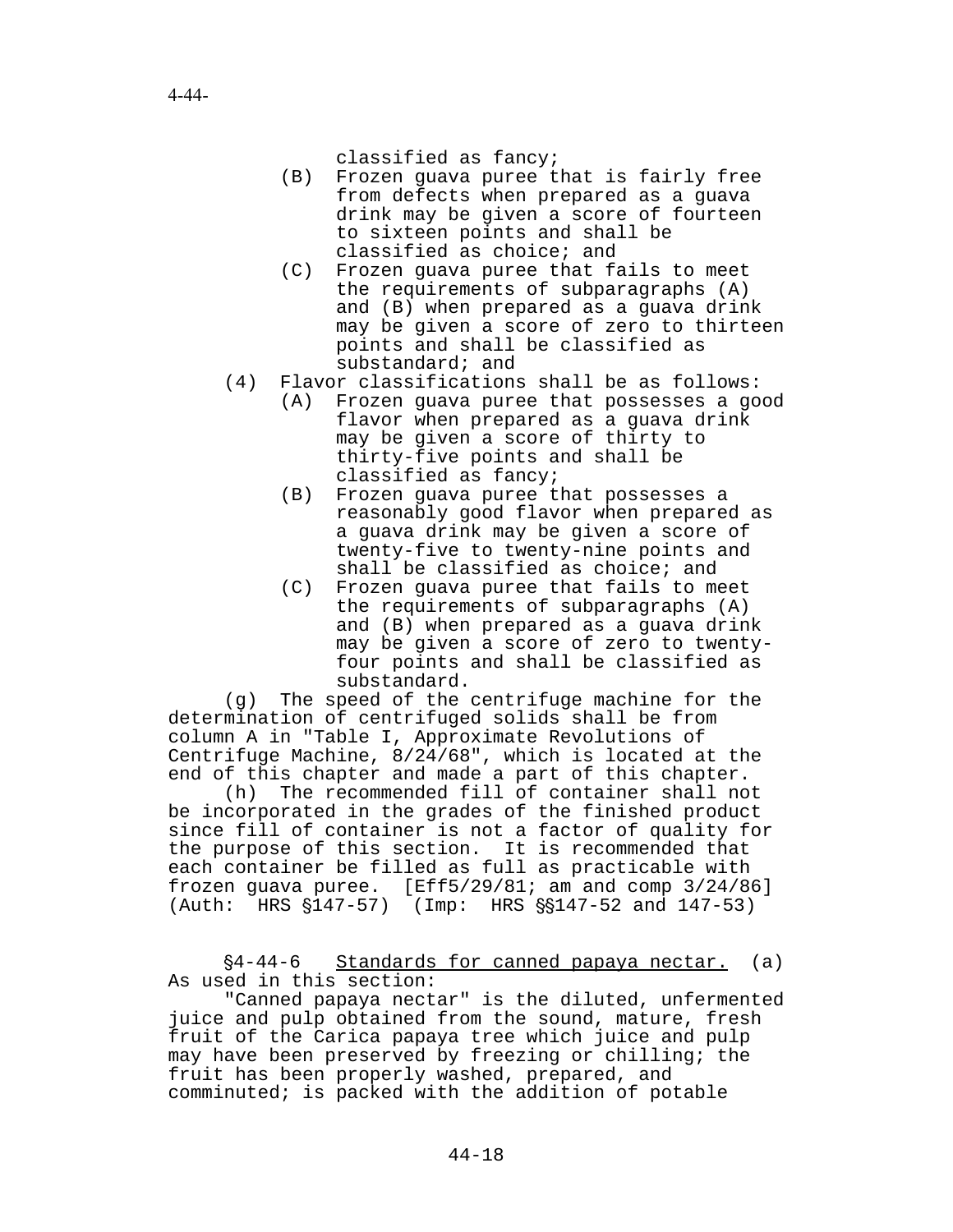classified as fancy;

- (B) Frozen guava puree that is fairly free from defects when prepared as a guava drink may be given a score of fourteen to sixteen points and shall be classified as choice; and
- (C) Frozen guava puree that fails to meet the requirements of subparagraphs (A) and (B) when prepared as a guava drink may be given a score of zero to thirteen points and shall be classified as substandard; and
- (4) Flavor classifications shall be as follows:
	- (A) Frozen guava puree that possesses a good flavor when prepared as a guava drink may be given a score of thirty to thirty-five points and shall be classified as fancy;
	- (B) Frozen guava puree that possesses a reasonably good flavor when prepared as a guava drink may be given a score of twenty-five to twenty-nine points and shall be classified as choice; and
	- (C) Frozen guava puree that fails to meet the requirements of subparagraphs (A) and (B) when prepared as a guava drink may be given a score of zero to twentyfour points and shall be classified as substandard.

(g) The speed of the centrifuge machine for the determination of centrifuged solids shall be from column A in "Table I, Approximate Revolutions of Centrifuge Machine, 8/24/68", which is located at the end of this chapter and made a part of this chapter.

(h) The recommended fill of container shall not be incorporated in the grades of the finished product since fill of container is not a factor of quality for the purpose of this section. It is recommended that each container be filled as full as practicable with frozen guava puree. [Eff5/29/81; am and comp 3/24/86] (Auth: HRS §147-57) (Imp: HRS §§147-52 and 147-53)

'4-44-6 Standards for canned papaya nectar. (a) As used in this section:

"Canned papaya nectar" is the diluted, unfermented juice and pulp obtained from the sound, mature, fresh fruit of the Carica papaya tree which juice and pulp may have been preserved by freezing or chilling; the fruit has been properly washed, prepared, and comminuted; is packed with the addition of potable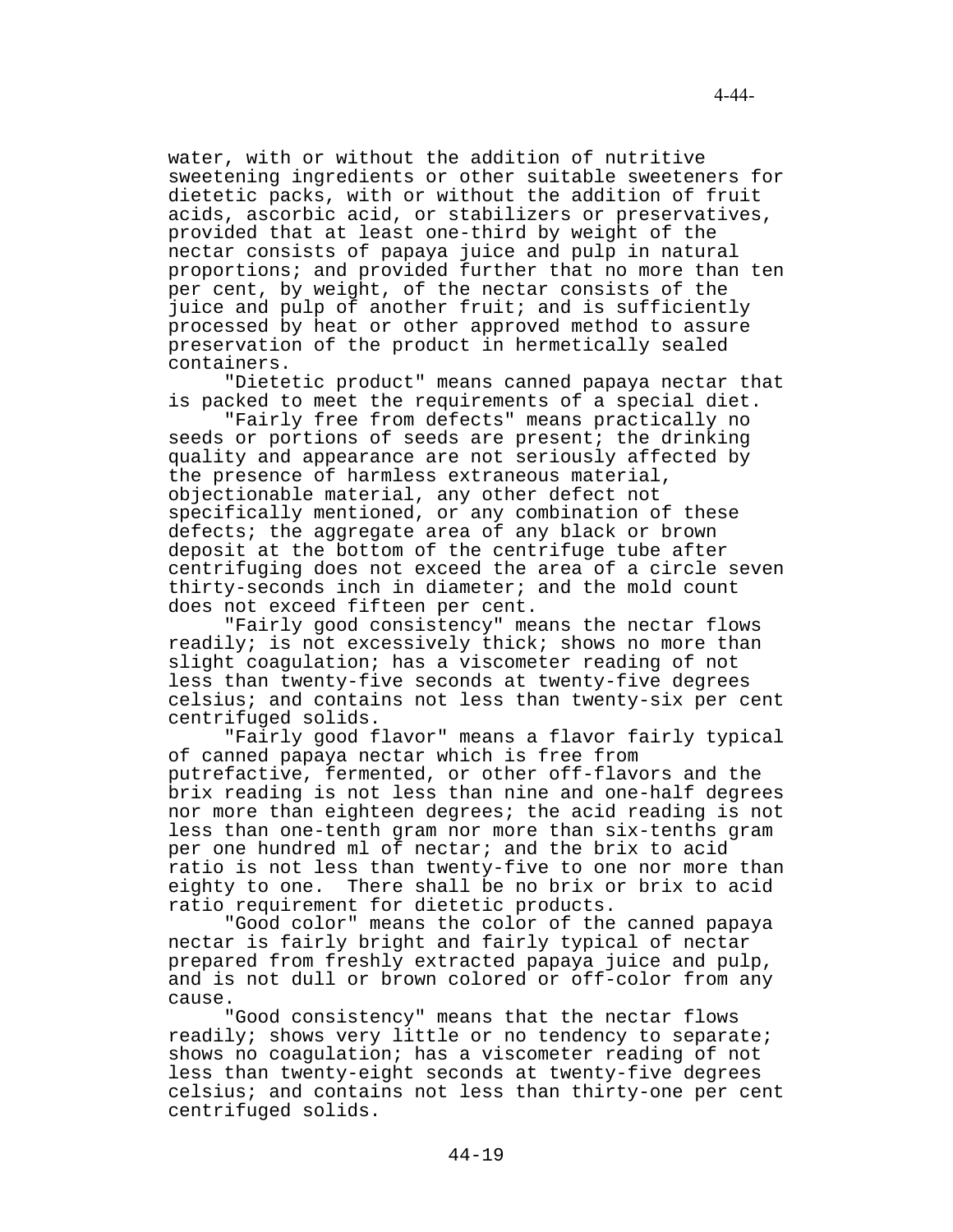water, with or without the addition of nutritive sweetening ingredients or other suitable sweeteners for dietetic packs, with or without the addition of fruit acids, ascorbic acid, or stabilizers or preservatives, provided that at least one-third by weight of the nectar consists of papaya juice and pulp in natural proportions; and provided further that no more than ten per cent, by weight, of the nectar consists of the juice and pulp of another fruit; and is sufficiently processed by heat or other approved method to assure preservation of the product in hermetically sealed containers.

"Dietetic product" means canned papaya nectar that is packed to meet the requirements of a special diet.

"Fairly free from defects" means practically no seeds or portions of seeds are present; the drinking quality and appearance are not seriously affected by the presence of harmless extraneous material, objectionable material, any other defect not specifically mentioned, or any combination of these defects; the aggregate area of any black or brown deposit at the bottom of the centrifuge tube after centrifuging does not exceed the area of a circle seven thirty-seconds inch in diameter; and the mold count does not exceed fifteen per cent.

"Fairly good consistency" means the nectar flows readily; is not excessively thick; shows no more than slight coagulation; has a viscometer reading of not less than twenty-five seconds at twenty-five degrees celsius; and contains not less than twenty-six per cent centrifuged solids.

"Fairly good flavor" means a flavor fairly typical of canned papaya nectar which is free from putrefactive, fermented, or other off-flavors and the brix reading is not less than nine and one-half degrees nor more than eighteen degrees; the acid reading is not less than one-tenth gram nor more than six-tenths gram per one hundred ml of nectar; and the brix to acid ratio is not less than twenty-five to one nor more than eighty to one. There shall be no brix or brix to acid ratio requirement for dietetic products.

"Good color" means the color of the canned papaya nectar is fairly bright and fairly typical of nectar prepared from freshly extracted papaya juice and pulp, and is not dull or brown colored or off-color from any cause.

"Good consistency" means that the nectar flows readily; shows very little or no tendency to separate; shows no coagulation; has a viscometer reading of not less than twenty-eight seconds at twenty-five degrees celsius; and contains not less than thirty-one per cent centrifuged solids.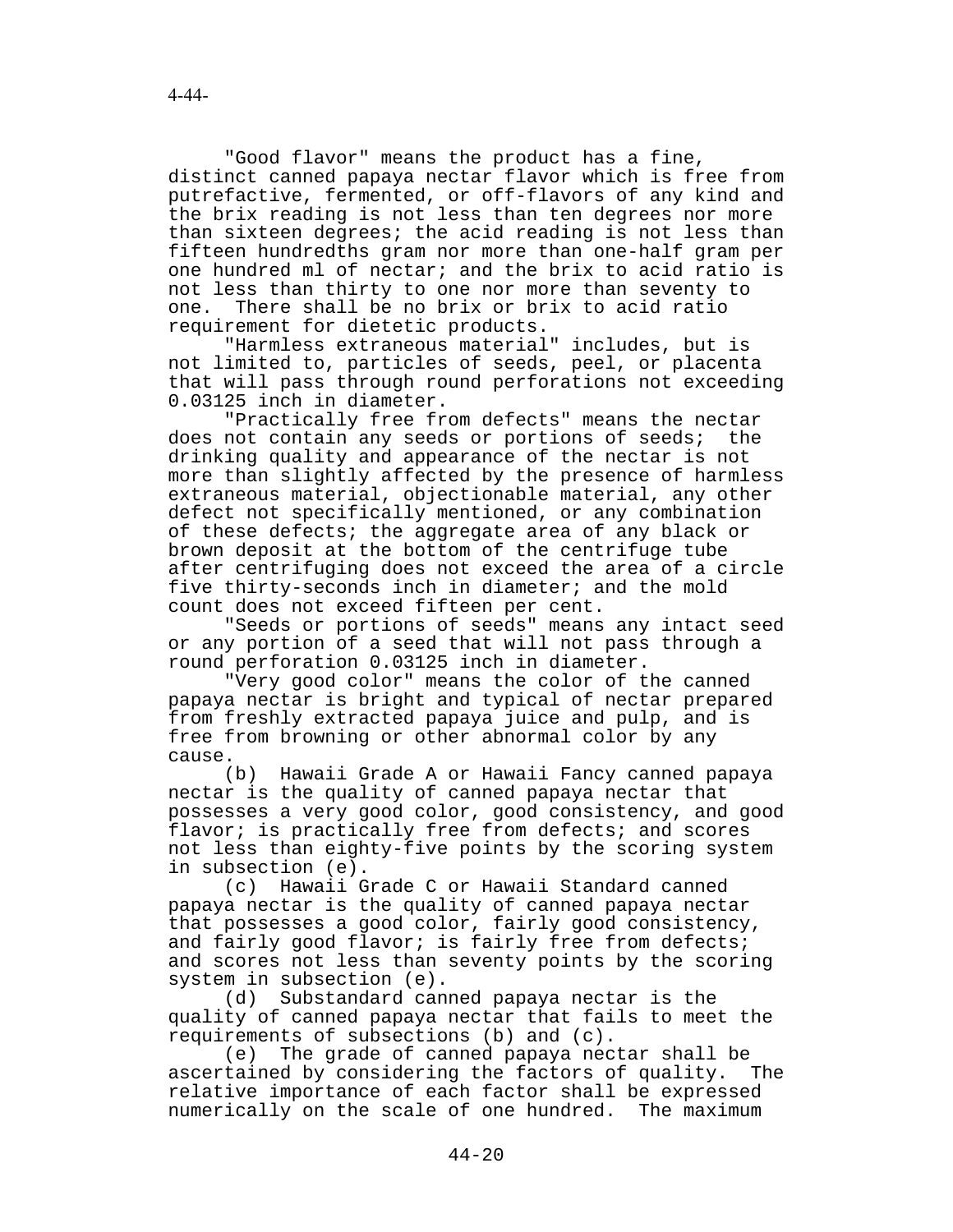"Good flavor" means the product has a fine, distinct canned papaya nectar flavor which is free from putrefactive, fermented, or off-flavors of any kind and the brix reading is not less than ten degrees nor more than sixteen degrees; the acid reading is not less than fifteen hundredths gram nor more than one-half gram per one hundred ml of nectar; and the brix to acid ratio is not less than thirty to one nor more than seventy to one. There shall be no brix or brix to acid ratio requirement for dietetic products.

"Harmless extraneous material" includes, but is not limited to, particles of seeds, peel, or placenta that will pass through round perforations not exceeding 0.03125 inch in diameter.

"Practically free from defects" means the nectar does not contain any seeds or portions of seeds; the drinking quality and appearance of the nectar is not more than slightly affected by the presence of harmless extraneous material, objectionable material, any other defect not specifically mentioned, or any combination of these defects; the aggregate area of any black or brown deposit at the bottom of the centrifuge tube after centrifuging does not exceed the area of a circle five thirty-seconds inch in diameter; and the mold count does not exceed fifteen per cent.

"Seeds or portions of seeds" means any intact seed or any portion of a seed that will not pass through a round perforation 0.03125 inch in diameter.

"Very good color" means the color of the canned papaya nectar is bright and typical of nectar prepared from freshly extracted papaya juice and pulp, and is free from browning or other abnormal color by any cause.

(b) Hawaii Grade A or Hawaii Fancy canned papaya nectar is the quality of canned papaya nectar that possesses a very good color, good consistency, and good flavor; is practically free from defects; and scores not less than eighty-five points by the scoring system in subsection (e).

(c) Hawaii Grade C or Hawaii Standard canned papaya nectar is the quality of canned papaya nectar that possesses a good color, fairly good consistency, and fairly good flavor; is fairly free from defects; and scores not less than seventy points by the scoring system in subsection (e).

(d) Substandard canned papaya nectar is the quality of canned papaya nectar that fails to meet the requirements of subsections (b) and (c).

(e) The grade of canned papaya nectar shall be ascertained by considering the factors of quality. The relative importance of each factor shall be expressed numerically on the scale of one hundred. The maximum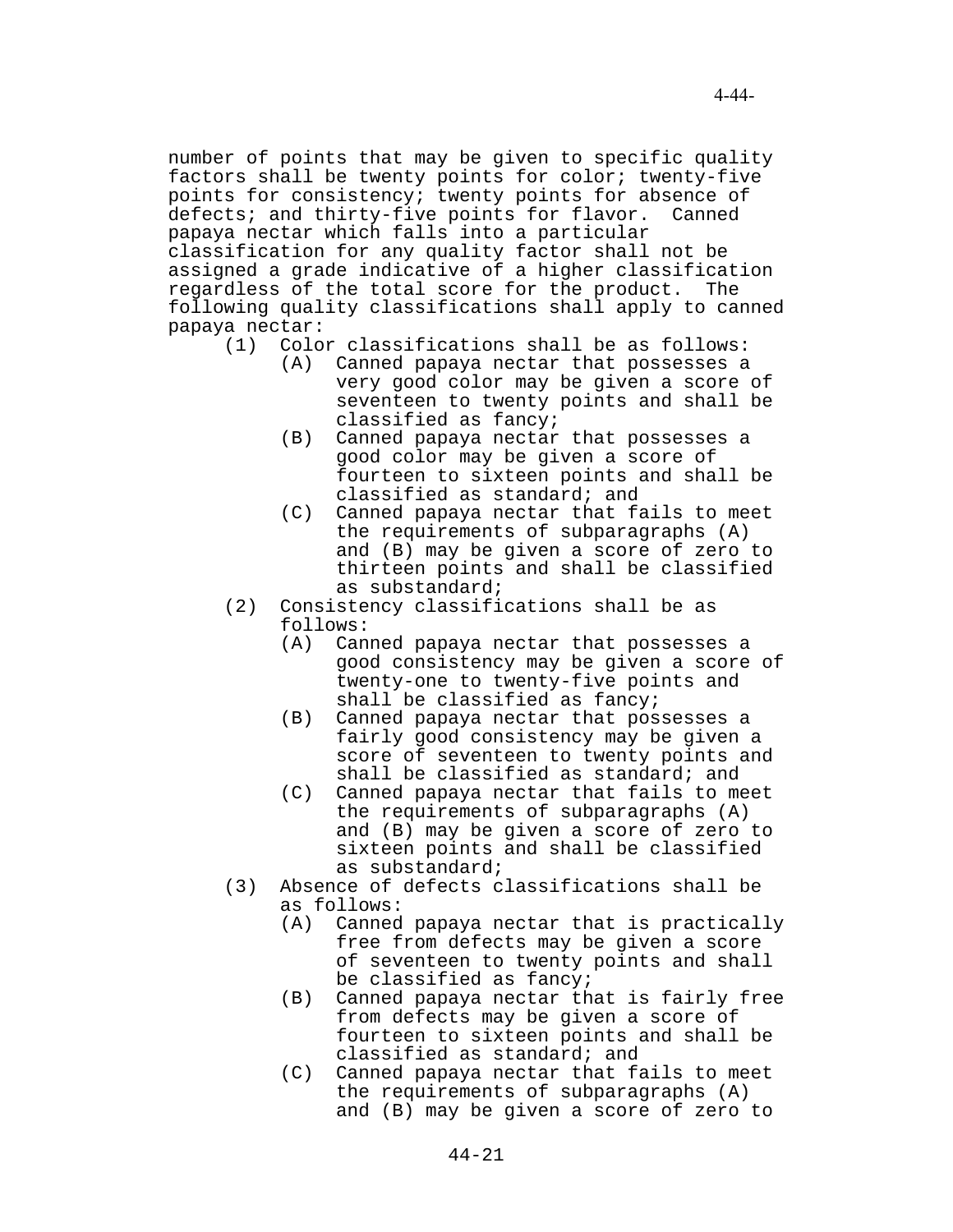number of points that may be given to specific quality factors shall be twenty points for color; twenty-five points for consistency; twenty points for absence of defects; and thirty-five points for flavor. Canned papaya nectar which falls into a particular classification for any quality factor shall not be assigned a grade indicative of a higher classification regardless of the total score for the product. The following quality classifications shall apply to canned papaya nectar:

- (1) Color classifications shall be as follows:
	- (A) Canned papaya nectar that possesses a very good color may be given a score of seventeen to twenty points and shall be classified as fancy;
	- (B) Canned papaya nectar that possesses a good color may be given a score of fourteen to sixteen points and shall be classified as standard; and
	- (C) Canned papaya nectar that fails to meet the requirements of subparagraphs (A) and (B) may be given a score of zero to thirteen points and shall be classified as substandard;
- (2) Consistency classifications shall be as follows:
	- (A) Canned papaya nectar that possesses a good consistency may be given a score of twenty-one to twenty-five points and shall be classified as fancy;
	- (B) Canned papaya nectar that possesses a fairly good consistency may be given a score of seventeen to twenty points and shall be classified as standard; and
	- (C) Canned papaya nectar that fails to meet the requirements of subparagraphs (A) and (B) may be given a score of zero to sixteen points and shall be classified as substandard;
- (3) Absence of defects classifications shall be as follows:
	- (A) Canned papaya nectar that is practically free from defects may be given a score of seventeen to twenty points and shall be classified as fancy;
	- (B) Canned papaya nectar that is fairly free from defects may be given a score of fourteen to sixteen points and shall be classified as standard; and
	- (C) Canned papaya nectar that fails to meet the requirements of subparagraphs (A) and (B) may be given a score of zero to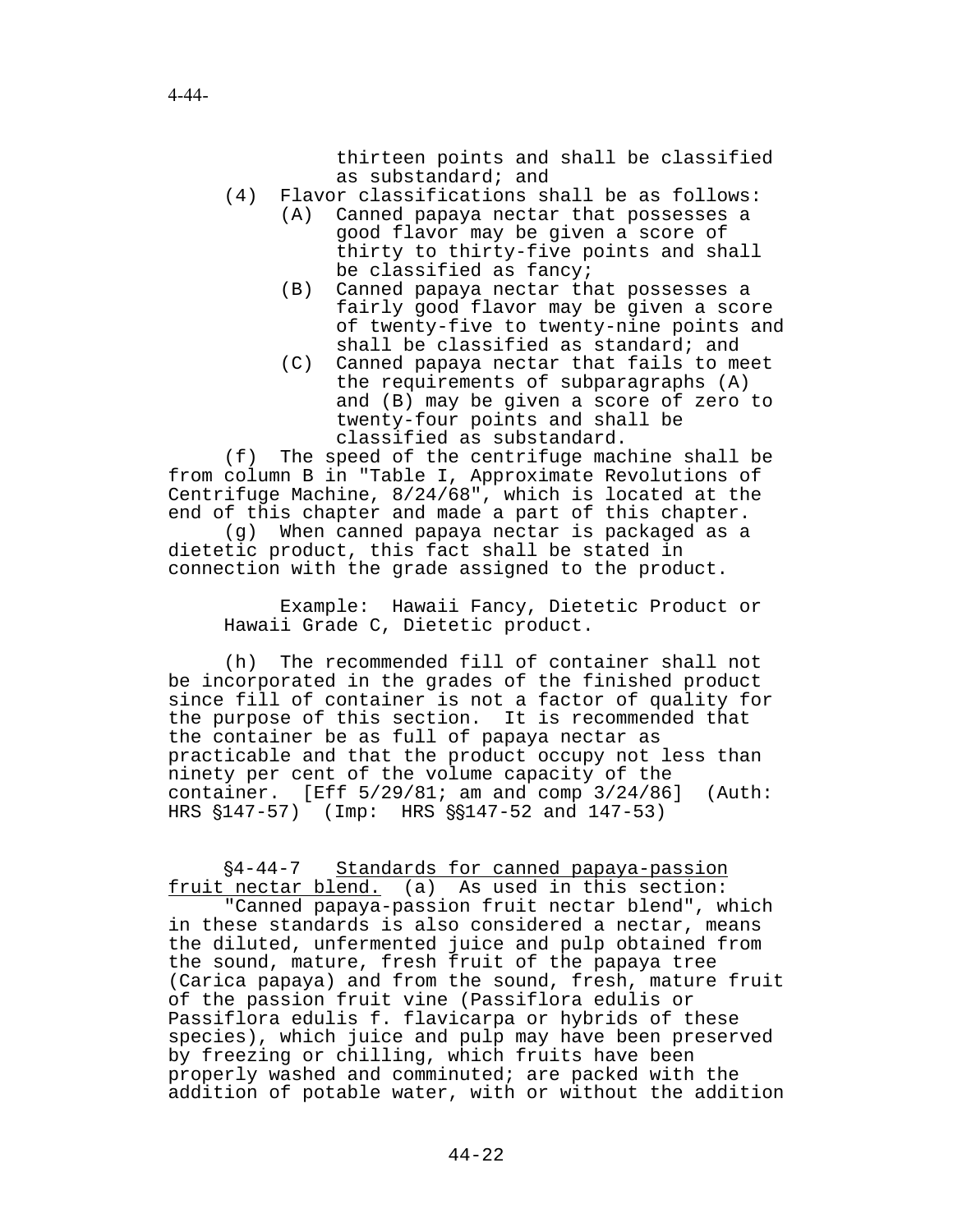thirteen points and shall be classified as substandard; and

- (4) Flavor classifications shall be as follows:
	- (A) Canned papaya nectar that possesses a good flavor may be given a score of thirty to thirty-five points and shall be classified as fancy;
	- (B) Canned papaya nectar that possesses a fairly good flavor may be given a score of twenty-five to twenty-nine points and shall be classified as standard; and
	- (C) Canned papaya nectar that fails to meet the requirements of subparagraphs (A) and (B) may be given a score of zero to twenty-four points and shall be classified as substandard.

(f) The speed of the centrifuge machine shall be from column B in "Table I, Approximate Revolutions of Centrifuge Machine, 8/24/68", which is located at the end of this chapter and made a part of this chapter. (g) When canned papaya nectar is packaged as a

dietetic product, this fact shall be stated in connection with the grade assigned to the product.

Example: Hawaii Fancy, Dietetic Product or Hawaii Grade C, Dietetic product.

(h) The recommended fill of container shall not be incorporated in the grades of the finished product since fill of container is not a factor of quality for the purpose of this section. It is recommended that the container be as full of papaya nectar as practicable and that the product occupy not less than ninety per cent of the volume capacity of the container. [Eff  $5/29/81$ ; am and comp  $3/24/86$ ] (Auth: HRS  $$147-57$  (Imp: HRS  $$9147-52$  and  $147-53$ )

'4-44-7 Standards for canned papaya-passion fruit nectar blend. (a) As used in this section:

"Canned papaya-passion fruit nectar blend", which in these standards is also considered a nectar, means the diluted, unfermented juice and pulp obtained from the sound, mature, fresh fruit of the papaya tree (Carica papaya) and from the sound, fresh, mature fruit of the passion fruit vine (Passiflora edulis or Passiflora edulis f. flavicarpa or hybrids of these species), which juice and pulp may have been preserved by freezing or chilling, which fruits have been properly washed and comminuted; are packed with the addition of potable water, with or without the addition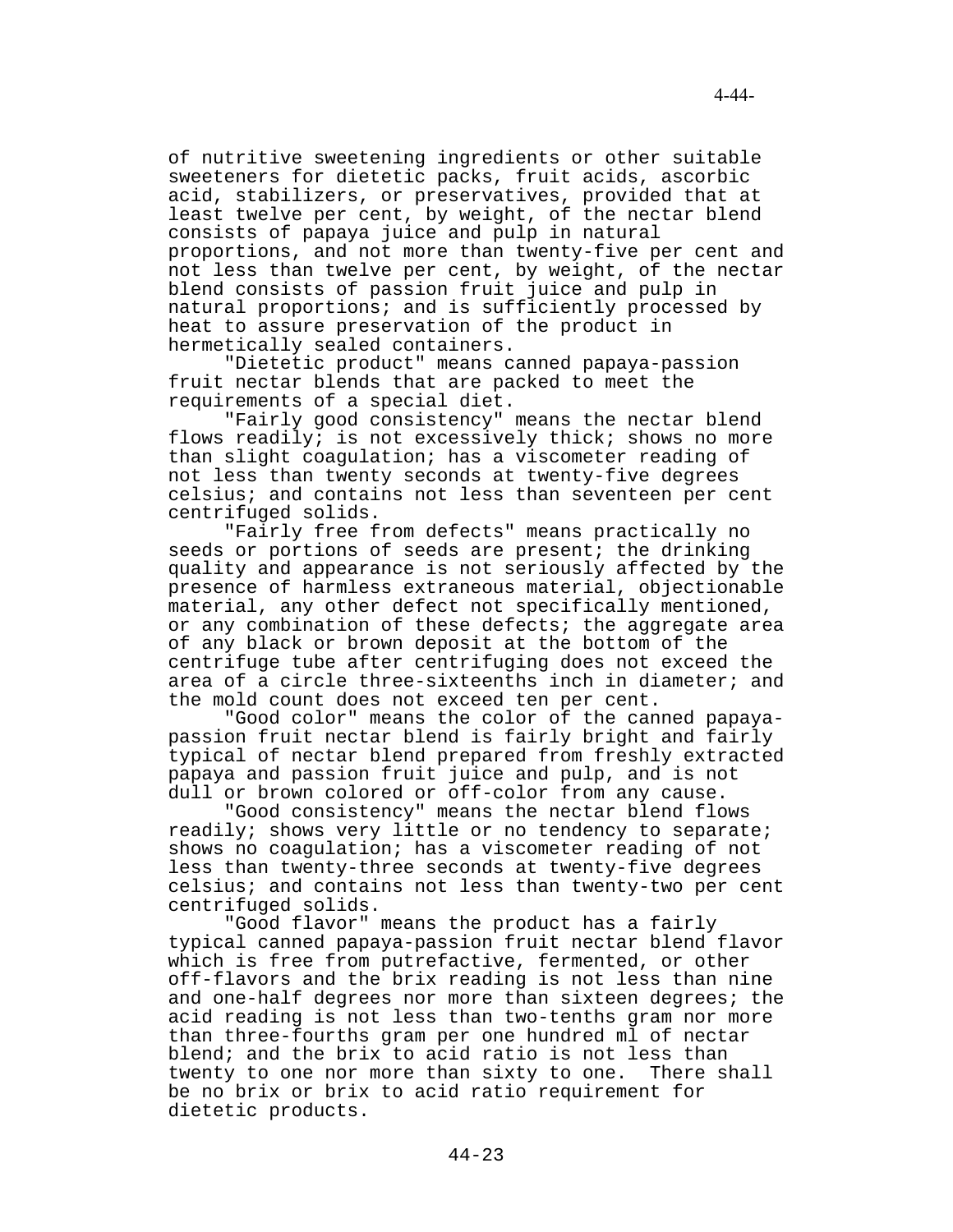of nutritive sweetening ingredients or other suitable sweeteners for dietetic packs, fruit acids, ascorbic acid, stabilizers, or preservatives, provided that at least twelve per cent, by weight, of the nectar blend consists of papaya juice and pulp in natural proportions, and not more than twenty-five per cent and not less than twelve per cent, by weight, of the nectar blend consists of passion fruit juice and pulp in natural proportions; and is sufficiently processed by heat to assure preservation of the product in hermetically sealed containers.

"Dietetic product" means canned papaya-passion fruit nectar blends that are packed to meet the requirements of a special diet.

"Fairly good consistency" means the nectar blend flows readily; is not excessively thick; shows no more than slight coagulation; has a viscometer reading of not less than twenty seconds at twenty-five degrees celsius; and contains not less than seventeen per cent centrifuged solids.

"Fairly free from defects" means practically no seeds or portions of seeds are present; the drinking quality and appearance is not seriously affected by the presence of harmless extraneous material, objectionable material, any other defect not specifically mentioned, or any combination of these defects; the aggregate area of any black or brown deposit at the bottom of the centrifuge tube after centrifuging does not exceed the area of a circle three-sixteenths inch in diameter; and the mold count does not exceed ten per cent.

"Good color" means the color of the canned papayapassion fruit nectar blend is fairly bright and fairly typical of nectar blend prepared from freshly extracted papaya and passion fruit juice and pulp, and is not dull or brown colored or off-color from any cause.

"Good consistency" means the nectar blend flows readily; shows very little or no tendency to separate; shows no coagulation; has a viscometer reading of not less than twenty-three seconds at twenty-five degrees celsius; and contains not less than twenty-two per cent centrifuged solids.

"Good flavor" means the product has a fairly typical canned papaya-passion fruit nectar blend flavor which is free from putrefactive, fermented, or other off-flavors and the brix reading is not less than nine and one-half degrees nor more than sixteen degrees; the acid reading is not less than two-tenths gram nor more than three-fourths gram per one hundred ml of nectar blend; and the brix to acid ratio is not less than twenty to one nor more than sixty to one. There shall be no brix or brix to acid ratio requirement for dietetic products.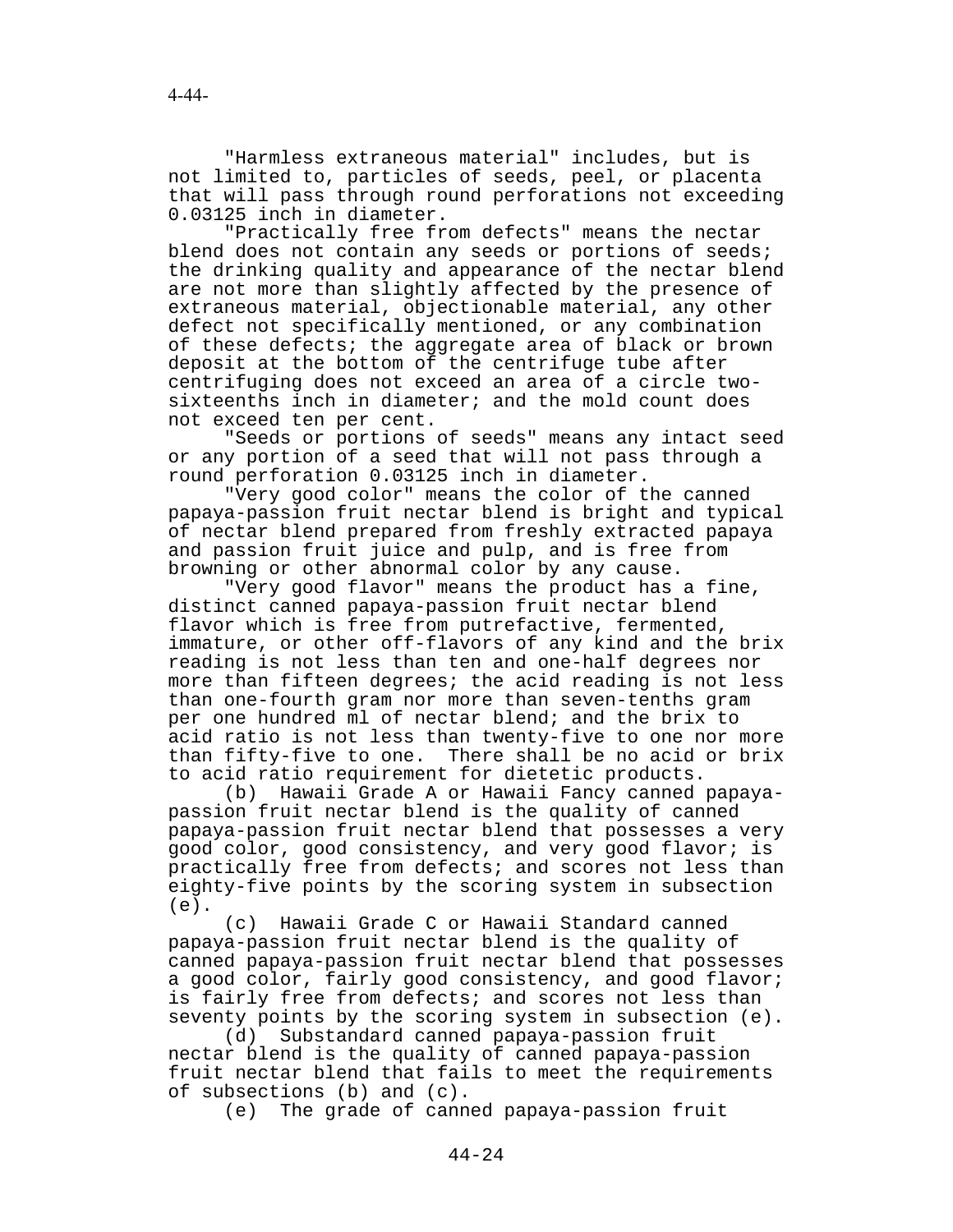"Harmless extraneous material" includes, but is not limited to, particles of seeds, peel, or placenta that will pass through round perforations not exceeding 0.03125 inch in diameter.

"Practically free from defects" means the nectar blend does not contain any seeds or portions of seeds; the drinking quality and appearance of the nectar blend are not more than slightly affected by the presence of extraneous material, objectionable material, any other defect not specifically mentioned, or any combination of these defects; the aggregate area of black or brown deposit at the bottom of the centrifuge tube after centrifuging does not exceed an area of a circle twosixteenths inch in diameter; and the mold count does not exceed ten per cent.

"Seeds or portions of seeds" means any intact seed or any portion of a seed that will not pass through a round perforation 0.03125 inch in diameter.

"Very good color" means the color of the canned papaya-passion fruit nectar blend is bright and typical of nectar blend prepared from freshly extracted papaya and passion fruit juice and pulp, and is free from browning or other abnormal color by any cause.

"Very good flavor" means the product has a fine, distinct canned papaya-passion fruit nectar blend flavor which is free from putrefactive, fermented, immature, or other off-flavors of any kind and the brix reading is not less than ten and one-half degrees nor more than fifteen degrees; the acid reading is not less than one-fourth gram nor more than seven-tenths gram per one hundred ml of nectar blend; and the brix to acid ratio is not less than twenty-five to one nor more than fifty-five to one. There shall be no acid or brix to acid ratio requirement for dietetic products.

(b) Hawaii Grade A or Hawaii Fancy canned papayapassion fruit nectar blend is the quality of canned papaya-passion fruit nectar blend that possesses a very good color, good consistency, and very good flavor; is practically free from defects; and scores not less than eighty-five points by the scoring system in subsection (e).

(c) Hawaii Grade C or Hawaii Standard canned papaya-passion fruit nectar blend is the quality of canned papaya-passion fruit nectar blend that possesses a good color, fairly good consistency, and good flavor; is fairly free from defects; and scores not less than seventy points by the scoring system in subsection (e).

(d) Substandard canned papaya-passion fruit nectar blend is the quality of canned papaya-passion fruit nectar blend that fails to meet the requirements of subsections (b) and (c).

(e) The grade of canned papaya-passion fruit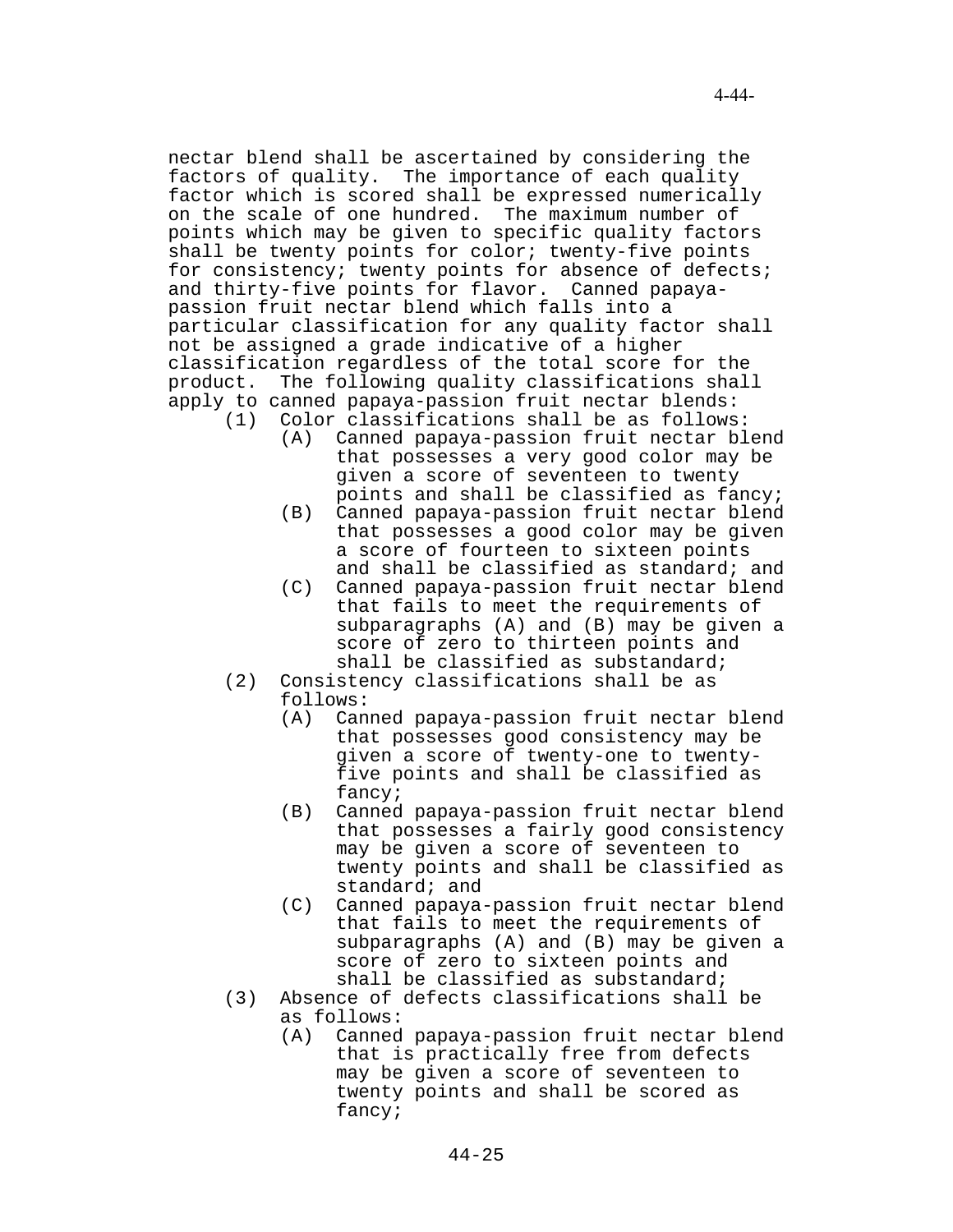nectar blend shall be ascertained by considering the factors of quality. The importance of each quality factor which is scored shall be expressed numerically on the scale of one hundred. The maximum number of points which may be given to specific quality factors shall be twenty points for color; twenty-five points for consistency; twenty points for absence of defects; and thirty-five points for flavor. Canned papayapassion fruit nectar blend which falls into a particular classification for any quality factor shall not be assigned a grade indicative of a higher classification regardless of the total score for the

- product. The following quality classifications shall apply to canned papaya-passion fruit nectar blends: (1) Color classifications shall be as follows:
	- (A) Canned papaya-passion fruit nectar blend that possesses a very good color may be given a score of seventeen to twenty points and shall be classified as fancy;
	- (B) Canned papaya-passion fruit nectar blend that possesses a good color may be given a score of fourteen to sixteen points and shall be classified as standard; and
	- (C) Canned papaya-passion fruit nectar blend that fails to meet the requirements of subparagraphs (A) and (B) may be given a score of zero to thirteen points and shall be classified as substandard;
	- (2) Consistency classifications shall be as follows:
		- (A) Canned papaya-passion fruit nectar blend that possesses good consistency may be given a score of twenty-one to twentyfive points and shall be classified as fancy;
		- (B) Canned papaya-passion fruit nectar blend that possesses a fairly good consistency may be given a score of seventeen to twenty points and shall be classified as standard; and
		- (C) Canned papaya-passion fruit nectar blend that fails to meet the requirements of subparagraphs (A) and (B) may be given a score of zero to sixteen points and shall be classified as substandard;
	- (3) Absence of defects classifications shall be as follows:
		- (A) Canned papaya-passion fruit nectar blend that is practically free from defects may be given a score of seventeen to twenty points and shall be scored as fancy;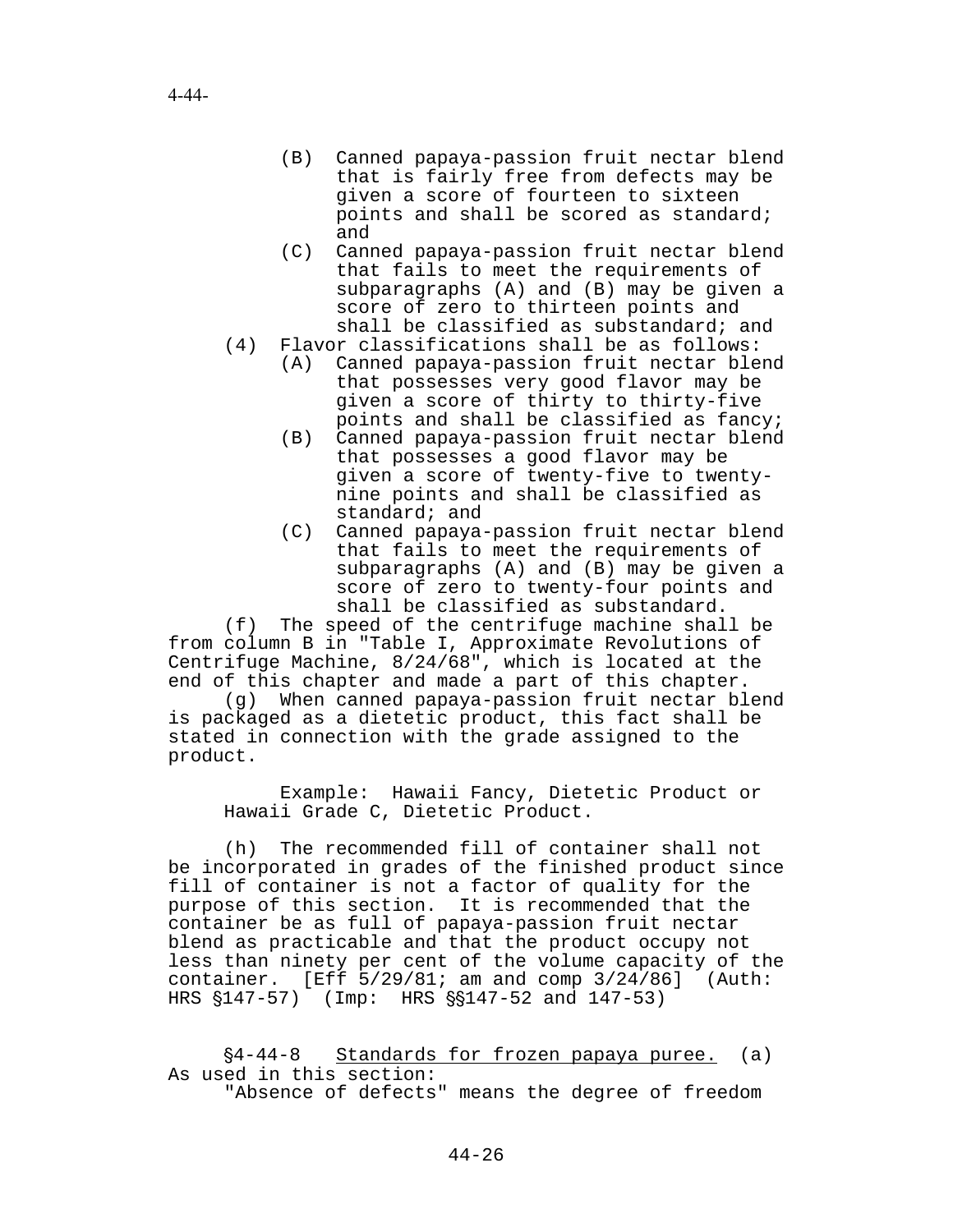- (B) Canned papaya-passion fruit nectar blend that is fairly free from defects may be given a score of fourteen to sixteen points and shall be scored as standard; and
- (C) Canned papaya-passion fruit nectar blend that fails to meet the requirements of subparagraphs (A) and (B) may be given a score of zero to thirteen points and shall be classified as substandard; and
- (4) Flavor classifications shall be as follows:
	- (A) Canned papaya-passion fruit nectar blend that possesses very good flavor may be given a score of thirty to thirty-five points and shall be classified as fancy;
	- (B) Canned papaya-passion fruit nectar blend that possesses a good flavor may be given a score of twenty-five to twentynine points and shall be classified as standard; and
	- (C) Canned papaya-passion fruit nectar blend that fails to meet the requirements of subparagraphs (A) and (B) may be given a score of zero to twenty-four points and shall be classified as substandard.

(f) The speed of the centrifuge machine shall be from column B in "Table I, Approximate Revolutions of Centrifuge Machine, 8/24/68", which is located at the end of this chapter and made a part of this chapter.

(g) When canned papaya-passion fruit nectar blend is packaged as a dietetic product, this fact shall be stated in connection with the grade assigned to the product.

Example: Hawaii Fancy, Dietetic Product or Hawaii Grade C, Dietetic Product.

(h) The recommended fill of container shall not be incorporated in grades of the finished product since fill of container is not a factor of quality for the purpose of this section. It is recommended that the container be as full of papaya-passion fruit nectar blend as practicable and that the product occupy not less than ninety per cent of the volume capacity of the container. [Eff  $5/29/81$ ; am and comp  $3/24/86$ ] (Auth: HRS  $$147-57$ ) (Imp: HRS  $$$147-52$  and  $147-53$ )

 $§4-44-8$  Standards for frozen papaya puree. (a) As used in this section:

"Absence of defects" means the degree of freedom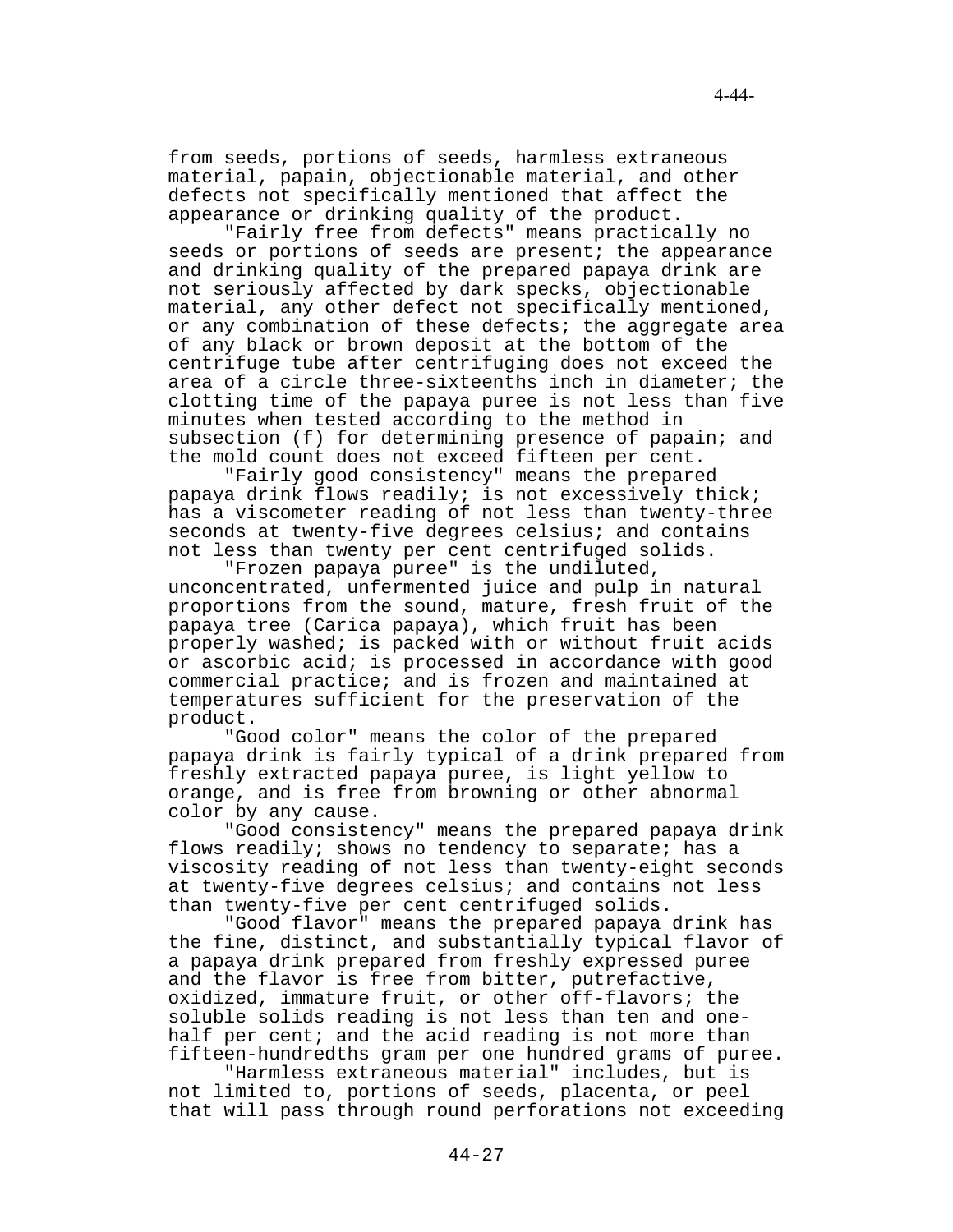from seeds, portions of seeds, harmless extraneous material, papain, objectionable material, and other defects not specifically mentioned that affect the appearance or drinking quality of the product.

"Fairly free from defects" means practically no seeds or portions of seeds are present; the appearance and drinking quality of the prepared papaya drink are not seriously affected by dark specks, objectionable material, any other defect not specifically mentioned, or any combination of these defects; the aggregate area of any black or brown deposit at the bottom of the centrifuge tube after centrifuging does not exceed the area of a circle three-sixteenths inch in diameter; the clotting time of the papaya puree is not less than five minutes when tested according to the method in subsection (f) for determining presence of papain; and the mold count does not exceed fifteen per cent.

"Fairly good consistency" means the prepared papaya drink flows readily; is not excessively thick; has a viscometer reading of not less than twenty-three seconds at twenty-five degrees celsius; and contains not less than twenty per cent centrifuged solids.

"Frozen papaya puree" is the undiluted, unconcentrated, unfermented juice and pulp in natural proportions from the sound, mature, fresh fruit of the papaya tree (Carica papaya), which fruit has been properly washed; is packed with or without fruit acids or ascorbic acid; is processed in accordance with good commercial practice; and is frozen and maintained at temperatures sufficient for the preservation of the product.

"Good color" means the color of the prepared papaya drink is fairly typical of a drink prepared from freshly extracted papaya puree, is light yellow to orange, and is free from browning or other abnormal color by any cause.

"Good consistency" means the prepared papaya drink flows readily; shows no tendency to separate; has a viscosity reading of not less than twenty-eight seconds at twenty-five degrees celsius; and contains not less than twenty-five per cent centrifuged solids.

"Good flavor" means the prepared papaya drink has the fine, distinct, and substantially typical flavor of a papaya drink prepared from freshly expressed puree and the flavor is free from bitter, putrefactive, oxidized, immature fruit, or other off-flavors; the soluble solids reading is not less than ten and onehalf per cent; and the acid reading is not more than fifteen-hundredths gram per one hundred grams of puree.

"Harmless extraneous material" includes, but is not limited to, portions of seeds, placenta, or peel that will pass through round perforations not exceeding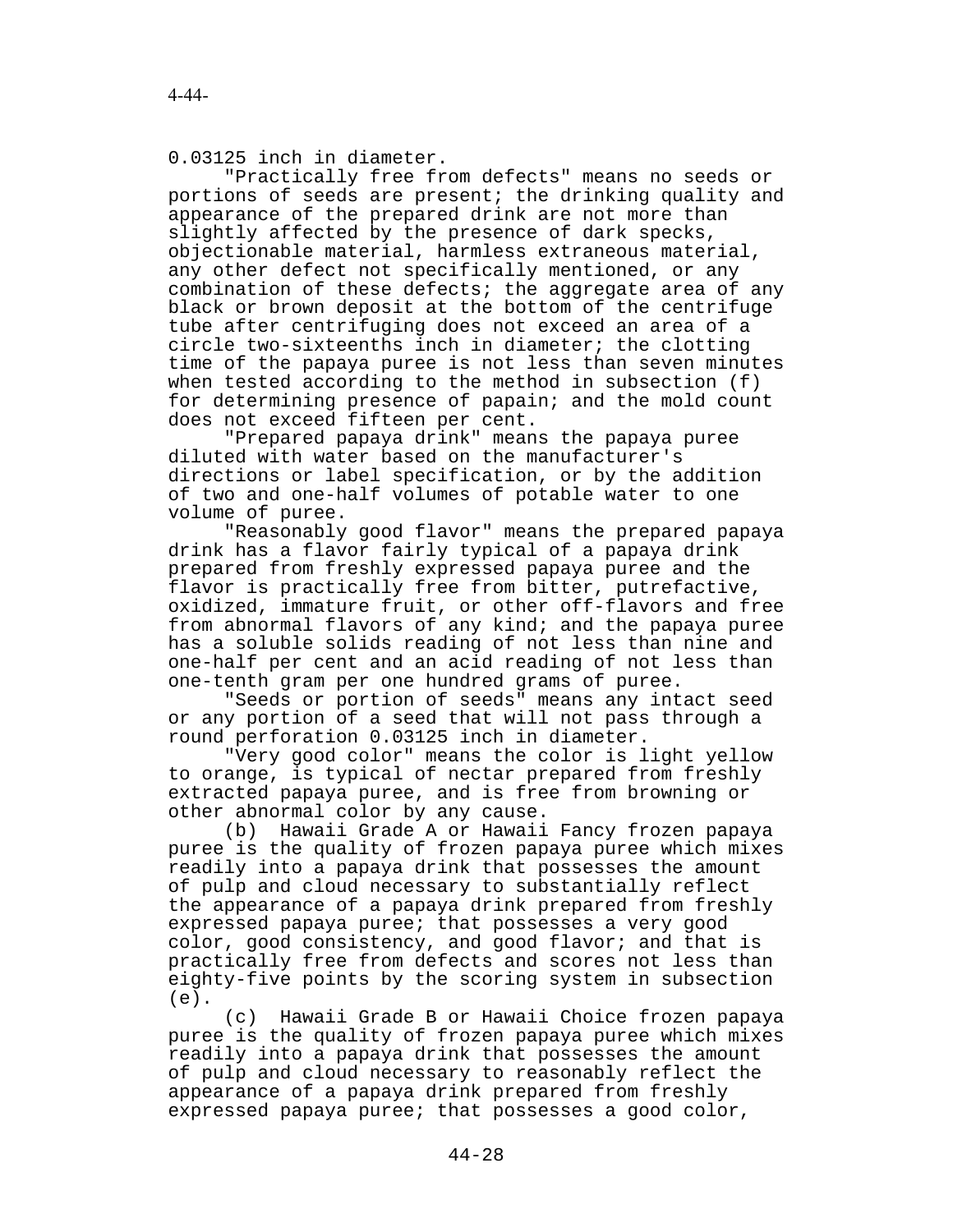0.03125 inch in diameter.

"Practically free from defects" means no seeds or portions of seeds are present; the drinking quality and appearance of the prepared drink are not more than slightly affected by the presence of dark specks, objectionable material, harmless extraneous material, any other defect not specifically mentioned, or any combination of these defects; the aggregate area of any black or brown deposit at the bottom of the centrifuge tube after centrifuging does not exceed an area of a circle two-sixteenths inch in diameter; the clotting time of the papaya puree is not less than seven minutes when tested according to the method in subsection (f) for determining presence of papain; and the mold count does not exceed fifteen per cent.

"Prepared papaya drink" means the papaya puree diluted with water based on the manufacturer's directions or label specification, or by the addition of two and one-half volumes of potable water to one volume of puree.

"Reasonably good flavor" means the prepared papaya drink has a flavor fairly typical of a papaya drink prepared from freshly expressed papaya puree and the flavor is practically free from bitter, putrefactive, oxidized, immature fruit, or other off-flavors and free from abnormal flavors of any kind; and the papaya puree has a soluble solids reading of not less than nine and one-half per cent and an acid reading of not less than one-tenth gram per one hundred grams of puree.

"Seeds or portion of seeds" means any intact seed or any portion of a seed that will not pass through a round perforation 0.03125 inch in diameter.

"Very good color" means the color is light yellow to orange, is typical of nectar prepared from freshly extracted papaya puree, and is free from browning or other abnormal color by any cause.

(b) Hawaii Grade A or Hawaii Fancy frozen papaya puree is the quality of frozen papaya puree which mixes readily into a papaya drink that possesses the amount of pulp and cloud necessary to substantially reflect the appearance of a papaya drink prepared from freshly expressed papaya puree; that possesses a very good color, good consistency, and good flavor; and that is practically free from defects and scores not less than eighty-five points by the scoring system in subsection (e).

(c) Hawaii Grade B or Hawaii Choice frozen papaya puree is the quality of frozen papaya puree which mixes readily into a papaya drink that possesses the amount of pulp and cloud necessary to reasonably reflect the appearance of a papaya drink prepared from freshly expressed papaya puree; that possesses a good color,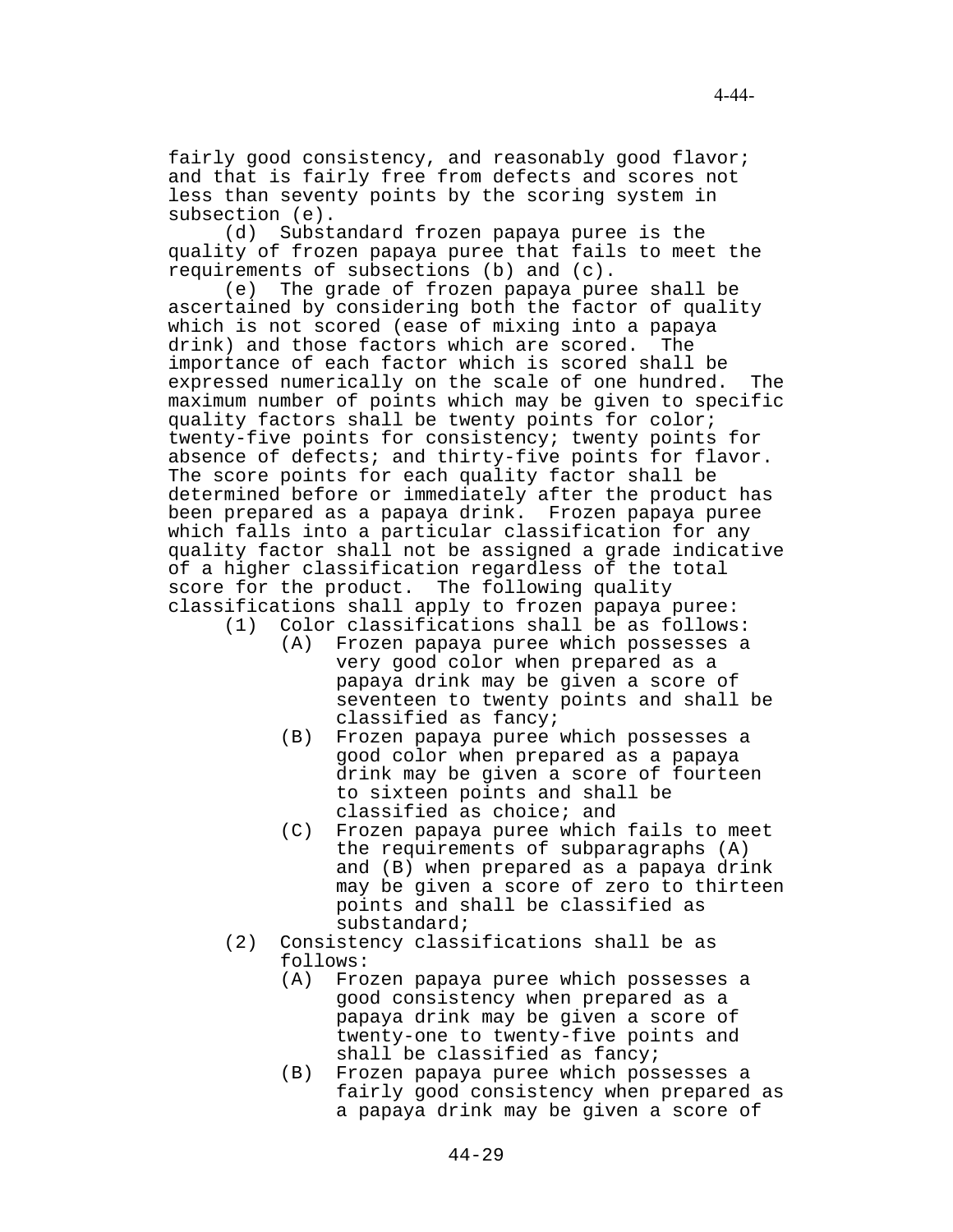fairly good consistency, and reasonably good flavor; and that is fairly free from defects and scores not less than seventy points by the scoring system in subsection (e).

(d) Substandard frozen papaya puree is the quality of frozen papaya puree that fails to meet the requirements of subsections (b) and (c).

(e) The grade of frozen papaya puree shall be ascertained by considering both the factor of quality which is not scored (ease of mixing into a papaya drink) and those factors which are scored. The importance of each factor which is scored shall be expressed numerically on the scale of one hundred. The maximum number of points which may be given to specific quality factors shall be twenty points for color; twenty-five points for consistency; twenty points for absence of defects; and thirty-five points for flavor. The score points for each quality factor shall be determined before or immediately after the product has been prepared as a papaya drink. Frozen papaya puree which falls into a particular classification for any quality factor shall not be assigned a grade indicative of a higher classification regardless of the total score for the product. The following quality classifications shall apply to frozen papaya puree:

- (1) Color classifications shall be as follows:
	- (A) Frozen papaya puree which possesses a very good color when prepared as a papaya drink may be given a score of seventeen to twenty points and shall be classified as fancy;
	- (B) Frozen papaya puree which possesses a good color when prepared as a papaya drink may be given a score of fourteen to sixteen points and shall be classified as choice; and
	- (C) Frozen papaya puree which fails to meet the requirements of subparagraphs (A) and (B) when prepared as a papaya drink may be given a score of zero to thirteen points and shall be classified as substandard;
- (2) Consistency classifications shall be as follows:
	- (A) Frozen papaya puree which possesses a good consistency when prepared as a papaya drink may be given a score of twenty-one to twenty-five points and shall be classified as fancy;
	- (B) Frozen papaya puree which possesses a fairly good consistency when prepared as a papaya drink may be given a score of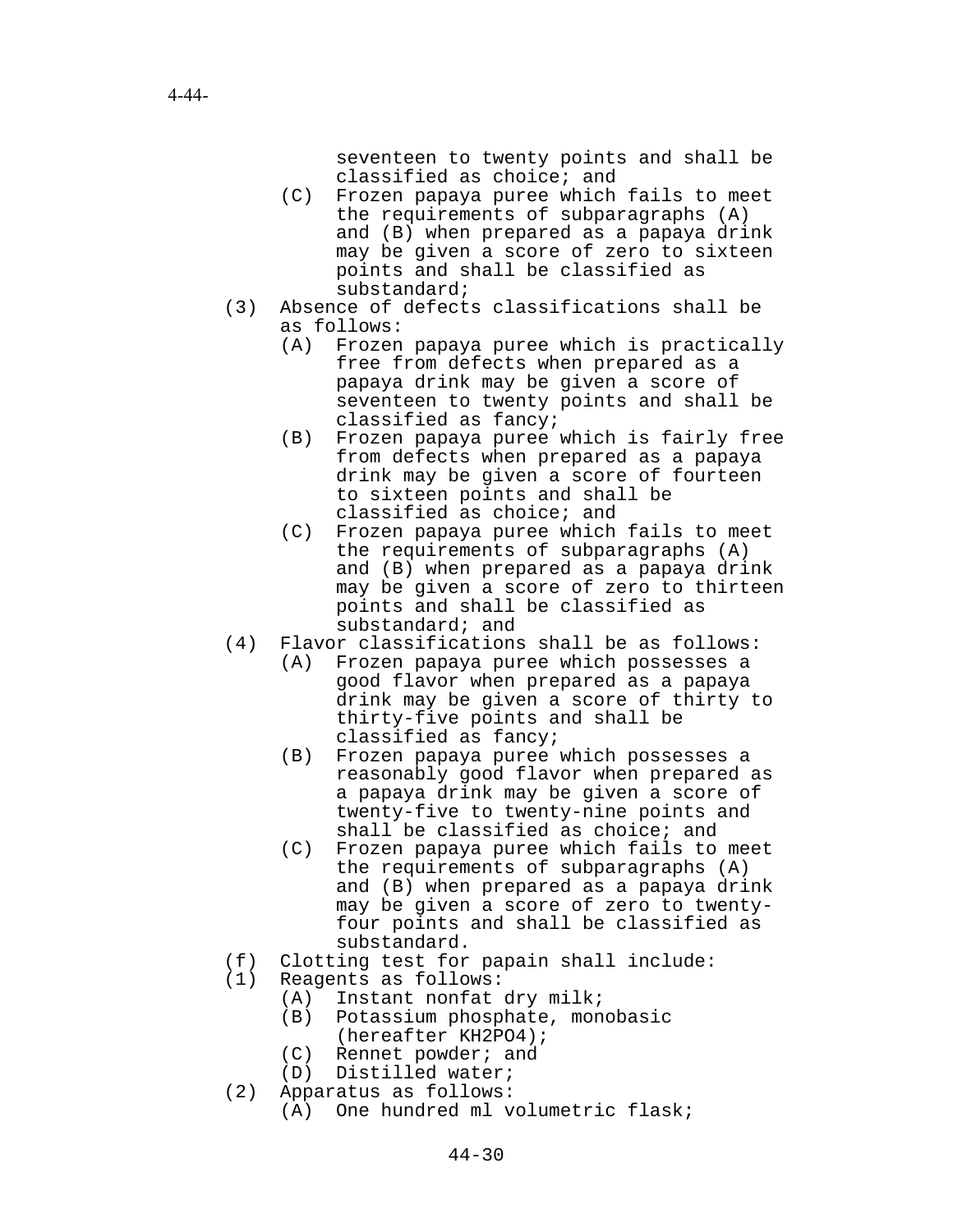seventeen to twenty points and shall be classified as choice; and

- (C) Frozen papaya puree which fails to meet the requirements of subparagraphs (A) and (B) when prepared as a papaya drink may be given a score of zero to sixteen points and shall be classified as substandard;
- (3) Absence of defects classifications shall be as follows:
	- (A) Frozen papaya puree which is practically free from defects when prepared as a papaya drink may be given a score of seventeen to twenty points and shall be classified as fancy;
	- (B) Frozen papaya puree which is fairly free from defects when prepared as a papaya drink may be given a score of fourteen to sixteen points and shall be classified as choice; and
	- (C) Frozen papaya puree which fails to meet the requirements of subparagraphs (A) and (B) when prepared as a papaya drink may be given a score of zero to thirteen points and shall be classified as substandard; and
- (4) Flavor classifications shall be as follows:
	- (A) Frozen papaya puree which possesses a good flavor when prepared as a papaya drink may be given a score of thirty to thirty-five points and shall be classified as fancy;
	- (B) Frozen papaya puree which possesses a reasonably good flavor when prepared as a papaya drink may be given a score of twenty-five to twenty-nine points and shall be classified as choice; and
	- (C) Frozen papaya puree which fails to meet the requirements of subparagraphs (A) and (B) when prepared as a papaya drink may be given a score of zero to twentyfour points and shall be classified as substandard.
- (f) Clotting test for papain shall include:
- (1) Reagents as follows:
	- (A) Instant nonfat dry milk;
	- (B) Potassium phosphate, monobasic (hereafter KH2PO4);
	- (C) Rennet powder; and
	- (D) Distilled water;
- (2) Apparatus as follows:
	- (A) One hundred ml volumetric flask;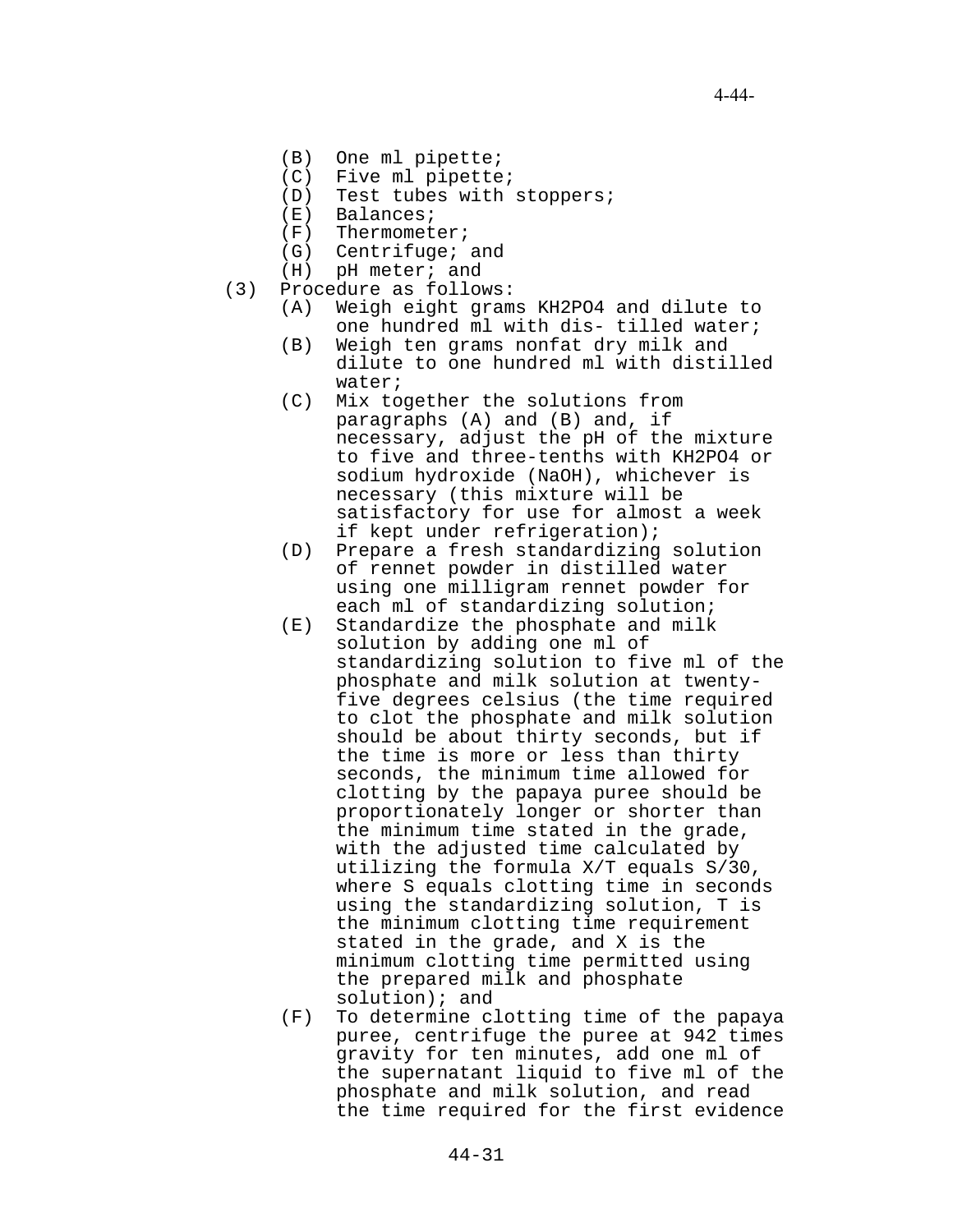- (B) One ml pipette;
- (C) Five ml pipette;
- (D) Test tubes with stoppers;
- (E) Balances;
- (F) Thermometer;
- (G) Centrifuge; and
- (H) pH meter; and
- (3) Procedure as follows:
	- (A) Weigh eight grams KH2PO4 and dilute to one hundred ml with dis- tilled water;
	- (B) Weigh ten grams nonfat dry milk and dilute to one hundred ml with distilled water;
	- (C) Mix together the solutions from paragraphs (A) and (B) and, if necessary, adjust the pH of the mixture to five and three-tenths with KH2PO4 or sodium hydroxide (NaOH), whichever is necessary (this mixture will be satisfactory for use for almost a week if kept under refrigeration);
	- (D) Prepare a fresh standardizing solution of rennet powder in distilled water using one milligram rennet powder for each ml of standardizing solution;
	- (E) Standardize the phosphate and milk solution by adding one ml of standardizing solution to five ml of the phosphate and milk solution at twentyfive degrees celsius (the time required to clot the phosphate and milk solution should be about thirty seconds, but if the time is more or less than thirty seconds, the minimum time allowed for clotting by the papaya puree should be proportionately longer or shorter than the minimum time stated in the grade, with the adjusted time calculated by utilizing the formula X/T equals S/30, where S equals clotting time in seconds using the standardizing solution, T is the minimum clotting time requirement stated in the grade, and X is the minimum clotting time permitted using the prepared milk and phosphate solution); and
	- (F) To determine clotting time of the papaya puree, centrifuge the puree at 942 times gravity for ten minutes, add one ml of the supernatant liquid to five ml of the phosphate and milk solution, and read the time required for the first evidence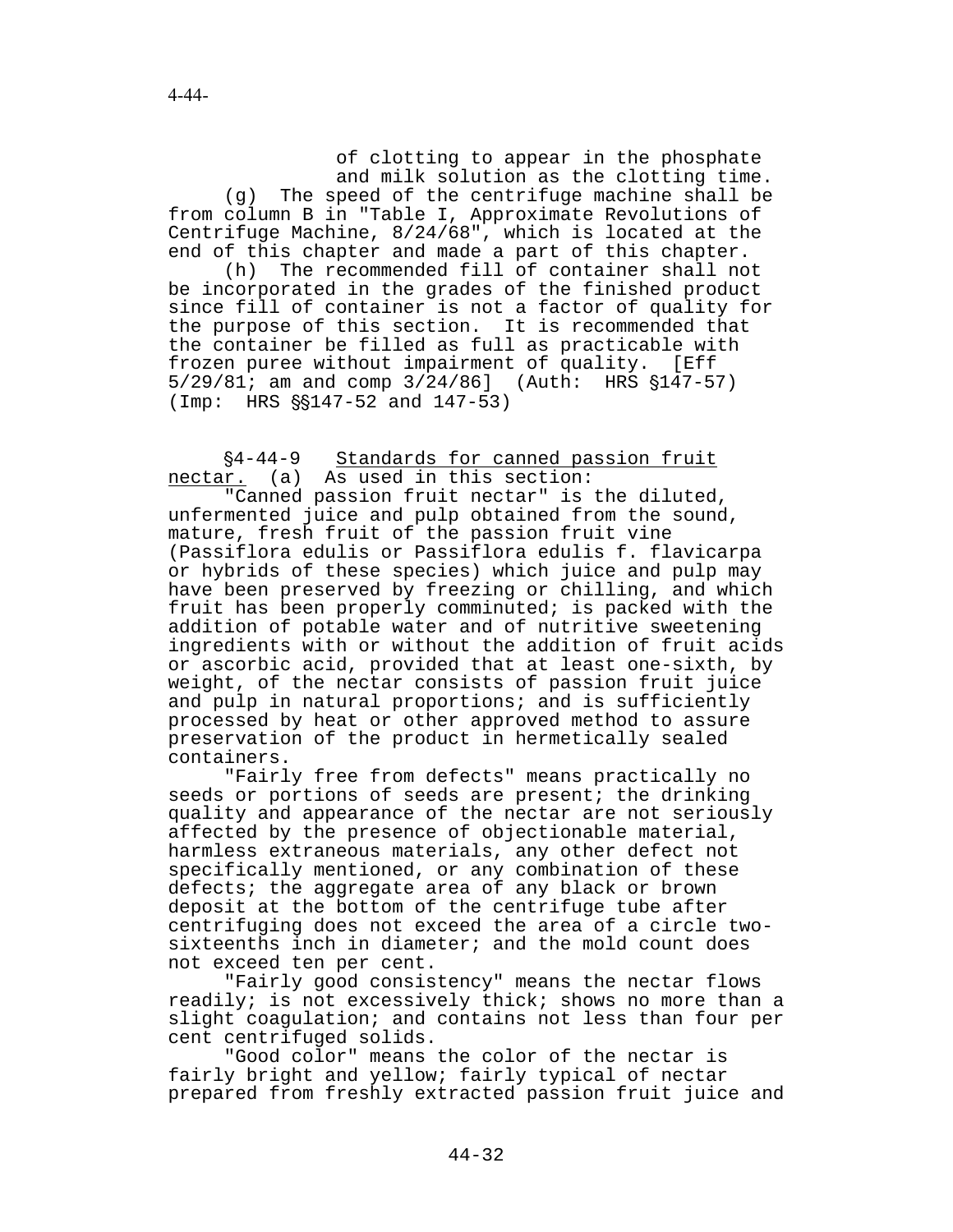of clotting to appear in the phosphate and milk solution as the clotting time. (g) The speed of the centrifuge machine shall be from column B in "Table I, Approximate Revolutions of Centrifuge Machine, 8/24/68", which is located at the end of this chapter and made a part of this chapter.

(h) The recommended fill of container shall not be incorporated in the grades of the finished product since fill of container is not a factor of quality for the purpose of this section. It is recommended that the container be filled as full as practicable with frozen puree without impairment of quality. [Eff  $5/29/81$ ; am and comp  $3/24/86$ ] (Auth: HRS  $$147-57$ )  $(Imp: HRS \S$147-52 and 147-53)$ 

'4-44-9 Standards for canned passion fruit nectar. (a) As used in this section:

"Canned passion fruit nectar" is the diluted, unfermented juice and pulp obtained from the sound, mature, fresh fruit of the passion fruit vine (Passiflora edulis or Passiflora edulis f. flavicarpa or hybrids of these species) which juice and pulp may have been preserved by freezing or chilling, and which fruit has been properly comminuted; is packed with the addition of potable water and of nutritive sweetening ingredients with or without the addition of fruit acids or ascorbic acid, provided that at least one-sixth, by weight, of the nectar consists of passion fruit juice and pulp in natural proportions; and is sufficiently processed by heat or other approved method to assure preservation of the product in hermetically sealed containers.

"Fairly free from defects" means practically no seeds or portions of seeds are present; the drinking quality and appearance of the nectar are not seriously affected by the presence of objectionable material, harmless extraneous materials, any other defect not specifically mentioned, or any combination of these defects; the aggregate area of any black or brown deposit at the bottom of the centrifuge tube after centrifuging does not exceed the area of a circle twosixteenths inch in diameter; and the mold count does not exceed ten per cent.

"Fairly good consistency" means the nectar flows readily; is not excessively thick; shows no more than a slight coagulation; and contains not less than four per cent centrifuged solids.

"Good color" means the color of the nectar is fairly bright and yellow; fairly typical of nectar prepared from freshly extracted passion fruit juice and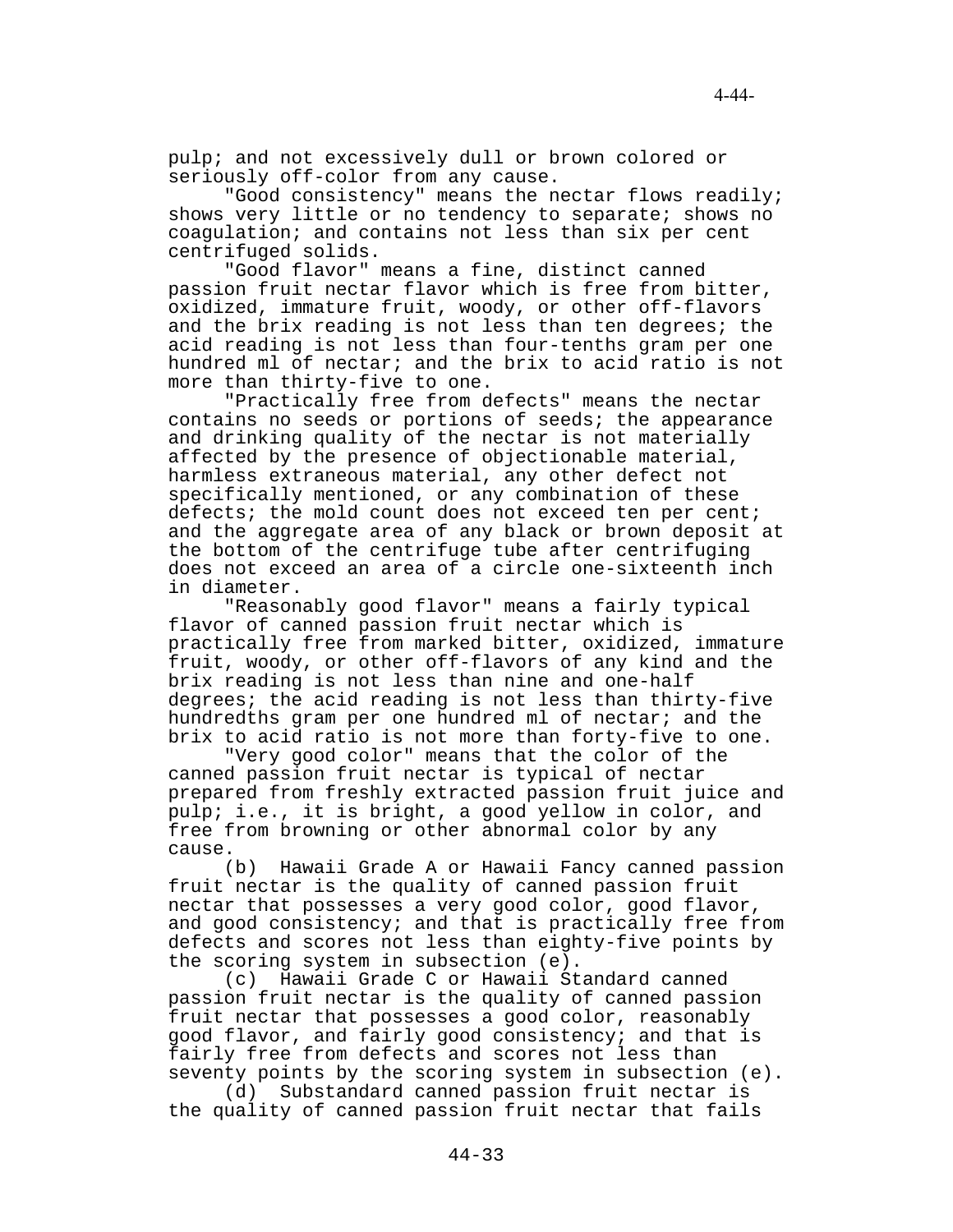pulp; and not excessively dull or brown colored or seriously off-color from any cause.

"Good consistency" means the nectar flows readily; shows very little or no tendency to separate; shows no coagulation; and contains not less than six per cent centrifuged solids.

"Good flavor" means a fine, distinct canned passion fruit nectar flavor which is free from bitter, oxidized, immature fruit, woody, or other off-flavors and the brix reading is not less than ten degrees; the acid reading is not less than four-tenths gram per one hundred ml of nectar; and the brix to acid ratio is not more than thirty-five to one.

"Practically free from defects" means the nectar contains no seeds or portions of seeds; the appearance and drinking quality of the nectar is not materially affected by the presence of objectionable material, harmless extraneous material, any other defect not specifically mentioned, or any combination of these defects; the mold count does not exceed ten per cent; and the aggregate area of any black or brown deposit at the bottom of the centrifuge tube after centrifuging does not exceed an area of a circle one-sixteenth inch in diameter.

"Reasonably good flavor" means a fairly typical flavor of canned passion fruit nectar which is practically free from marked bitter, oxidized, immature fruit, woody, or other off-flavors of any kind and the brix reading is not less than nine and one-half degrees; the acid reading is not less than thirty-five hundredths gram per one hundred ml of nectar; and the brix to acid ratio is not more than forty-five to one.

"Very good color" means that the color of the canned passion fruit nectar is typical of nectar prepared from freshly extracted passion fruit juice and pulp; i.e., it is bright, a good yellow in color, and free from browning or other abnormal color by any cause.

(b) Hawaii Grade A or Hawaii Fancy canned passion fruit nectar is the quality of canned passion fruit nectar that possesses a very good color, good flavor, and good consistency; and that is practically free from defects and scores not less than eighty-five points by the scoring system in subsection (e).

(c) Hawaii Grade C or Hawaii Standard canned passion fruit nectar is the quality of canned passion fruit nectar that possesses a good color, reasonably good flavor, and fairly good consistency; and that is fairly free from defects and scores not less than seventy points by the scoring system in subsection (e).

(d) Substandard canned passion fruit nectar is the quality of canned passion fruit nectar that fails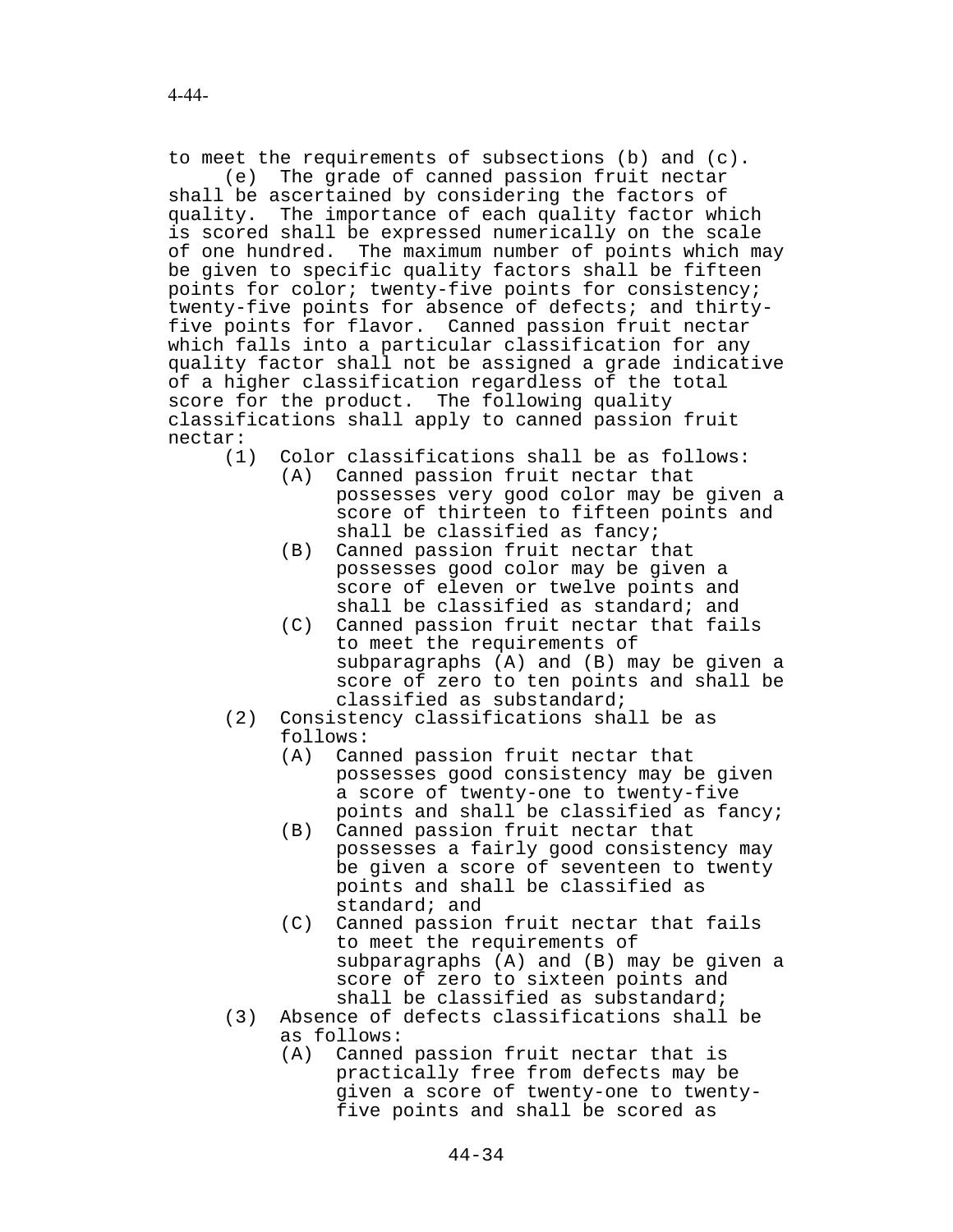to meet the requirements of subsections (b) and (c).

(e) The grade of canned passion fruit nectar shall be ascertained by considering the factors of quality. The importance of each quality factor which is scored shall be expressed numerically on the scale of one hundred. The maximum number of points which may be given to specific quality factors shall be fifteen points for color; twenty-five points for consistency; twenty-five points for absence of defects; and thirtyfive points for flavor. Canned passion fruit nectar which falls into a particular classification for any quality factor shall not be assigned a grade indicative of a higher classification regardless of the total score for the product. The following quality classifications shall apply to canned passion fruit nectar:

(1) Color classifications shall be as follows:

- (A) Canned passion fruit nectar that possesses very good color may be given a score of thirteen to fifteen points and shall be classified as fancy;
	- (B) Canned passion fruit nectar that possesses good color may be given a score of eleven or twelve points and shall be classified as standard; and
	- (C) Canned passion fruit nectar that fails to meet the requirements of subparagraphs (A) and (B) may be given a score of zero to ten points and shall be classified as substandard;
- (2) Consistency classifications shall be as follows:
	- (A) Canned passion fruit nectar that possesses good consistency may be given a score of twenty-one to twenty-five points and shall be classified as fancy;
	- (B) Canned passion fruit nectar that possesses a fairly good consistency may be given a score of seventeen to twenty points and shall be classified as standard; and
	- (C) Canned passion fruit nectar that fails to meet the requirements of subparagraphs (A) and (B) may be given a score of zero to sixteen points and shall be classified as substandard;
- (3) Absence of defects classifications shall be as follows:
	- (A) Canned passion fruit nectar that is practically free from defects may be given a score of twenty-one to twentyfive points and shall be scored as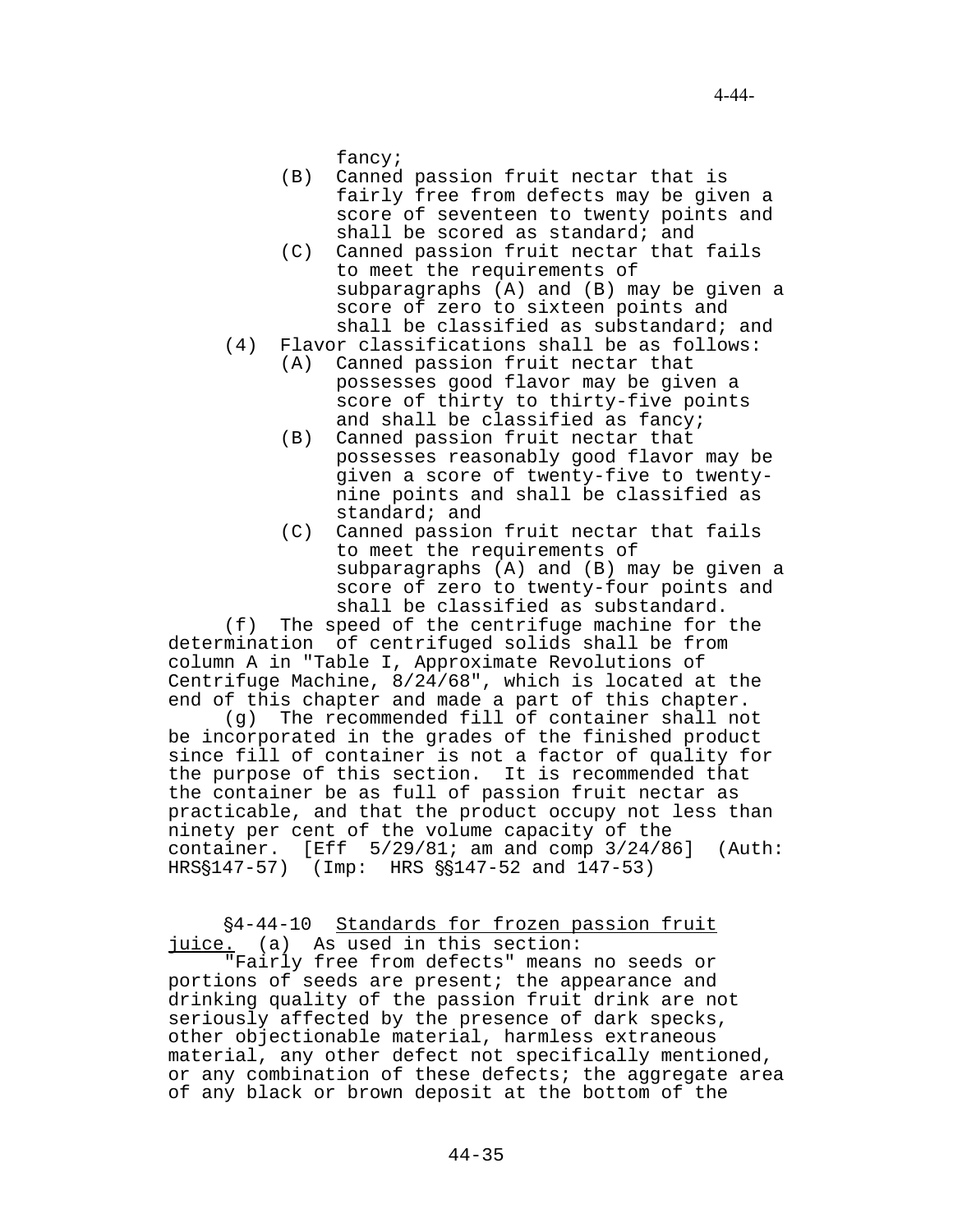fancy;

- (B) Canned passion fruit nectar that is fairly free from defects may be given a score of seventeen to twenty points and shall be scored as standard; and
- (C) Canned passion fruit nectar that fails to meet the requirements of subparagraphs (A) and (B) may be given a score of zero to sixteen points and shall be classified as substandard; and
- (4) Flavor classifications shall be as follows:
	- (A) Canned passion fruit nectar that possesses good flavor may be given a score of thirty to thirty-five points and shall be classified as fancy;
	- (B) Canned passion fruit nectar that possesses reasonably good flavor may be given a score of twenty-five to twentynine points and shall be classified as standard; and
	- (C) Canned passion fruit nectar that fails to meet the requirements of subparagraphs (A) and (B) may be given a score of zero to twenty-four points and shall be classified as substandard.

(f) The speed of the centrifuge machine for the determination of centrifuged solids shall be from column A in "Table I, Approximate Revolutions of Centrifuge Machine, 8/24/68", which is located at the end of this chapter and made a part of this chapter.

(g) The recommended fill of container shall not be incorporated in the grades of the finished product since fill of container is not a factor of quality for the purpose of this section. It is recommended that the container be as full of passion fruit nectar as practicable, and that the product occupy not less than ninety per cent of the volume capacity of the container.  $[Eff 5/29/81; am and comp 3/24/86]$  (Auth:  $HRS$147-57$  (Imp: HRS  $$147-52$  and  $147-53$ )

# '4-44-10 Standards for frozen passion fruit juice. (a) As used in this section:

"Fairly free from defects" means no seeds or portions of seeds are present; the appearance and drinking quality of the passion fruit drink are not seriously affected by the presence of dark specks, other objectionable material, harmless extraneous material, any other defect not specifically mentioned, or any combination of these defects; the aggregate area of any black or brown deposit at the bottom of the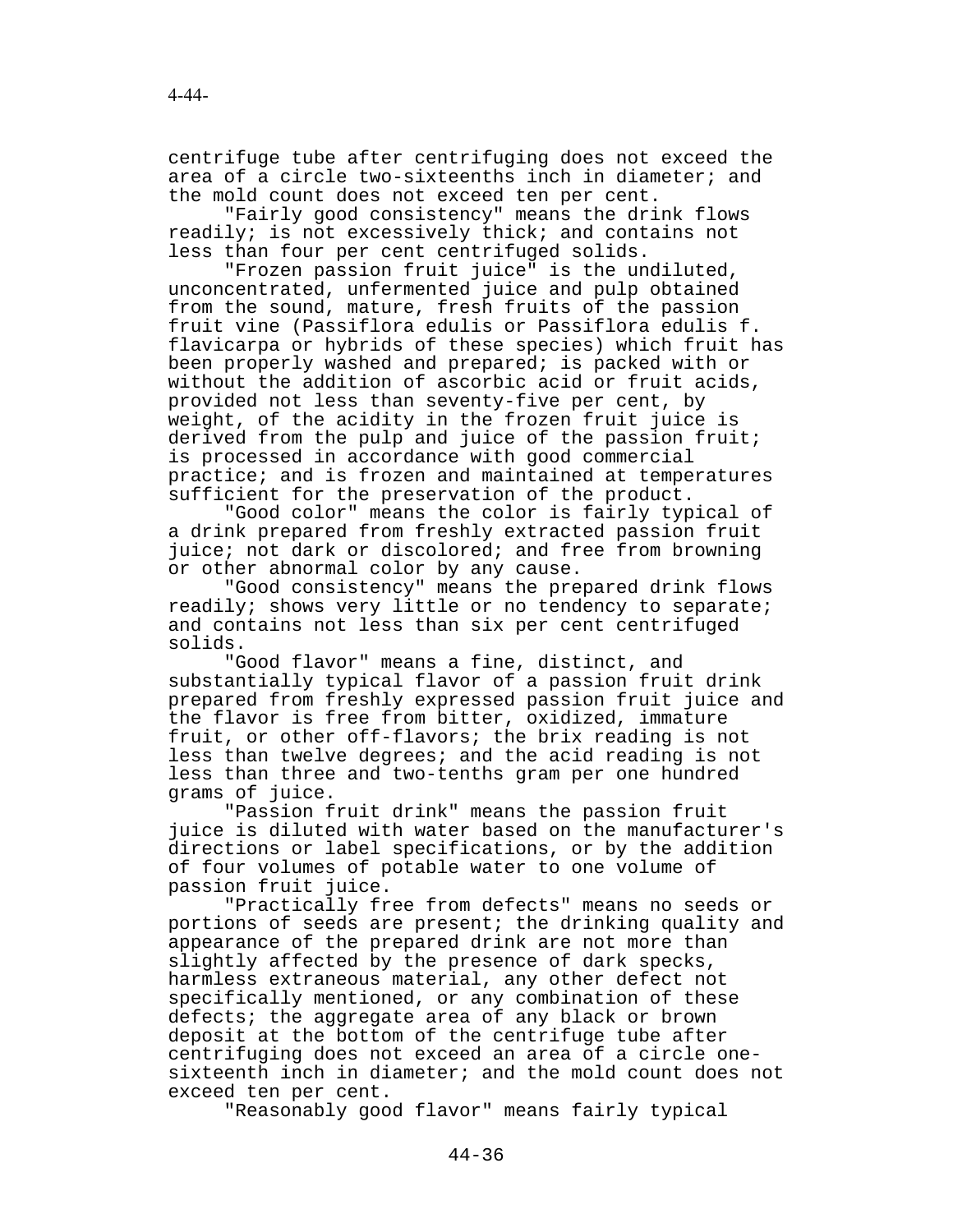centrifuge tube after centrifuging does not exceed the area of a circle two-sixteenths inch in diameter; and the mold count does not exceed ten per cent.

"Fairly good consistency" means the drink flows readily; is not excessively thick; and contains not less than four per cent centrifuged solids.

"Frozen passion fruit juice" is the undiluted, unconcentrated, unfermented juice and pulp obtained from the sound, mature, fresh fruits of the passion fruit vine (Passiflora edulis or Passiflora edulis f. flavicarpa or hybrids of these species) which fruit has been properly washed and prepared; is packed with or without the addition of ascorbic acid or fruit acids, provided not less than seventy-five per cent, by weight, of the acidity in the frozen fruit juice is derived from the pulp and juice of the passion fruit; is processed in accordance with good commercial practice; and is frozen and maintained at temperatures sufficient for the preservation of the product.

"Good color" means the color is fairly typical of a drink prepared from freshly extracted passion fruit juice; not dark or discolored; and free from browning or other abnormal color by any cause.

"Good consistency" means the prepared drink flows readily; shows very little or no tendency to separate; and contains not less than six per cent centrifuged solids.

"Good flavor" means a fine, distinct, and substantially typical flavor of a passion fruit drink prepared from freshly expressed passion fruit juice and the flavor is free from bitter, oxidized, immature fruit, or other off-flavors; the brix reading is not less than twelve degrees; and the acid reading is not less than three and two-tenths gram per one hundred grams of juice.

"Passion fruit drink" means the passion fruit juice is diluted with water based on the manufacturer's directions or label specifications, or by the addition of four volumes of potable water to one volume of passion fruit juice.

"Practically free from defects" means no seeds or portions of seeds are present; the drinking quality and appearance of the prepared drink are not more than slightly affected by the presence of dark specks, harmless extraneous material, any other defect not specifically mentioned, or any combination of these defects; the aggregate area of any black or brown deposit at the bottom of the centrifuge tube after centrifuging does not exceed an area of a circle onesixteenth inch in diameter; and the mold count does not exceed ten per cent.

"Reasonably good flavor" means fairly typical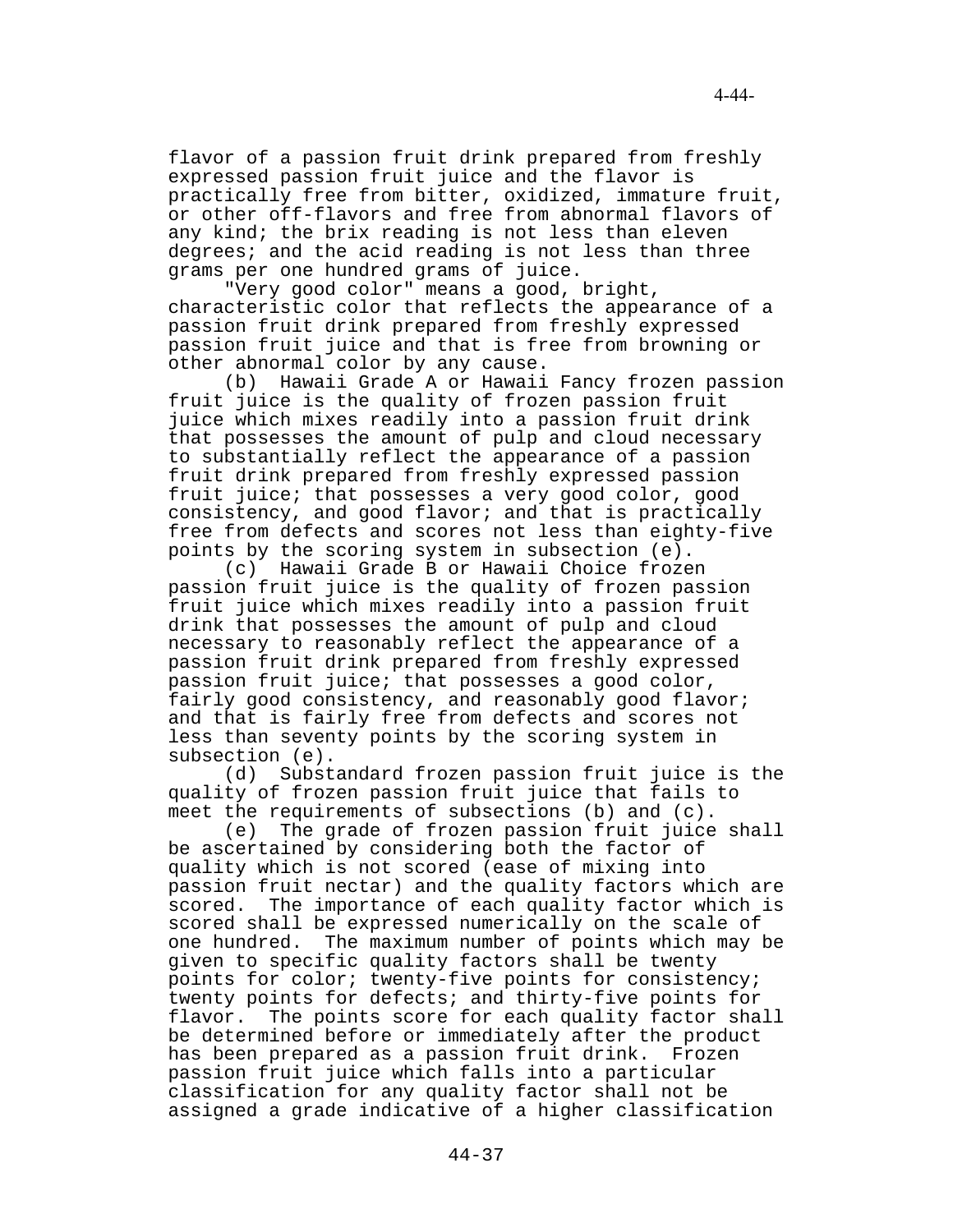flavor of a passion fruit drink prepared from freshly expressed passion fruit juice and the flavor is practically free from bitter, oxidized, immature fruit, or other off-flavors and free from abnormal flavors of any kind; the brix reading is not less than eleven degrees; and the acid reading is not less than three grams per one hundred grams of juice.

"Very good color" means a good, bright, characteristic color that reflects the appearance of a passion fruit drink prepared from freshly expressed passion fruit juice and that is free from browning or other abnormal color by any cause.

(b) Hawaii Grade A or Hawaii Fancy frozen passion fruit juice is the quality of frozen passion fruit juice which mixes readily into a passion fruit drink that possesses the amount of pulp and cloud necessary to substantially reflect the appearance of a passion fruit drink prepared from freshly expressed passion fruit juice; that possesses a very good color, good consistency, and good flavor; and that is practically free from defects and scores not less than eighty-five points by the scoring system in subsection (e).

(c) Hawaii Grade B or Hawaii Choice frozen passion fruit juice is the quality of frozen passion fruit juice which mixes readily into a passion fruit drink that possesses the amount of pulp and cloud necessary to reasonably reflect the appearance of a passion fruit drink prepared from freshly expressed passion fruit juice; that possesses a good color, fairly good consistency, and reasonably good flavor; and that is fairly free from defects and scores not less than seventy points by the scoring system in subsection (e).

(d) Substandard frozen passion fruit juice is the quality of frozen passion fruit juice that fails to meet the requirements of subsections (b) and (c).

(e) The grade of frozen passion fruit juice shall be ascertained by considering both the factor of quality which is not scored (ease of mixing into passion fruit nectar) and the quality factors which are scored. The importance of each quality factor which is scored shall be expressed numerically on the scale of one hundred. The maximum number of points which may be given to specific quality factors shall be twenty points for color; twenty-five points for consistency; twenty points for defects; and thirty-five points for flavor. The points score for each quality factor shall be determined before or immediately after the product has been prepared as a passion fruit drink. Frozen passion fruit juice which falls into a particular classification for any quality factor shall not be assigned a grade indicative of a higher classification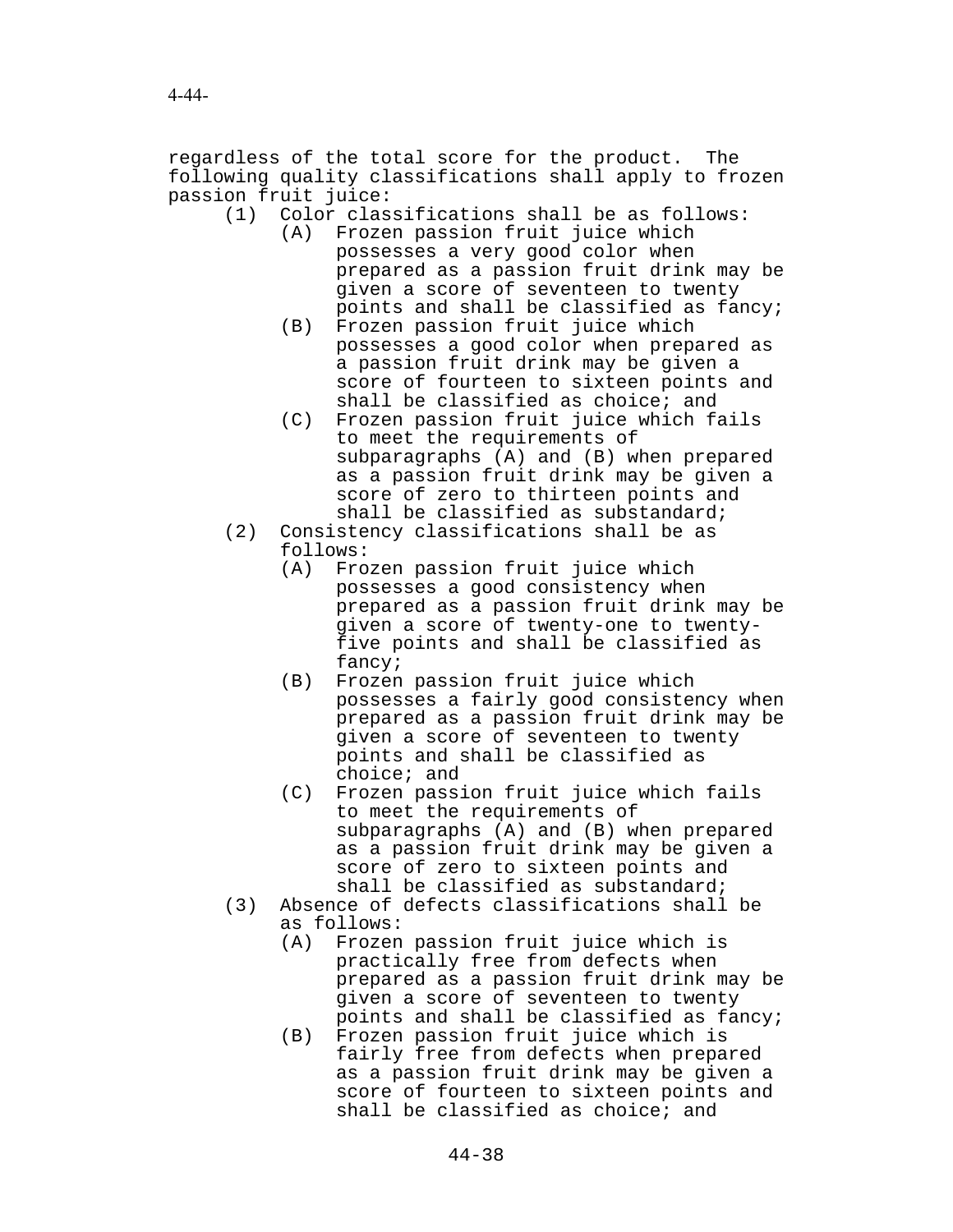regardless of the total score for the product. The following quality classifications shall apply to frozen passion fruit juice:

- (1) Color classifications shall be as follows:
	- (A) Frozen passion fruit juice which possesses a very good color when prepared as a passion fruit drink may be given a score of seventeen to twenty points and shall be classified as fancy;
	- (B) Frozen passion fruit juice which possesses a good color when prepared as a passion fruit drink may be given a score of fourteen to sixteen points and shall be classified as choice; and
	- (C) Frozen passion fruit juice which fails to meet the requirements of subparagraphs (A) and (B) when prepared as a passion fruit drink may be given a score of zero to thirteen points and shall be classified as substandard;
- (2) Consistency classifications shall be as follows:
	- (A) Frozen passion fruit juice which possesses a good consistency when prepared as a passion fruit drink may be given a score of twenty-one to twentyfive points and shall be classified as fancy;
	- (B) Frozen passion fruit juice which possesses a fairly good consistency when prepared as a passion fruit drink may be given a score of seventeen to twenty points and shall be classified as choice; and
	- (C) Frozen passion fruit juice which fails to meet the requirements of subparagraphs (A) and (B) when prepared as a passion fruit drink may be given a score of zero to sixteen points and shall be classified as substandard;
- (3) Absence of defects classifications shall be as follows:
	- (A) Frozen passion fruit juice which is practically free from defects when prepared as a passion fruit drink may be given a score of seventeen to twenty points and shall be classified as fancy;
	- (B) Frozen passion fruit juice which is fairly free from defects when prepared as a passion fruit drink may be given a score of fourteen to sixteen points and shall be classified as choice; and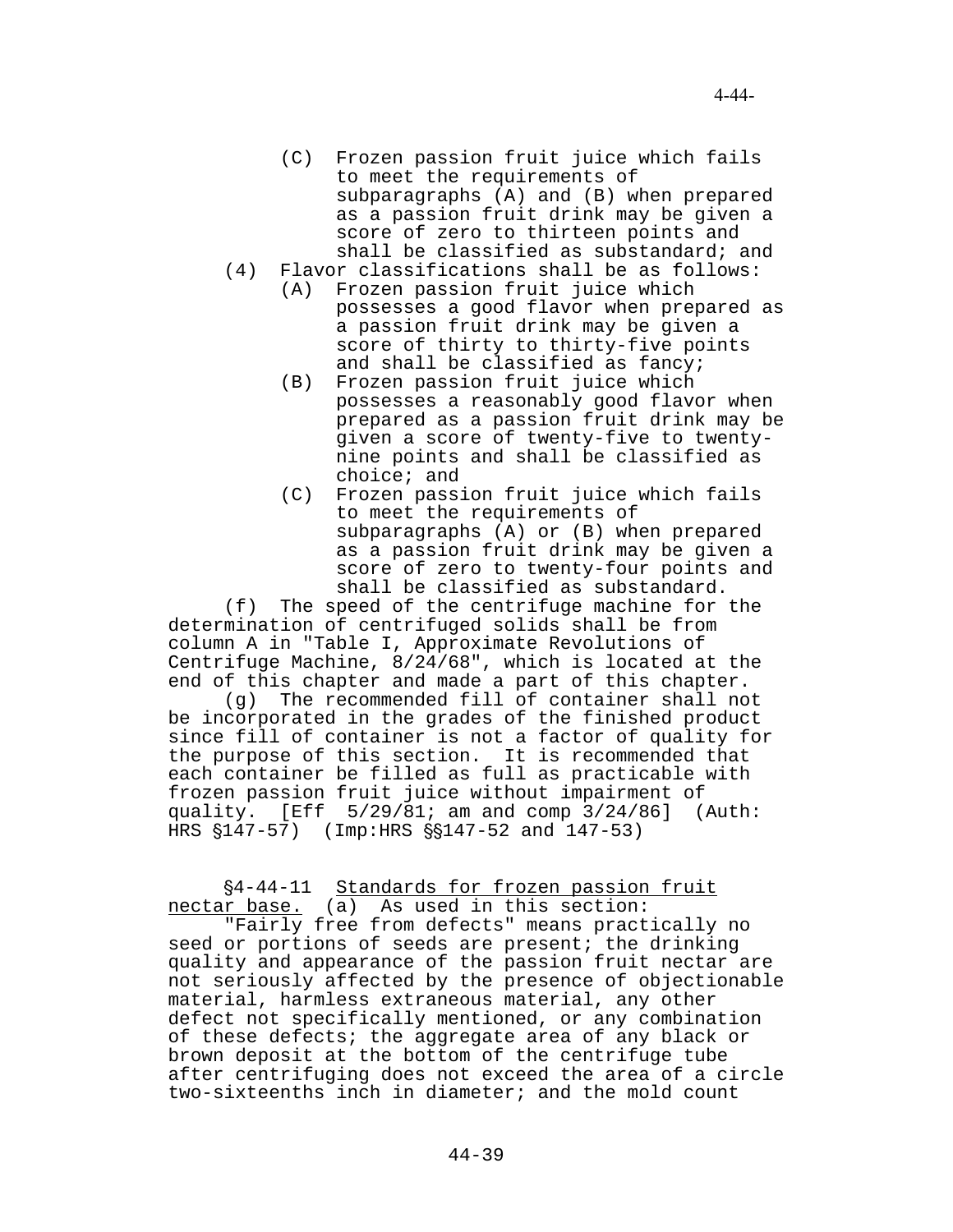- (C) Frozen passion fruit juice which fails to meet the requirements of subparagraphs (A) and (B) when prepared as a passion fruit drink may be given a score of zero to thirteen points and shall be classified as substandard; and
- (4) Flavor classifications shall be as follows:
	- (A) Frozen passion fruit juice which possesses a good flavor when prepared as a passion fruit drink may be given a score of thirty to thirty-five points and shall be classified as fancy;
	- (B) Frozen passion fruit juice which possesses a reasonably good flavor when prepared as a passion fruit drink may be given a score of twenty-five to twentynine points and shall be classified as choice; and
	- (C) Frozen passion fruit juice which fails to meet the requirements of subparagraphs (A) or (B) when prepared as a passion fruit drink may be given a score of zero to twenty-four points and shall be classified as substandard.

(f) The speed of the centrifuge machine for the determination of centrifuged solids shall be from column A in "Table I, Approximate Revolutions of Centrifuge Machine, 8/24/68", which is located at the end of this chapter and made a part of this chapter.

(g) The recommended fill of container shall not be incorporated in the grades of the finished product since fill of container is not a factor of quality for the purpose of this section. It is recommended that each container be filled as full as practicable with frozen passion fruit juice without impairment of quality. [Eff 5/29/81; am and comp 3/24/86] (Auth: HRS  $$147-57$ ) (Imp:HRS  $$$147-52$  and  $147-53$ )

§4-44-11 Standards for frozen passion fruit nectar base. (a) As used in this section:

"Fairly free from defects" means practically no seed or portions of seeds are present; the drinking quality and appearance of the passion fruit nectar are not seriously affected by the presence of objectionable material, harmless extraneous material, any other defect not specifically mentioned, or any combination of these defects; the aggregate area of any black or brown deposit at the bottom of the centrifuge tube after centrifuging does not exceed the area of a circle two-sixteenths inch in diameter; and the mold count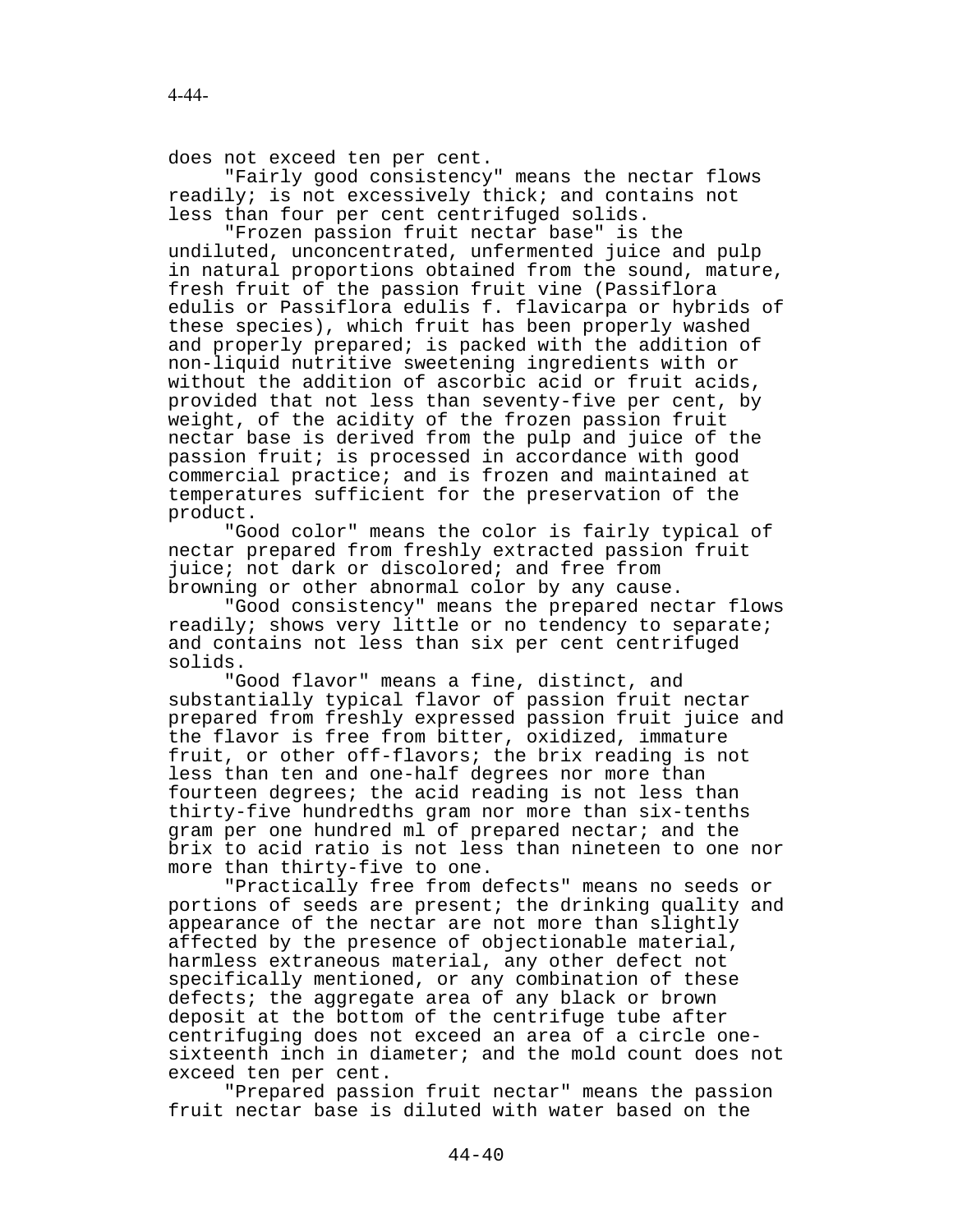does not exceed ten per cent.

"Fairly good consistency" means the nectar flows readily; is not excessively thick; and contains not less than four per cent centrifuged solids.

"Frozen passion fruit nectar base" is the undiluted, unconcentrated, unfermented juice and pulp in natural proportions obtained from the sound, mature, fresh fruit of the passion fruit vine (Passiflora edulis or Passiflora edulis f. flavicarpa or hybrids of these species), which fruit has been properly washed and properly prepared; is packed with the addition of non-liquid nutritive sweetening ingredients with or without the addition of ascorbic acid or fruit acids, provided that not less than seventy-five per cent, by weight, of the acidity of the frozen passion fruit nectar base is derived from the pulp and juice of the passion fruit; is processed in accordance with good commercial practice; and is frozen and maintained at temperatures sufficient for the preservation of the product.

"Good color" means the color is fairly typical of nectar prepared from freshly extracted passion fruit juice; not dark or discolored; and free from browning or other abnormal color by any cause.

"Good consistency" means the prepared nectar flows readily; shows very little or no tendency to separate; and contains not less than six per cent centrifuged solids.

"Good flavor" means a fine, distinct, and substantially typical flavor of passion fruit nectar prepared from freshly expressed passion fruit juice and the flavor is free from bitter, oxidized, immature fruit, or other off-flavors; the brix reading is not less than ten and one-half degrees nor more than fourteen degrees; the acid reading is not less than thirty-five hundredths gram nor more than six-tenths gram per one hundred ml of prepared nectar; and the brix to acid ratio is not less than nineteen to one nor more than thirty-five to one.

"Practically free from defects" means no seeds or portions of seeds are present; the drinking quality and appearance of the nectar are not more than slightly affected by the presence of objectionable material, harmless extraneous material, any other defect not specifically mentioned, or any combination of these defects; the aggregate area of any black or brown deposit at the bottom of the centrifuge tube after centrifuging does not exceed an area of a circle onesixteenth inch in diameter; and the mold count does not exceed ten per cent.

"Prepared passion fruit nectar" means the passion fruit nectar base is diluted with water based on the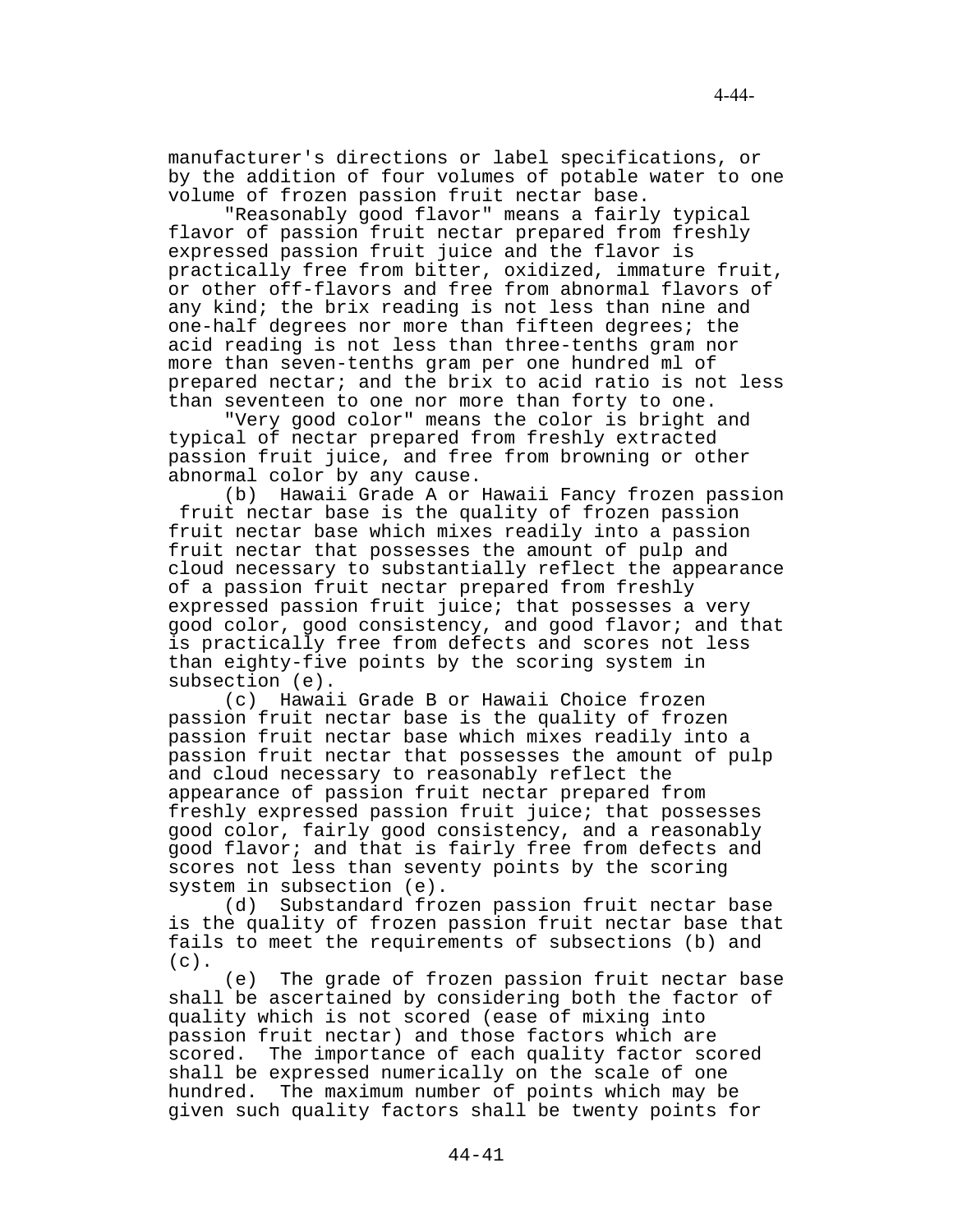manufacturer's directions or label specifications, or by the addition of four volumes of potable water to one volume of frozen passion fruit nectar base.

"Reasonably good flavor" means a fairly typical flavor of passion fruit nectar prepared from freshly expressed passion fruit juice and the flavor is practically free from bitter, oxidized, immature fruit, or other off-flavors and free from abnormal flavors of any kind; the brix reading is not less than nine and one-half degrees nor more than fifteen degrees; the acid reading is not less than three-tenths gram nor more than seven-tenths gram per one hundred ml of prepared nectar; and the brix to acid ratio is not less than seventeen to one nor more than forty to one.

"Very good color" means the color is bright and typical of nectar prepared from freshly extracted passion fruit juice, and free from browning or other abnormal color by any cause.

(b) Hawaii Grade A or Hawaii Fancy frozen passion fruit nectar base is the quality of frozen passion fruit nectar base which mixes readily into a passion fruit nectar that possesses the amount of pulp and cloud necessary to substantially reflect the appearance of a passion fruit nectar prepared from freshly expressed passion fruit juice; that possesses a very good color, good consistency, and good flavor; and that is practically free from defects and scores not less than eighty-five points by the scoring system in subsection (e).

(c) Hawaii Grade B or Hawaii Choice frozen passion fruit nectar base is the quality of frozen passion fruit nectar base which mixes readily into a passion fruit nectar that possesses the amount of pulp and cloud necessary to reasonably reflect the appearance of passion fruit nectar prepared from freshly expressed passion fruit juice; that possesses good color, fairly good consistency, and a reasonably good flavor; and that is fairly free from defects and scores not less than seventy points by the scoring system in subsection (e).

(d) Substandard frozen passion fruit nectar base is the quality of frozen passion fruit nectar base that fails to meet the requirements of subsections (b) and  $(c)$ .

(e) The grade of frozen passion fruit nectar base shall be ascertained by considering both the factor of quality which is not scored (ease of mixing into passion fruit nectar) and those factors which are scored. The importance of each quality factor scored shall be expressed numerically on the scale of one hundred. The maximum number of points which may be given such quality factors shall be twenty points for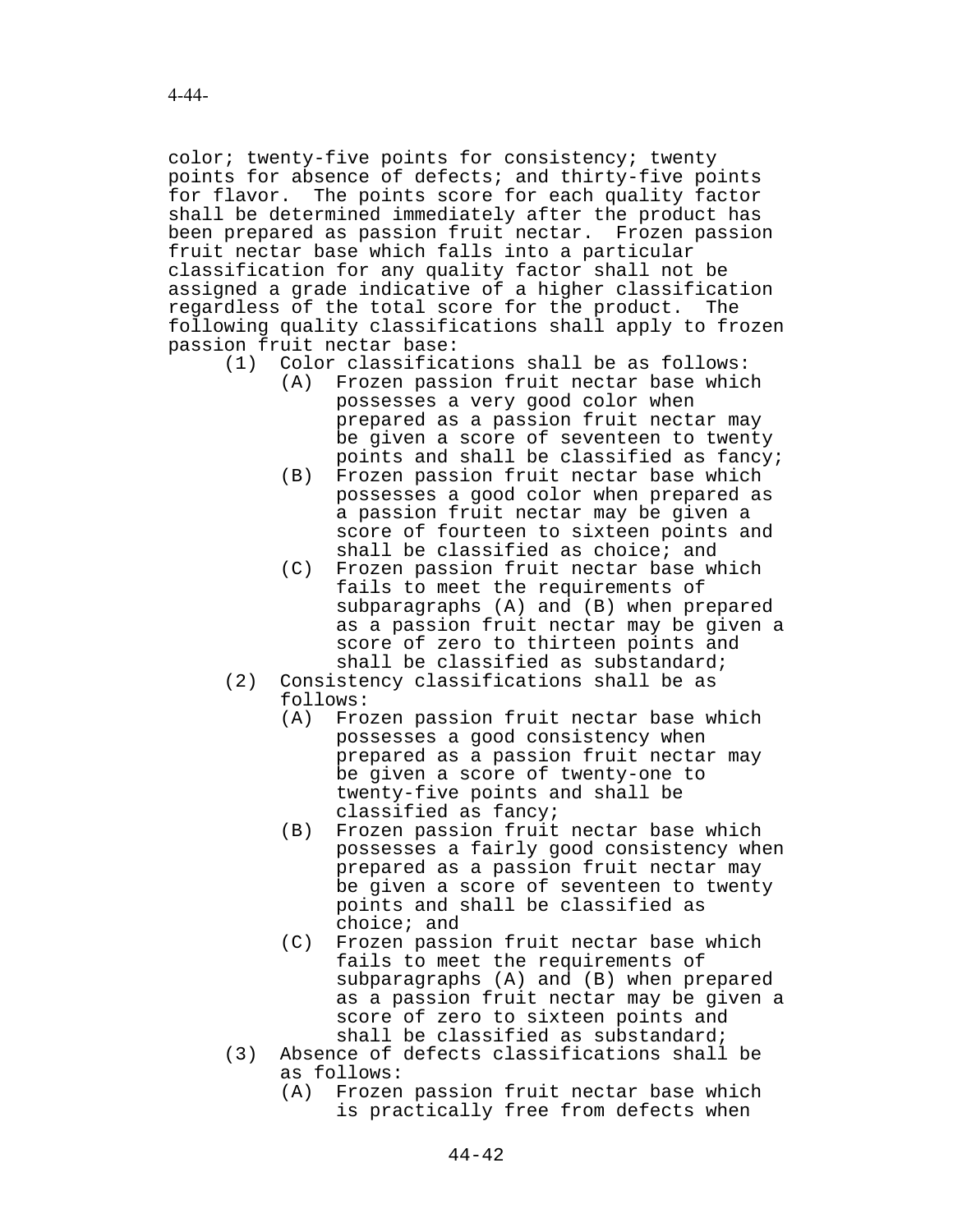color; twenty-five points for consistency; twenty points for absence of defects; and thirty-five points for flavor. The points score for each quality factor shall be determined immediately after the product has been prepared as passion fruit nectar. Frozen passion fruit nectar base which falls into a particular classification for any quality factor shall not be assigned a grade indicative of a higher classification regardless of the total score for the product. The following quality classifications shall apply to frozen passion fruit nectar base:

- (1) Color classifications shall be as follows:
	- (A) Frozen passion fruit nectar base which possesses a very good color when prepared as a passion fruit nectar may be given a score of seventeen to twenty points and shall be classified as fancy;
	- (B) Frozen passion fruit nectar base which possesses a good color when prepared as a passion fruit nectar may be given a score of fourteen to sixteen points and shall be classified as choice; and
	- (C) Frozen passion fruit nectar base which fails to meet the requirements of subparagraphs (A) and (B) when prepared as a passion fruit nectar may be given a score of zero to thirteen points and shall be classified as substandard;
- (2) Consistency classifications shall be as follows:
	- (A) Frozen passion fruit nectar base which possesses a good consistency when prepared as a passion fruit nectar may be given a score of twenty-one to twenty-five points and shall be classified as fancy;
	- (B) Frozen passion fruit nectar base which possesses a fairly good consistency when prepared as a passion fruit nectar may be given a score of seventeen to twenty points and shall be classified as choice; and
	- (C) Frozen passion fruit nectar base which fails to meet the requirements of subparagraphs (A) and (B) when prepared as a passion fruit nectar may be given a score of zero to sixteen points and shall be classified as substandard;
- (3) Absence of defects classifications shall be as follows:
	- (A) Frozen passion fruit nectar base which is practically free from defects when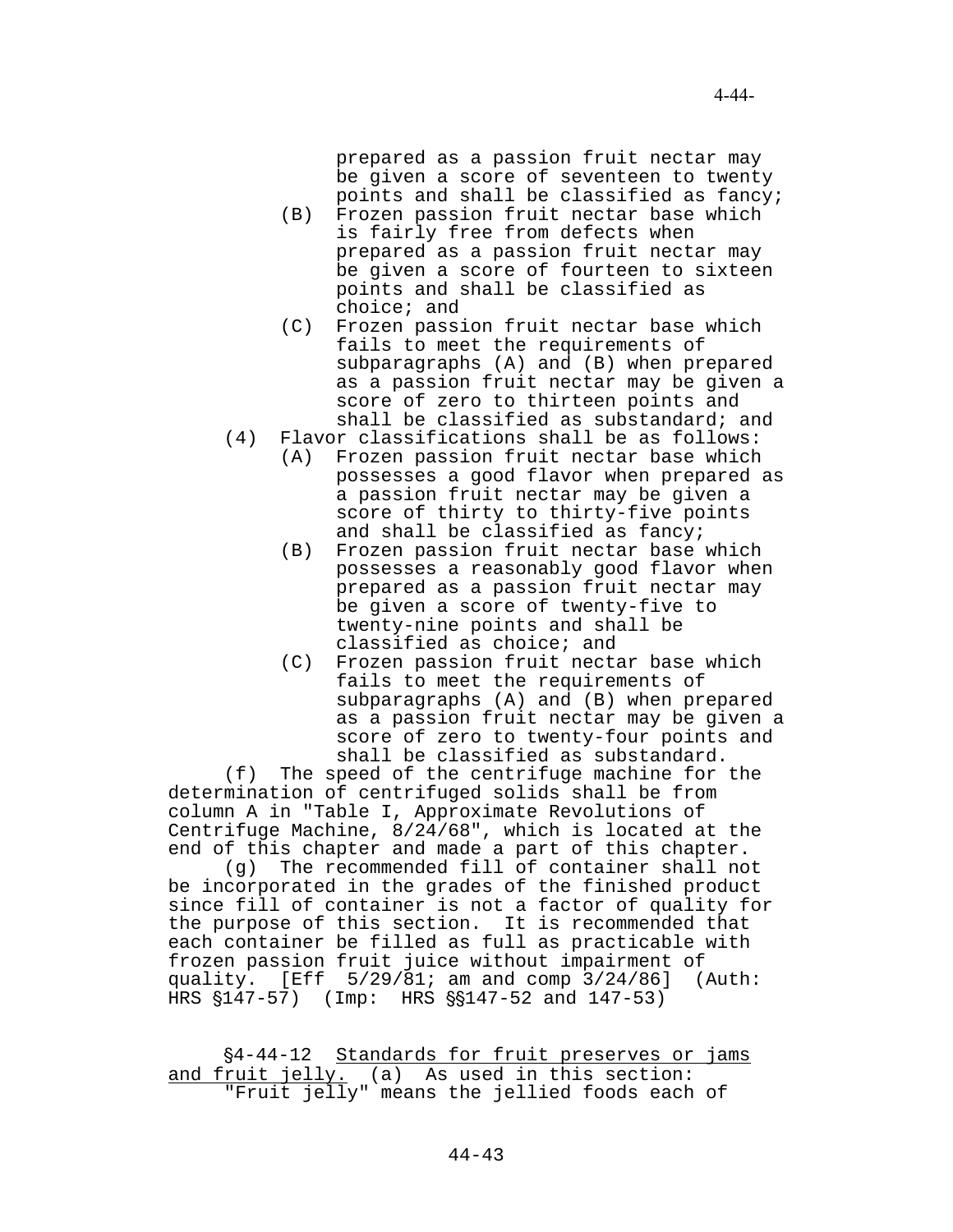prepared as a passion fruit nectar may be given a score of seventeen to twenty points and shall be classified as fancy;

- (B) Frozen passion fruit nectar base which is fairly free from defects when prepared as a passion fruit nectar may be given a score of fourteen to sixteen points and shall be classified as choice; and
- (C) Frozen passion fruit nectar base which fails to meet the requirements of subparagraphs (A) and (B) when prepared as a passion fruit nectar may be given a score of zero to thirteen points and shall be classified as substandard; and
- (4) Flavor classifications shall be as follows:
	- (A) Frozen passion fruit nectar base which possesses a good flavor when prepared as a passion fruit nectar may be given a score of thirty to thirty-five points and shall be classified as fancy;
	- (B) Frozen passion fruit nectar base which possesses a reasonably good flavor when prepared as a passion fruit nectar may be given a score of twenty-five to twenty-nine points and shall be classified as choice; and
	- (C) Frozen passion fruit nectar base which fails to meet the requirements of subparagraphs (A) and (B) when prepared as a passion fruit nectar may be given a score of zero to twenty-four points and shall be classified as substandard.

(f) The speed of the centrifuge machine for the determination of centrifuged solids shall be from column A in "Table I, Approximate Revolutions of Centrifuge Machine, 8/24/68", which is located at the end of this chapter and made a part of this chapter.

(g) The recommended fill of container shall not be incorporated in the grades of the finished product since fill of container is not a factor of quality for the purpose of this section. It is recommended that each container be filled as full as practicable with frozen passion fruit juice without impairment of quality.  $[Eff 5/29/81; am and comp 3/24/86]$  (Auth: HRS  $$147-57$ ) (Imp: HRS  $$9147-52$  and  $147-53$ )

§4-44-12 Standards for fruit preserves or jams and fruit jelly. (a) As used in this section: "Fruit jelly" means the jellied foods each of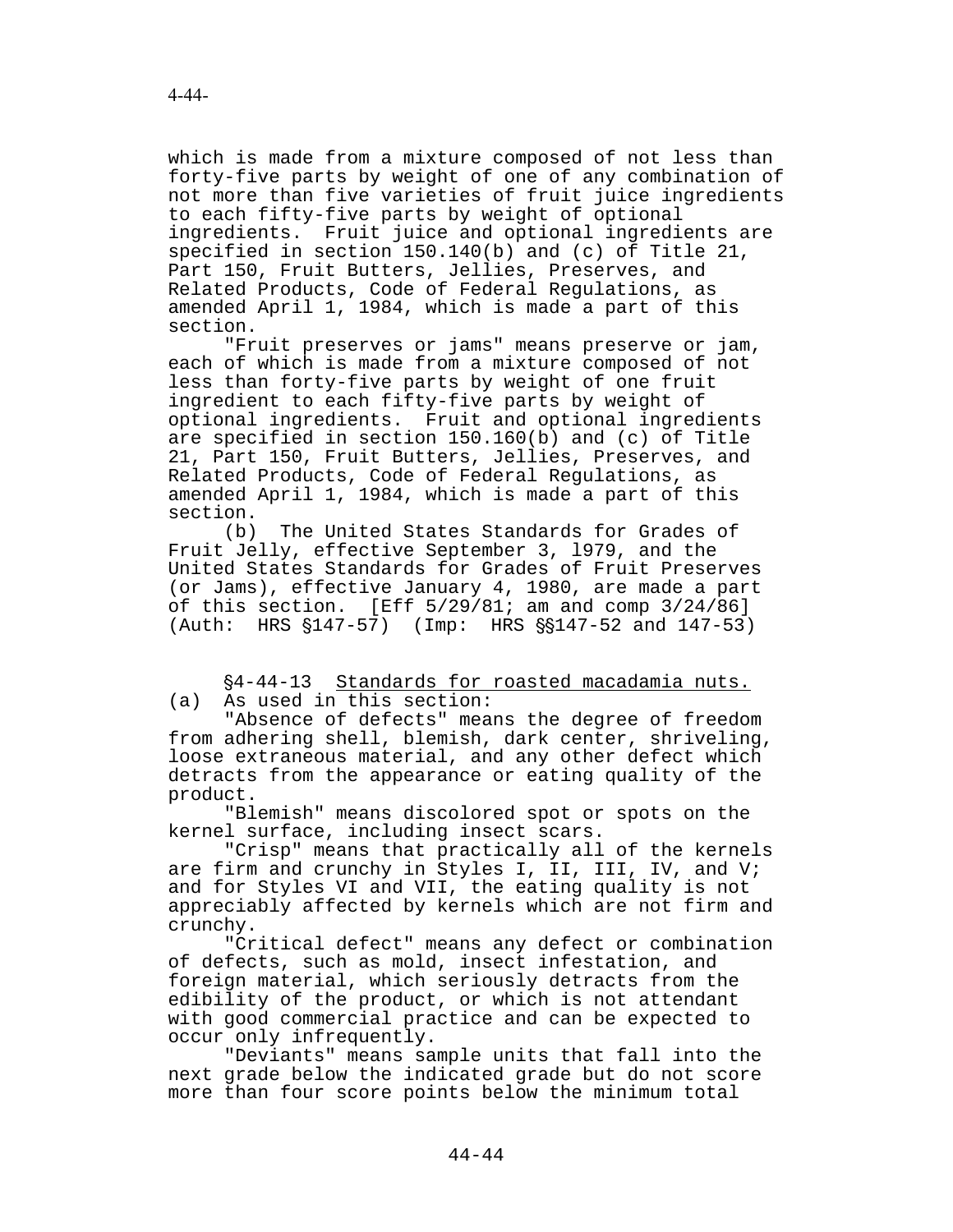which is made from a mixture composed of not less than forty-five parts by weight of one of any combination of not more than five varieties of fruit juice ingredients to each fifty-five parts by weight of optional ingredients. Fruit juice and optional ingredients are specified in section 150.140(b) and (c) of Title 21, Part 150, Fruit Butters, Jellies, Preserves, and Related Products, Code of Federal Regulations, as amended April 1, 1984, which is made a part of this section.

"Fruit preserves or jams" means preserve or jam, each of which is made from a mixture composed of not less than forty-five parts by weight of one fruit ingredient to each fifty-five parts by weight of optional ingredients. Fruit and optional ingredients are specified in section 150.160(b) and (c) of Title 21, Part 150, Fruit Butters, Jellies, Preserves, and Related Products, Code of Federal Regulations, as amended April 1, 1984, which is made a part of this section.

(b) The United States Standards for Grades of Fruit Jelly, effective September 3, l979, and the United States Standards for Grades of Fruit Preserves (or Jams), effective January 4, 1980, are made a part of this section. [Eff 5/29/81; am and comp 3/24/86] (Auth: HRS  $$147-57$ ) (Imp: HRS  $$8147-52$  and  $147-53$ )

## '4-44-13 Standards for roasted macadamia nuts. (a) As used in this section:

"Absence of defects" means the degree of freedom from adhering shell, blemish, dark center, shriveling, loose extraneous material, and any other defect which detracts from the appearance or eating quality of the product.

"Blemish" means discolored spot or spots on the kernel surface, including insect scars.

"Crisp" means that practically all of the kernels are firm and crunchy in Styles I, II, III, IV, and V; and for Styles VI and VII, the eating quality is not appreciably affected by kernels which are not firm and crunchy.

"Critical defect" means any defect or combination of defects, such as mold, insect infestation, and foreign material, which seriously detracts from the edibility of the product, or which is not attendant with good commercial practice and can be expected to occur only infrequently.

"Deviants" means sample units that fall into the next grade below the indicated grade but do not score more than four score points below the minimum total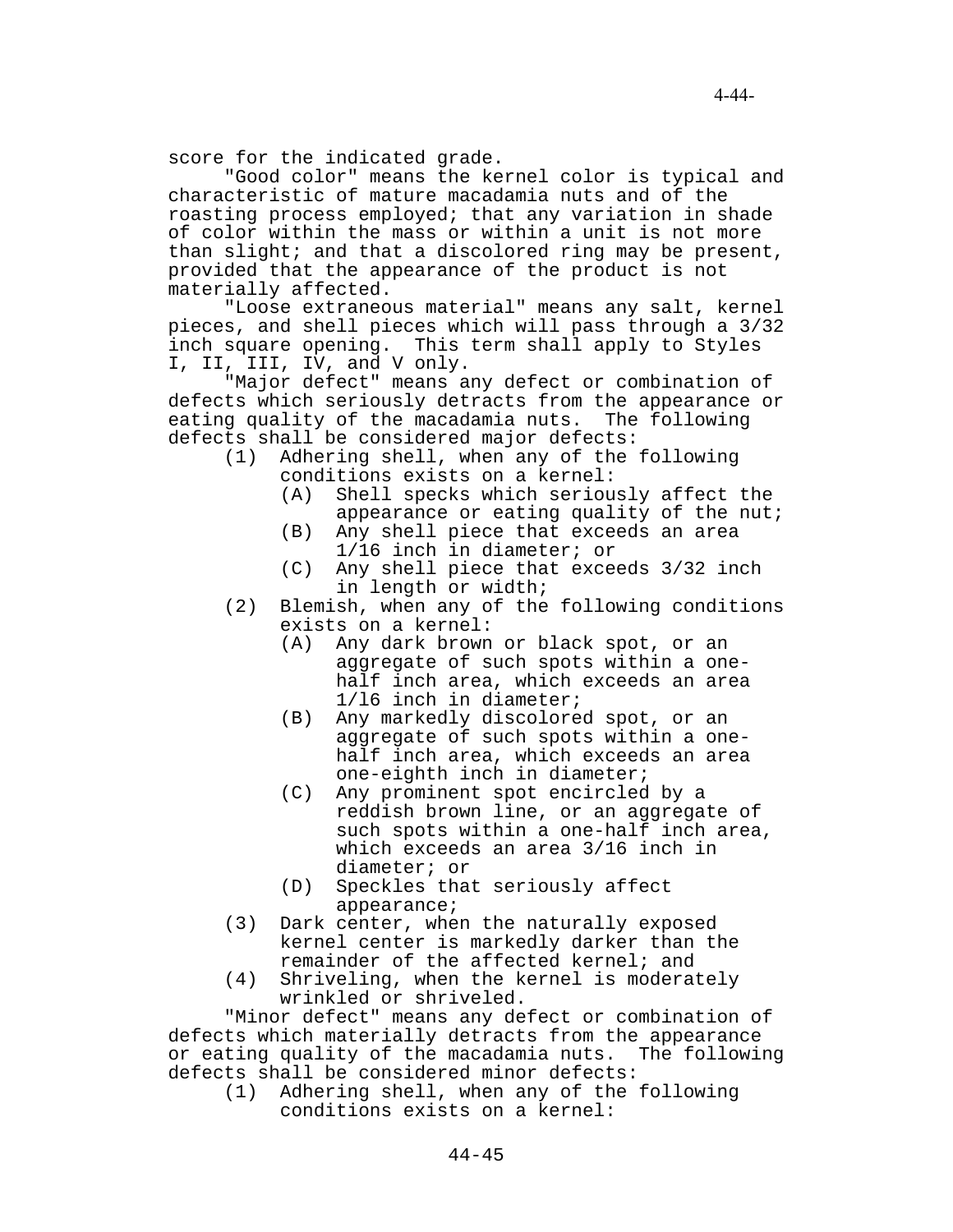score for the indicated grade.

"Good color" means the kernel color is typical and characteristic of mature macadamia nuts and of the roasting process employed; that any variation in shade of color within the mass or within a unit is not more than slight; and that a discolored ring may be present, provided that the appearance of the product is not materially affected.

"Loose extraneous material" means any salt, kernel pieces, and shell pieces which will pass through a 3/32 inch square opening. This term shall apply to Styles I, II, III, IV, and V only.

"Major defect" means any defect or combination of defects which seriously detracts from the appearance or eating quality of the macadamia nuts. The following defects shall be considered major defects:

- (1) Adhering shell, when any of the following conditions exists on a kernel:
	- (A) Shell specks which seriously affect the appearance or eating quality of the nut;
	- (B) Any shell piece that exceeds an area 1/16 inch in diameter; or
	- (C) Any shell piece that exceeds 3/32 inch in length or width;
- (2) Blemish, when any of the following conditions exists on a kernel:
	- (A) Any dark brown or black spot, or an aggregate of such spots within a onehalf inch area, which exceeds an area 1/l6 inch in diameter;
	- (B) Any markedly discolored spot, or an aggregate of such spots within a onehalf inch area, which exceeds an area one-eighth inch in diameter;
	- (C) Any prominent spot encircled by a reddish brown line, or an aggregate of such spots within a one-half inch area, which exceeds an area 3/16 inch in diameter; or
	- (D) Speckles that seriously affect appearance;
- (3) Dark center, when the naturally exposed kernel center is markedly darker than the remainder of the affected kernel; and
- (4) Shriveling, when the kernel is moderately wrinkled or shriveled.

"Minor defect" means any defect or combination of defects which materially detracts from the appearance or eating quality of the macadamia nuts. The following defects shall be considered minor defects:

(1) Adhering shell, when any of the following conditions exists on a kernel: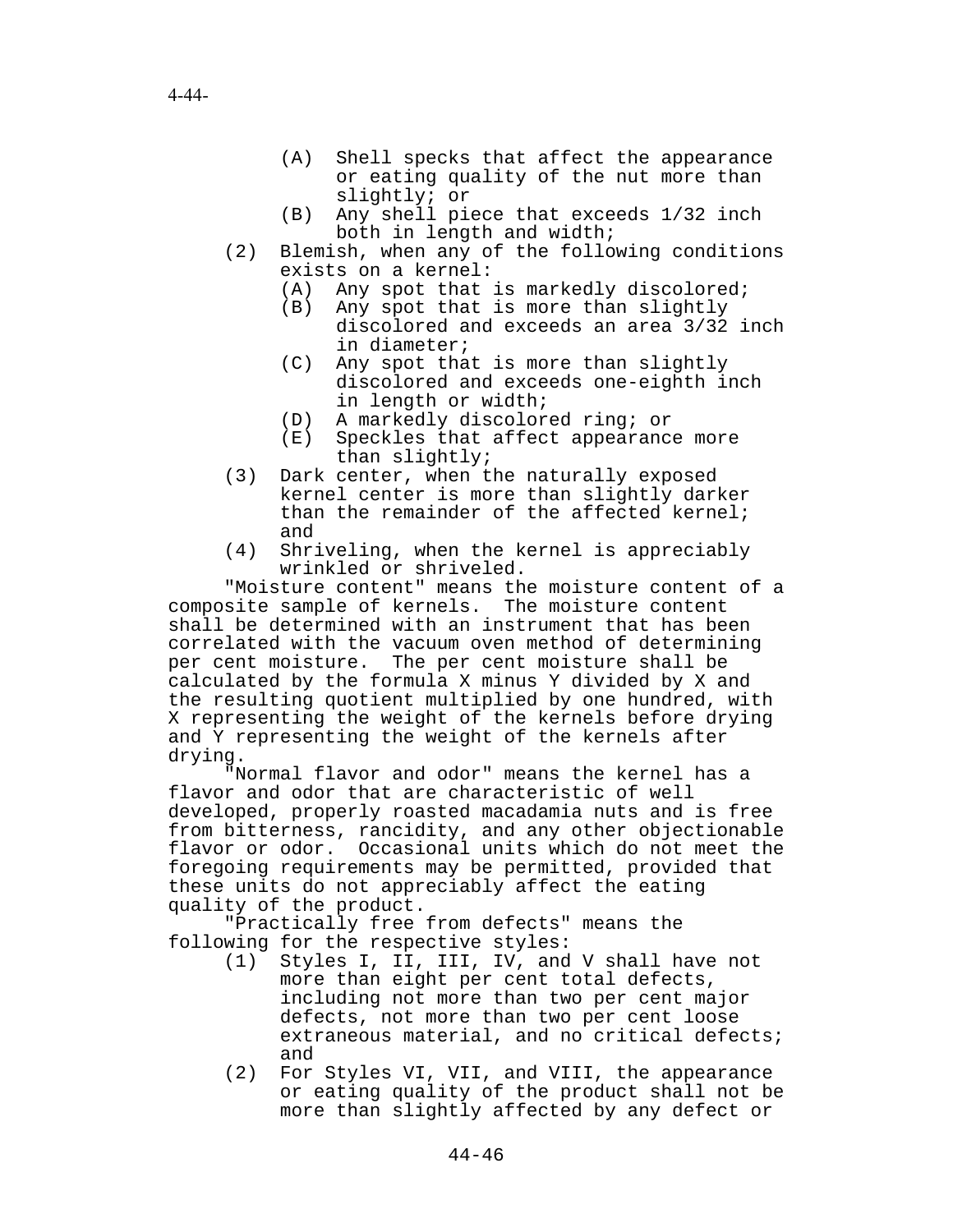- (A) Shell specks that affect the appearance or eating quality of the nut more than slightly; or
- (B) Any shell piece that exceeds 1/32 inch both in length and width;
- (2) Blemish, when any of the following conditions exists on a kernel:
	- (A) Any spot that is markedly discolored;
	- (B) Any spot that is more than slightly discolored and exceeds an area 3/32 inch in diameter;
	- (C) Any spot that is more than slightly discolored and exceeds one-eighth inch in length or width;
	- (D) A markedly discolored ring; or
	- (E) Speckles that affect appearance more than slightly;
- (3) Dark center, when the naturally exposed kernel center is more than slightly darker than the remainder of the affected kernel; and
- (4) Shriveling, when the kernel is appreciably wrinkled or shriveled.

"Moisture content" means the moisture content of a composite sample of kernels. The moisture content shall be determined with an instrument that has been correlated with the vacuum oven method of determining per cent moisture. The per cent moisture shall be calculated by the formula X minus Y divided by X and the resulting quotient multiplied by one hundred, with X representing the weight of the kernels before drying and Y representing the weight of the kernels after drying.

"Normal flavor and odor" means the kernel has a flavor and odor that are characteristic of well developed, properly roasted macadamia nuts and is free from bitterness, rancidity, and any other objectionable flavor or odor. Occasional units which do not meet the foregoing requirements may be permitted, provided that these units do not appreciably affect the eating quality of the product.

"Practically free from defects" means the following for the respective styles:

- (1) Styles I, II, III, IV, and V shall have not more than eight per cent total defects, including not more than two per cent major defects, not more than two per cent loose extraneous material, and no critical defects; and
- (2) For Styles VI, VII, and VIII, the appearance or eating quality of the product shall not be more than slightly affected by any defect or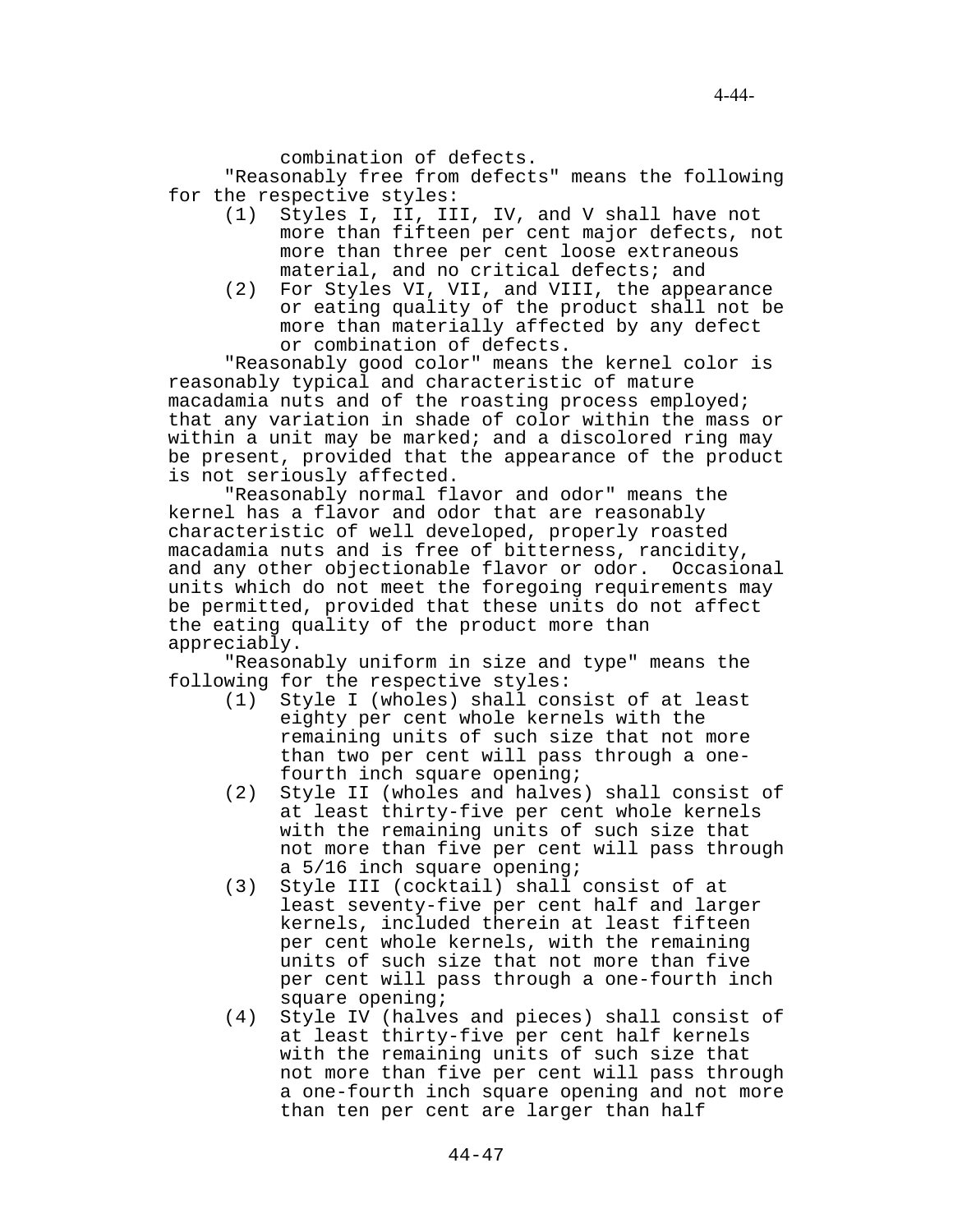combination of defects.

"Reasonably free from defects" means the following for the respective styles:

- (1) Styles I, II, III, IV, and V shall have not more than fifteen per cent major defects, not more than three per cent loose extraneous material, and no critical defects; and
- (2) For Styles VI, VII, and VIII, the appearance or eating quality of the product shall not be more than materially affected by any defect or combination of defects.

"Reasonably good color" means the kernel color is reasonably typical and characteristic of mature macadamia nuts and of the roasting process employed; that any variation in shade of color within the mass or within a unit may be marked; and a discolored ring may be present, provided that the appearance of the product is not seriously affected.

"Reasonably normal flavor and odor" means the kernel has a flavor and odor that are reasonably characteristic of well developed, properly roasted macadamia nuts and is free of bitterness, rancidity, and any other objectionable flavor or odor. Occasional units which do not meet the foregoing requirements may be permitted, provided that these units do not affect the eating quality of the product more than appreciably.

"Reasonably uniform in size and type" means the following for the respective styles:

- (1) Style I (wholes) shall consist of at least eighty per cent whole kernels with the remaining units of such size that not more than two per cent will pass through a onefourth inch square opening;
- (2) Style II (wholes and halves) shall consist of at least thirty-five per cent whole kernels with the remaining units of such size that not more than five per cent will pass through a 5/16 inch square opening;
- (3) Style III (cocktail) shall consist of at least seventy-five per cent half and larger kernels, included therein at least fifteen per cent whole kernels, with the remaining units of such size that not more than five per cent will pass through a one-fourth inch square opening;
- (4) Style IV (halves and pieces) shall consist of at least thirty-five per cent half kernels with the remaining units of such size that not more than five per cent will pass through a one-fourth inch square opening and not more than ten per cent are larger than half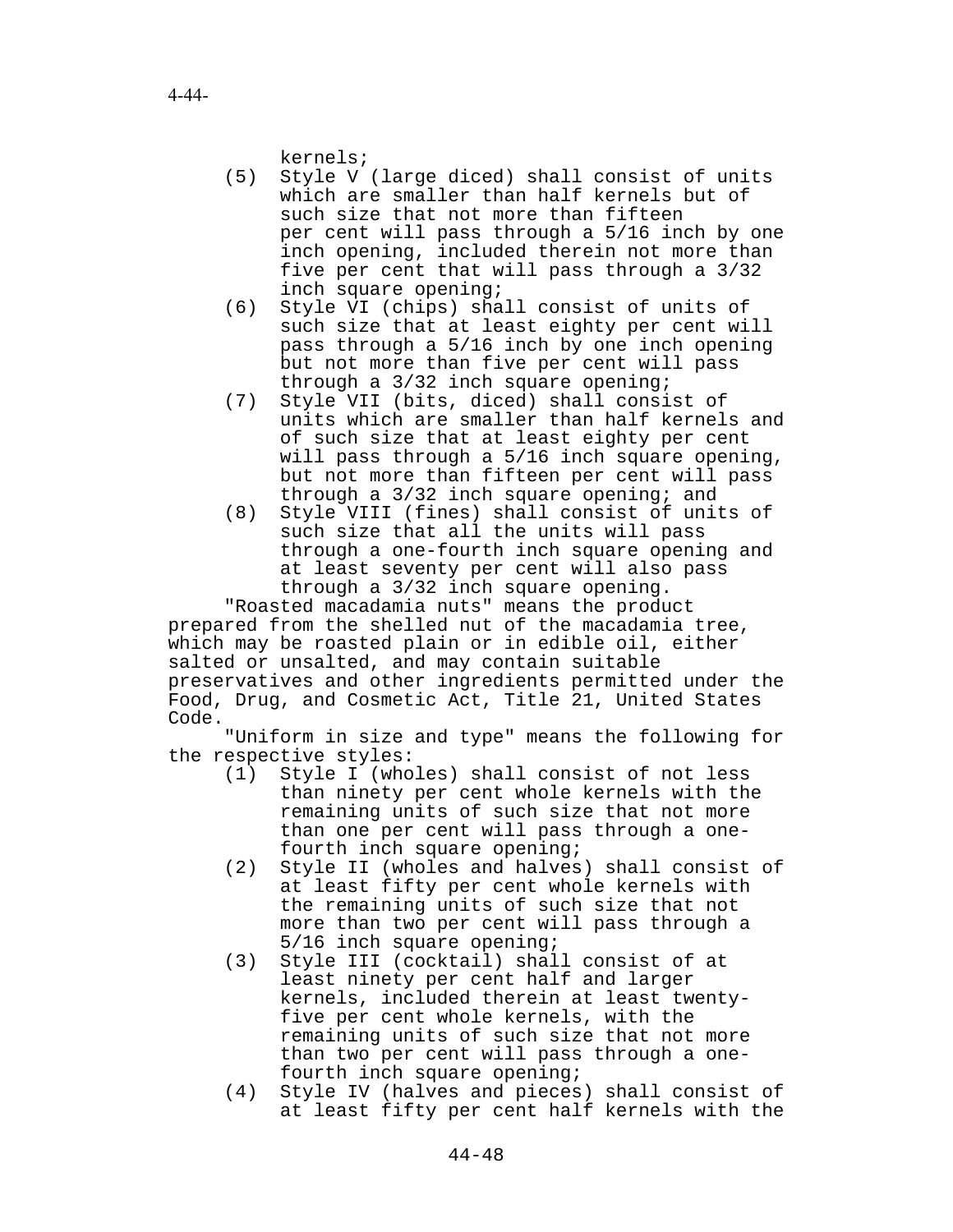kernels;

- (5) Style V (large diced) shall consist of units which are smaller than half kernels but of such size that not more than fifteen per cent will pass through a 5/16 inch by one inch opening, included therein not more than five per cent that will pass through a 3/32 inch square opening;
- (6) Style VI (chips) shall consist of units of such size that at least eighty per cent will pass through a 5/16 inch by one inch opening but not more than five per cent will pass through a 3/32 inch square opening;
- (7) Style VII (bits, diced) shall consist of units which are smaller than half kernels and of such size that at least eighty per cent will pass through a 5/16 inch square opening, but not more than fifteen per cent will pass through a  $3/32$  inch square opening; and
- (8) Style VIII (fines) shall consist of units of such size that all the units will pass through a one-fourth inch square opening and at least seventy per cent will also pass through a 3/32 inch square opening.

"Roasted macadamia nuts" means the product prepared from the shelled nut of the macadamia tree, which may be roasted plain or in edible oil, either salted or unsalted, and may contain suitable preservatives and other ingredients permitted under the Food, Drug, and Cosmetic Act, Title 21, United States Code.

"Uniform in size and type" means the following for the respective styles:

- (1) Style I (wholes) shall consist of not less than ninety per cent whole kernels with the remaining units of such size that not more than one per cent will pass through a onefourth inch square opening;
- (2) Style II (wholes and halves) shall consist of at least fifty per cent whole kernels with the remaining units of such size that not more than two per cent will pass through a 5/16 inch square opening;
- (3) Style III (cocktail) shall consist of at least ninety per cent half and larger kernels, included therein at least twentyfive per cent whole kernels, with the remaining units of such size that not more than two per cent will pass through a onefourth inch square opening;
- (4) Style IV (halves and pieces) shall consist of at least fifty per cent half kernels with the

4-44-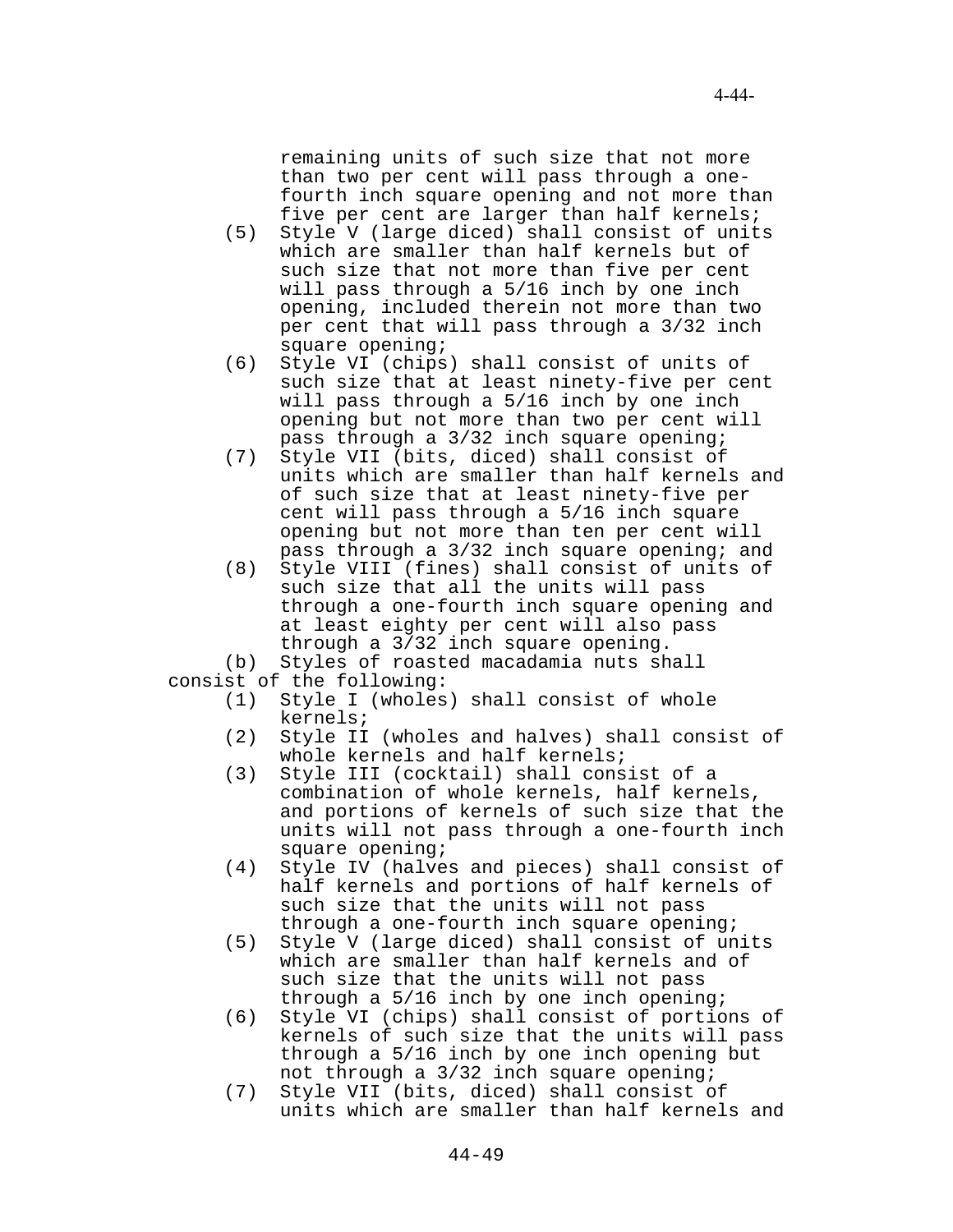remaining units of such size that not more than two per cent will pass through a onefourth inch square opening and not more than five per cent are larger than half kernels;

- (5) Style V (large diced) shall consist of units which are smaller than half kernels but of such size that not more than five per cent will pass through a 5/16 inch by one inch opening, included therein not more than two per cent that will pass through a 3/32 inch square opening;
- (6) Style VI (chips) shall consist of units of such size that at least ninety-five per cent will pass through a 5/16 inch by one inch opening but not more than two per cent will pass through a 3/32 inch square opening;
- (7) Style VII (bits, diced) shall consist of units which are smaller than half kernels and of such size that at least ninety-five per cent will pass through a 5/16 inch square opening but not more than ten per cent will pass through a 3/32 inch square opening; and
- (8) Style VIII (fines) shall consist of units of such size that all the units will pass through a one-fourth inch square opening and at least eighty per cent will also pass through a 3/32 inch square opening.

(b) Styles of roasted macadamia nuts shall

consist of the following:

- (1) Style I (wholes) shall consist of whole kernels;
- (2) Style II (wholes and halves) shall consist of whole kernels and half kernels;
- (3) Style III (cocktail) shall consist of a combination of whole kernels, half kernels, and portions of kernels of such size that the units will not pass through a one-fourth inch square opening;
- (4) Style IV (halves and pieces) shall consist of half kernels and portions of half kernels of such size that the units will not pass through a one-fourth inch square opening;
- (5) Style V (large diced) shall consist of units which are smaller than half kernels and of such size that the units will not pass through a 5/16 inch by one inch opening;
- (6) Style VI (chips) shall consist of portions of kernels of such size that the units will pass through a 5/16 inch by one inch opening but not through a 3/32 inch square opening;
- (7) Style VII (bits, diced) shall consist of units which are smaller than half kernels and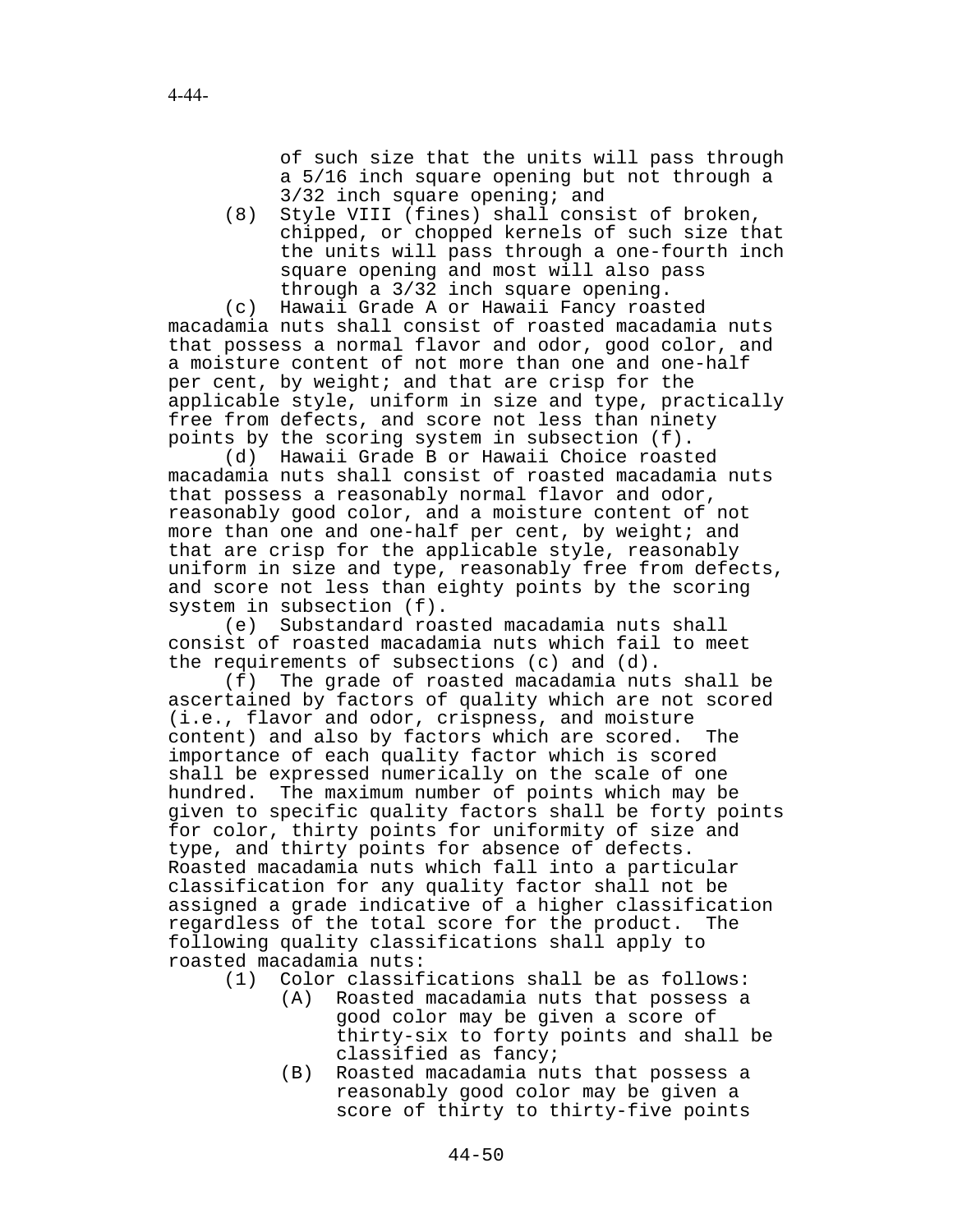of such size that the units will pass through a 5/16 inch square opening but not through a 3/32 inch square opening; and

(8) Style VIII (fines) shall consist of broken, chipped, or chopped kernels of such size that the units will pass through a one-fourth inch square opening and most will also pass through a 3/32 inch square opening.

(c) Hawaii Grade A or Hawaii Fancy roasted macadamia nuts shall consist of roasted macadamia nuts that possess a normal flavor and odor, good color, and a moisture content of not more than one and one-half per cent, by weight; and that are crisp for the applicable style, uniform in size and type, practically free from defects, and score not less than ninety points by the scoring system in subsection (f).

(d) Hawaii Grade B or Hawaii Choice roasted macadamia nuts shall consist of roasted macadamia nuts that possess a reasonably normal flavor and odor, reasonably good color, and a moisture content of not more than one and one-half per cent, by weight; and that are crisp for the applicable style, reasonably uniform in size and type, reasonably free from defects, and score not less than eighty points by the scoring system in subsection (f).

(e) Substandard roasted macadamia nuts shall consist of roasted macadamia nuts which fail to meet the requirements of subsections (c) and (d).

(f) The grade of roasted macadamia nuts shall be ascertained by factors of quality which are not scored (i.e., flavor and odor, crispness, and moisture content) and also by factors which are scored. The importance of each quality factor which is scored shall be expressed numerically on the scale of one hundred. The maximum number of points which may be given to specific quality factors shall be forty points for color, thirty points for uniformity of size and type, and thirty points for absence of defects. Roasted macadamia nuts which fall into a particular classification for any quality factor shall not be assigned a grade indicative of a higher classification regardless of the total score for the product. The following quality classifications shall apply to roasted macadamia nuts:

- (1) Color classifications shall be as follows:
	- (A) Roasted macadamia nuts that possess a good color may be given a score of thirty-six to forty points and shall be classified as fancy;
	- (B) Roasted macadamia nuts that possess a reasonably good color may be given a score of thirty to thirty-five points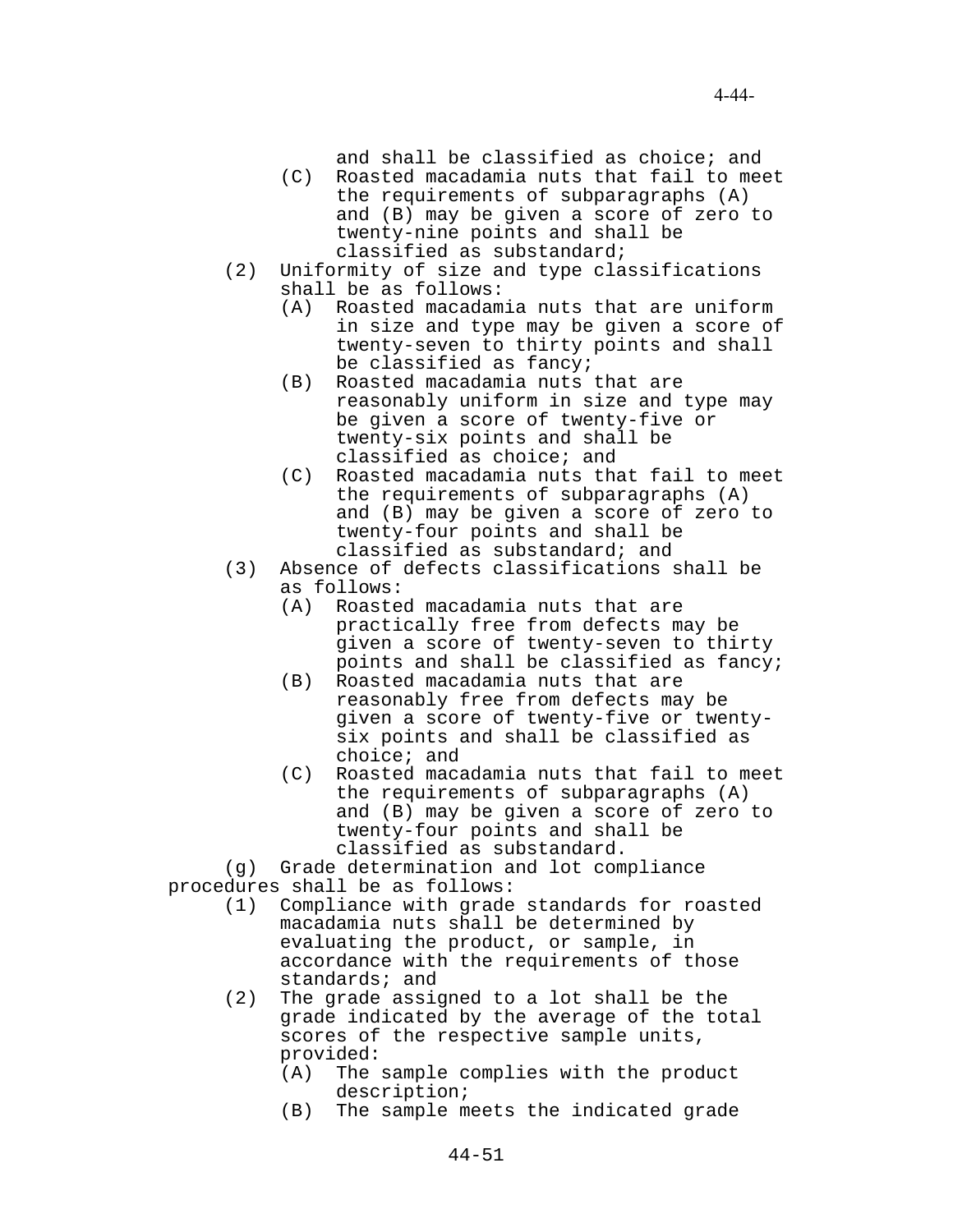and shall be classified as choice; and

- (C) Roasted macadamia nuts that fail to meet the requirements of subparagraphs (A) and (B) may be given a score of zero to twenty-nine points and shall be classified as substandard;
- (2) Uniformity of size and type classifications shall be as follows:
	- (A) Roasted macadamia nuts that are uniform in size and type may be given a score of twenty-seven to thirty points and shall be classified as fancy;
	- (B) Roasted macadamia nuts that are reasonably uniform in size and type may be given a score of twenty-five or twenty-six points and shall be classified as choice; and
	- (C) Roasted macadamia nuts that fail to meet the requirements of subparagraphs (A) and (B) may be given a score of zero to twenty-four points and shall be classified as substandard; and
- (3) Absence of defects classifications shall be as follows:
	- (A) Roasted macadamia nuts that are practically free from defects may be given a score of twenty-seven to thirty points and shall be classified as fancy;
	- (B) Roasted macadamia nuts that are reasonably free from defects may be given a score of twenty-five or twentysix points and shall be classified as choice; and
	- (C) Roasted macadamia nuts that fail to meet the requirements of subparagraphs (A) and (B) may be given a score of zero to twenty-four points and shall be classified as substandard.

(g) Grade determination and lot compliance procedures shall be as follows:

- (1) Compliance with grade standards for roasted macadamia nuts shall be determined by evaluating the product, or sample, in accordance with the requirements of those standards; and
- (2) The grade assigned to a lot shall be the grade indicated by the average of the total scores of the respective sample units, provided:
	- (A) The sample complies with the product description;
	- (B) The sample meets the indicated grade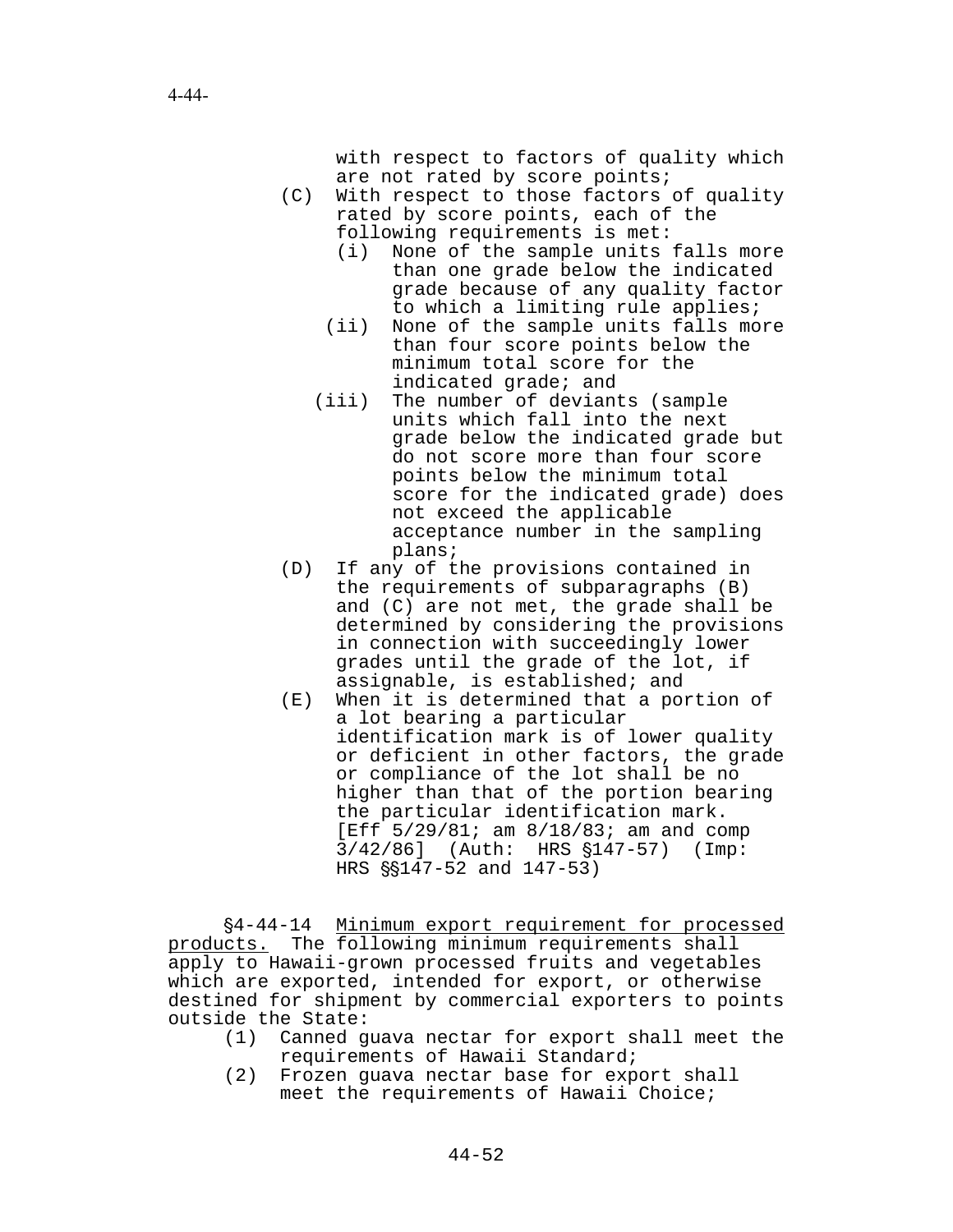with respect to factors of quality which are not rated by score points;

- (C) With respect to those factors of quality rated by score points, each of the following requirements is met:
	- (i) None of the sample units falls more than one grade below the indicated grade because of any quality factor to which a limiting rule applies;
	- (ii) None of the sample units falls more than four score points below the minimum total score for the indicated grade; and
	- (iii) The number of deviants (sample units which fall into the next grade below the indicated grade but do not score more than four score points below the minimum total score for the indicated grade) does not exceed the applicable acceptance number in the sampling plans;
- (D) If any of the provisions contained in the requirements of subparagraphs (B) and (C) are not met, the grade shall be determined by considering the provisions in connection with succeedingly lower grades until the grade of the lot, if assignable, is established; and
- (E) When it is determined that a portion of a lot bearing a particular identification mark is of lower quality or deficient in other factors, the grade or compliance of the lot shall be no higher than that of the portion bearing the particular identification mark. [Eff 5/29/81; am 8/18/83; am and comp 3/42/86] (Auth: HRS \$147-57) (Imp: HRS  $\S$ \$147-52 and 147-53)

§4-44-14 Minimum export requirement for processed products. The following minimum requirements shall apply to Hawaii-grown processed fruits and vegetables which are exported, intended for export, or otherwise destined for shipment by commercial exporters to points outside the State:

- (1) Canned guava nectar for export shall meet the requirements of Hawaii Standard;
- (2) Frozen guava nectar base for export shall meet the requirements of Hawaii Choice;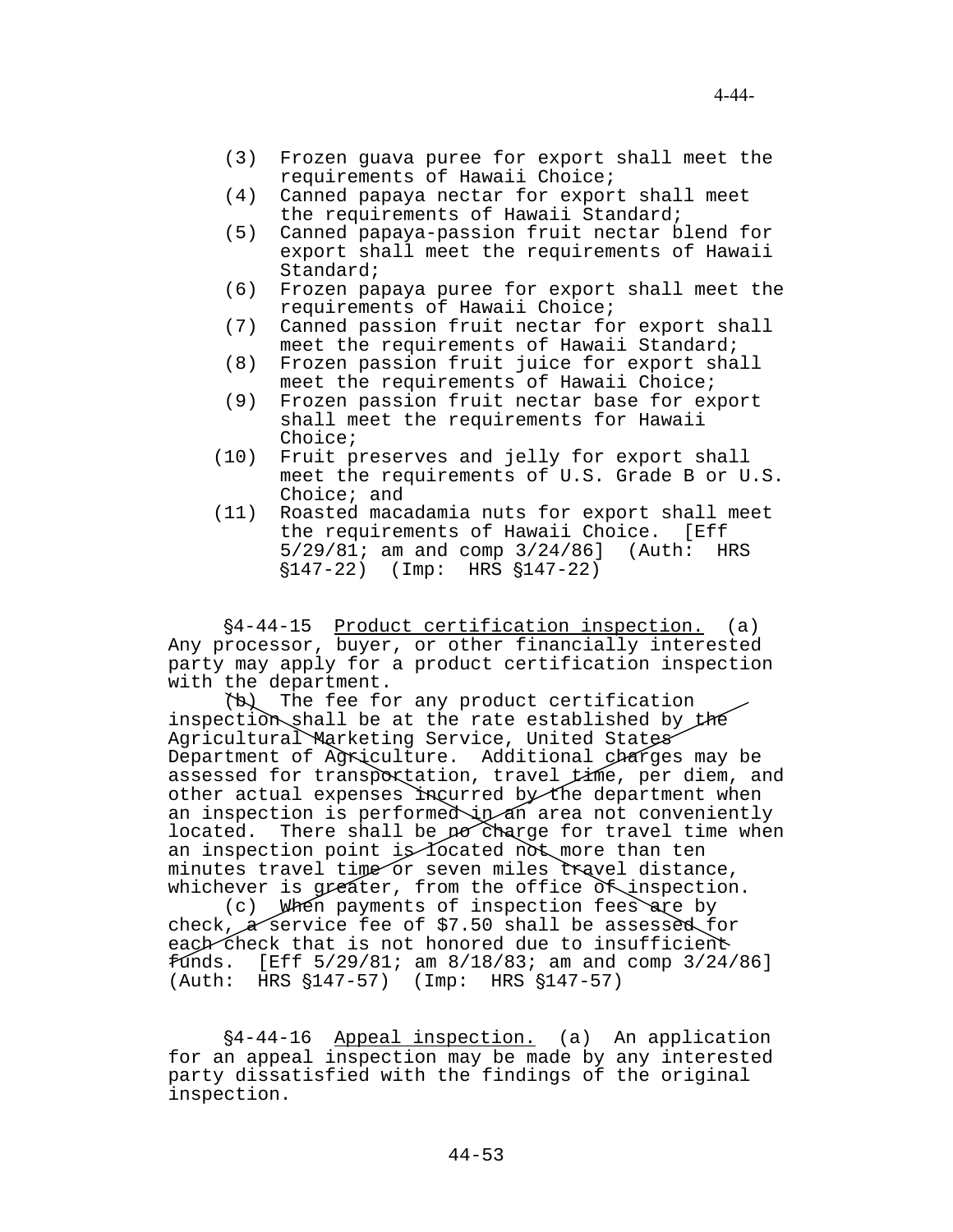- (3) Frozen guava puree for export shall meet the requirements of Hawaii Choice;
- (4) Canned papaya nectar for export shall meet the requirements of Hawaii Standard;
- (5) Canned papaya-passion fruit nectar blend for export shall meet the requirements of Hawaii Standard;
- (6) Frozen papaya puree for export shall meet the requirements of Hawaii Choice;
- (7) Canned passion fruit nectar for export shall meet the requirements of Hawaii Standard;
- (8) Frozen passion fruit juice for export shall meet the requirements of Hawaii Choice;
- (9) Frozen passion fruit nectar base for export shall meet the requirements for Hawaii Choice;
- (10) Fruit preserves and jelly for export shall meet the requirements of U.S. Grade B or U.S. Choice; and
- (11) Roasted macadamia nuts for export shall meet the requirements of Hawaii Choice. [Eff 5/29/81; am and comp 3/24/86] (Auth: HRS  $$147-22$ ) (Imp: HRS  $$147-22$ )

'4-44-15 Product certification inspection. (a) Any processor, buyer, or other financially interested party may apply for a product certification inspection with the department.

(b) The fee for any product certification inspection shall be at the rate established by the Agricultural Marketing Service, United States Department of Agriculture. Additional charges may be assessed for transportation, travel time, per diem, and other actual expenses incurred by the department when an inspection is performed in area not conveniently located. There shall be no charge for travel time when an inspection point is located not more than ten minutes travel time or seven miles travel distance, whichever is greater, from the office  $\delta$  inspection.

(c) When payments of inspection fees are by check,  $\alpha$  service fee of \$7.50 shall be assessed for each check that is not honored due to insufficient funds. [Eff 5/29/81; am 8/18/83; am and comp 3/24/86]  $(Auth: HRS \S147-57)$  (Imp: HRS  $S147-57$ )

§4-44-16 Appeal inspection. (a) An application for an appeal inspection may be made by any interested party dissatisfied with the findings of the original inspection.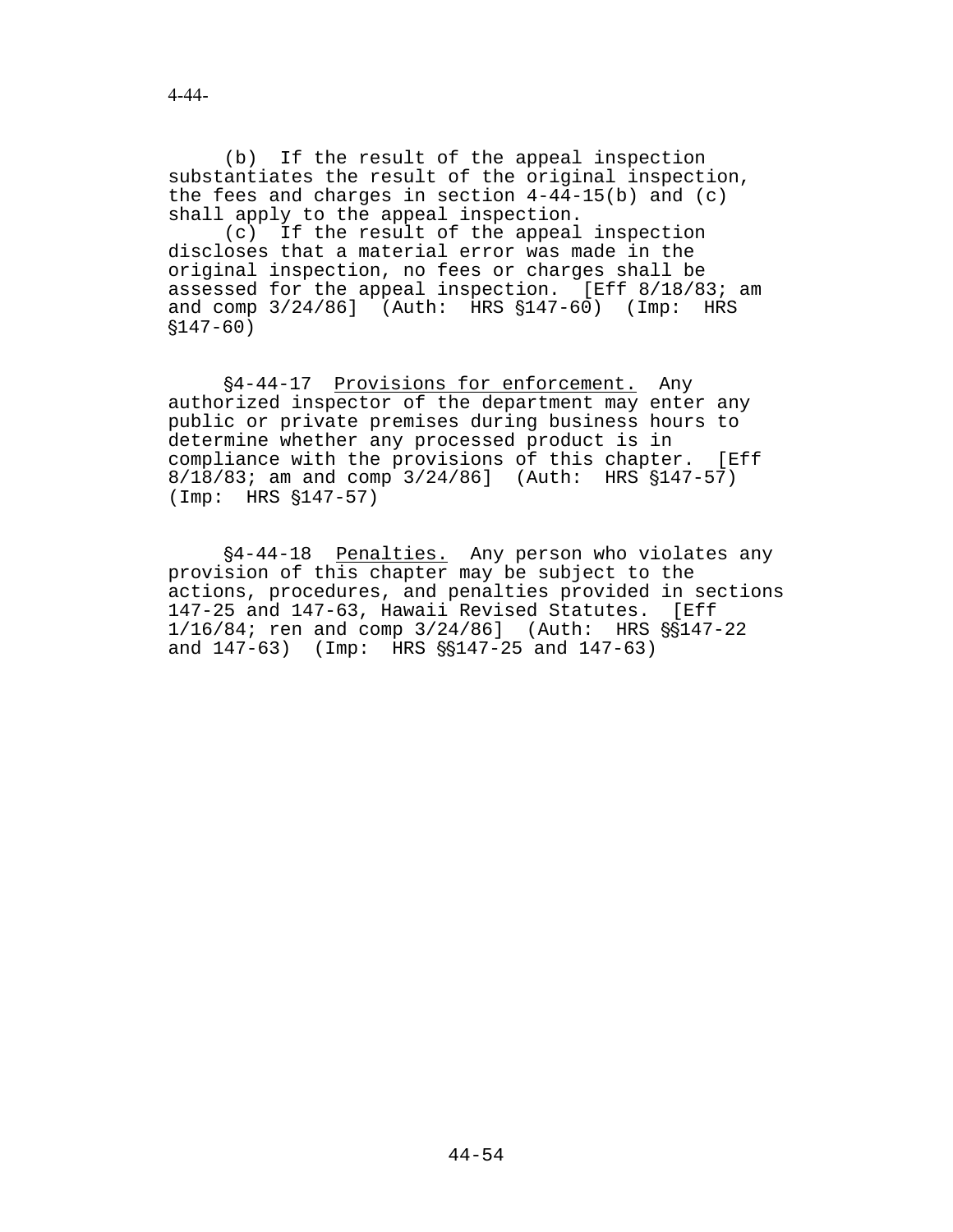(b) If the result of the appeal inspection substantiates the result of the original inspection, the fees and charges in section 4-44-15(b) and (c) shall apply to the appeal inspection.

(c) If the result of the appeal inspection discloses that a material error was made in the original inspection, no fees or charges shall be assessed for the appeal inspection. [Eff 8/18/83; am and comp  $3/24/86$ ] (Auth: HRS  $$147-60$ ) (Imp: HRS  $$147-60)$ 

§4-44-17 Provisions for enforcement. Any authorized inspector of the department may enter any public or private premises during business hours to determine whether any processed product is in compliance with the provisions of this chapter. [Eff  $8/18/83$ ; am and comp  $3/24/86$ ] (Auth: HRS  $$147-57$ )  $(Imp: HRS \$   $$147-57)$ 

§4-44-18 Penalties. Any person who violates any provision of this chapter may be subject to the actions, procedures, and penalties provided in sections 147-25 and 147-63, Hawaii Revised Statutes. [Eff  $1/16/84$ ; ren and comp  $3/24/86$ ] (Auth: HRS  $\S$ \$147-22 and  $147-63$ ) (Imp: HRS  $\frac{55147-25}{147-63}$  and  $147-63$ )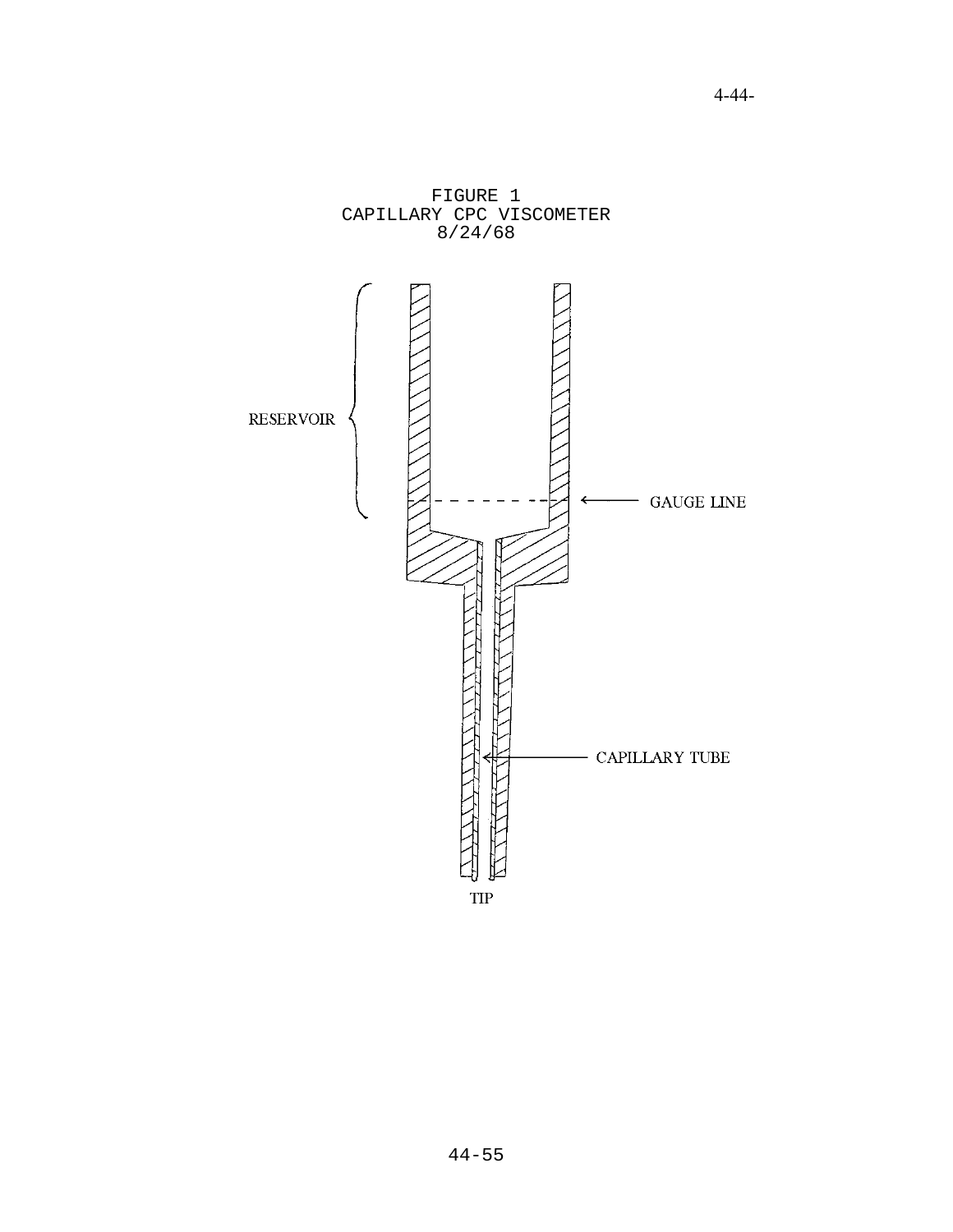

4-44-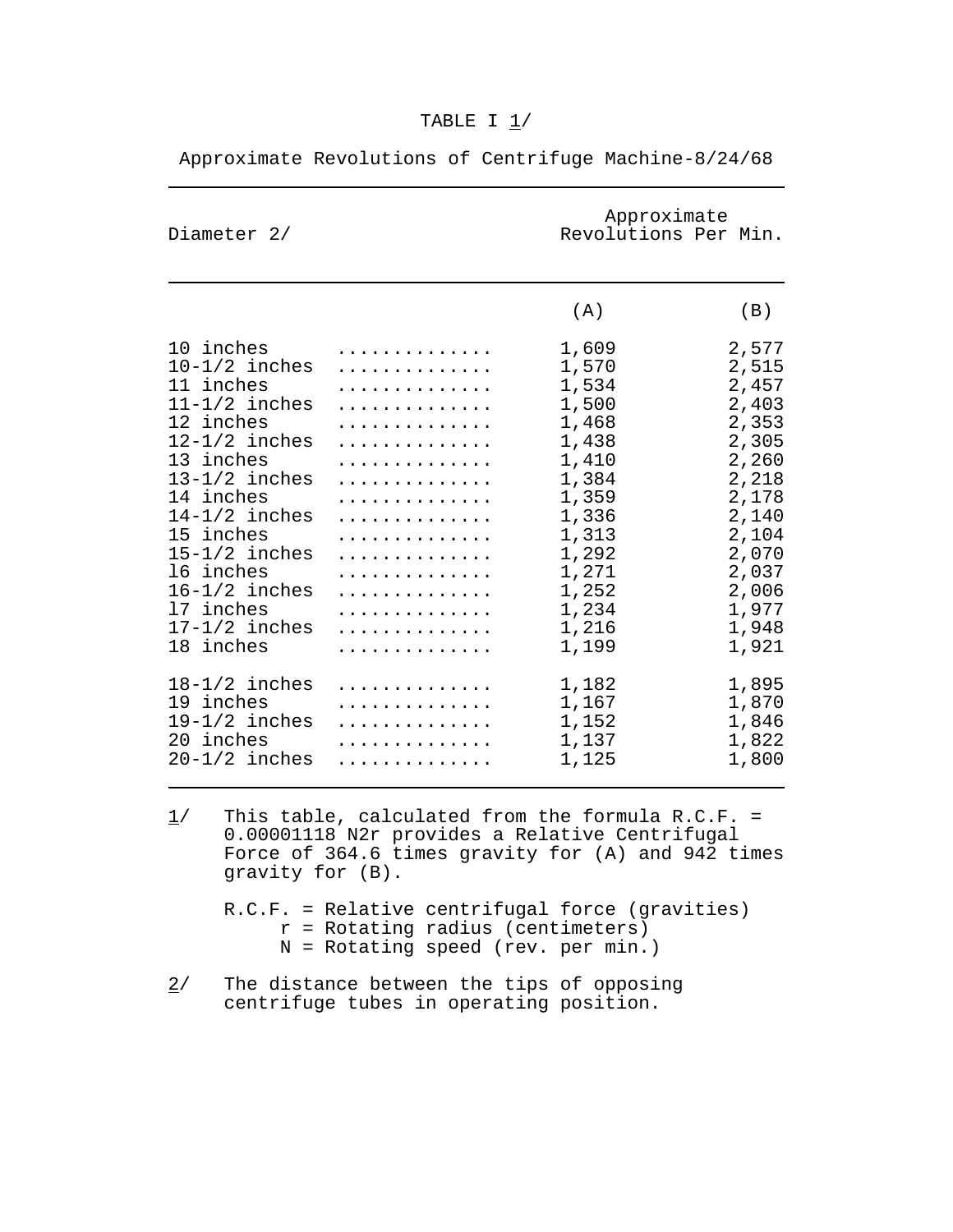| Diameter 2/       |   | Approximate<br>Revolutions Per Min. |       |
|-------------------|---|-------------------------------------|-------|
|                   |   | (A)                                 | (B)   |
| 10 inches         | . | 1,609                               | 2,577 |
| $10-1/2$ inches   | . | 1,570                               | 2,515 |
| 11 inches         | . | 1,534                               | 2,457 |
| $11 - 1/2$ inches | . | 1,500                               | 2,403 |
| 12 inches         | . | 1,468                               | 2,353 |
| $12-1/2$ inches   | . | 1,438                               | 2,305 |
| 13 inches         | . | 1,410                               | 2,260 |
| $13-1/2$ inches   | . | 1,384                               | 2,218 |
| 14 inches         | . | 1,359                               | 2,178 |
| $14-1/2$ inches   | . | 1,336                               | 2,140 |
| 15 inches         | . | 1,313                               | 2,104 |
| $15-1/2$ inches   | . | 1,292                               | 2,070 |
| 16 inches         | . | 1,271                               | 2,037 |
| $16-1/2$ inches   | . | 1,252                               | 2,006 |
| 17 inches         | . | 1,234                               | 1,977 |
| $17-1/2$ inches   | . | 1,216                               | 1,948 |
| 18 inches         | . | 1,199                               | 1,921 |
| $18-1/2$ inches   | . | 1,182                               | 1,895 |
| 19 inches         | . | 1,167                               | 1,870 |
| $19-1/2$ inches   | . | 1,152                               | 1,846 |
| 20 inches         | . | 1,137                               | 1,822 |
| $20-1/2$ inches   | . | 1,125                               | 1,800 |

# Approximate Revolutions of Centrifuge Machine-8/24/68

- $1/$  This table, calculated from the formula R.C.F. = 0.00001118 N2r provides a Relative Centrifugal Force of 364.6 times gravity for  $(A)$  and 942 times gravity for (B).
	- R.C.F. = Relative centrifugal force (gravities) r = Rotating radius (centimeters) N = Rotating speed (rev. per min.)
- 2/ The distance between the tips of opposing centrifuge tubes in operating position.

# TABLE I 1/